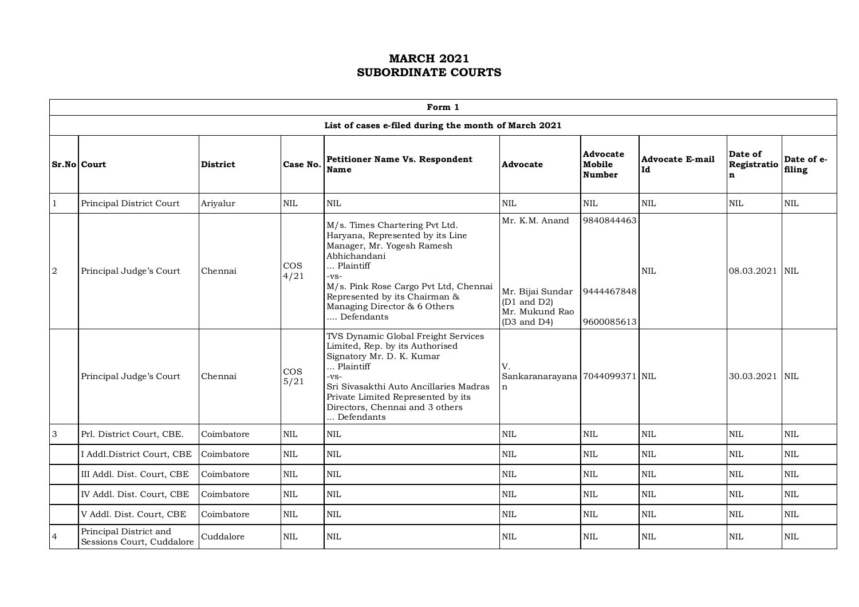|                | Form 1                                              |                 |                |                                                                                                                                                                                                                                                                      |                                                                                               |                                        |                       |                             |                      |  |  |  |
|----------------|-----------------------------------------------------|-----------------|----------------|----------------------------------------------------------------------------------------------------------------------------------------------------------------------------------------------------------------------------------------------------------------------|-----------------------------------------------------------------------------------------------|----------------------------------------|-----------------------|-----------------------------|----------------------|--|--|--|
|                |                                                     |                 |                | List of cases e-filed during the month of March 2021                                                                                                                                                                                                                 |                                                                                               |                                        |                       |                             |                      |  |  |  |
|                | Sr.No Court                                         | <b>District</b> | Case No.       | <b>Petitioner Name Vs. Respondent</b><br><b>Name</b>                                                                                                                                                                                                                 | <b>Advocate</b>                                                                               | Advocate<br>Mobile<br>Number           | Advocate E-mail<br>Id | Date of<br>Registratio<br>n | Date of e-<br>filing |  |  |  |
| $\mathbf{1}$   | Principal District Court                            | Ariyalur        | <b>NIL</b>     | $\mbox{NIL}$                                                                                                                                                                                                                                                         | NIL                                                                                           | <b>NIL</b>                             | $\mbox{NIL}$          | $\mbox{NIL}$                | <b>NIL</b>           |  |  |  |
| $\sqrt{2}$     | Principal Judge's Court                             | Chennai         | $\cos$<br>4/21 | M/s. Times Chartering Pvt Ltd.<br>Haryana, Represented by its Line<br>Manager, Mr. Yogesh Ramesh<br>Abhichandani<br>Plaintiff<br>$-VS-$<br>M/s. Pink Rose Cargo Pvt Ltd, Chennai<br>Represented by its Chairman &<br>Managing Director & 6 Others<br>Defendants      | Mr. K.M. Anand<br>Mr. Bijai Sundar<br>$(D1 \text{ and } D2)$<br>Mr. Mukund Rao<br>(D3 and D4) | 9840844463<br>9444467848<br>9600085613 | <b>NIL</b>            | 08.03.2021 NIL              |                      |  |  |  |
|                | Principal Judge's Court                             | Chennai         | $\cos$<br>5/21 | TVS Dynamic Global Freight Services<br>Limited, Rep. by its Authorised<br>Signatory Mr. D. K. Kumar<br>$\ldots$ Plaintiff<br>$-vs-$<br>Sri Sivasakthi Auto Ancillaries Madras<br>Private Limited Represented by its<br>Directors, Chennai and 3 others<br>Defendants | V.<br>Sankaranarayana 7044099371 NIL<br>$\mathbf n$                                           |                                        |                       | 30.03.2021 NIL              |                      |  |  |  |
| 3              | Prl. District Court, CBE.                           | Coimbatore      | <b>NIL</b>     | $\mbox{NIL}$                                                                                                                                                                                                                                                         | <b>NIL</b>                                                                                    | <b>NIL</b>                             | $\rm NIL$             | $\mbox{NIL}$                | <b>NIL</b>           |  |  |  |
|                | I Addl.District Court, CBE                          | Coimbatore      | NIL            | $\rm NIL$                                                                                                                                                                                                                                                            | $\mbox{NIL}$                                                                                  | $\rm NIL$                              | $\rm NIL$             | $\mbox{NIL}$                | <b>NIL</b>           |  |  |  |
|                | III Addl. Dist. Court, CBE                          | Coimbatore      | NIL            | $\text{NIL}$                                                                                                                                                                                                                                                         | <b>NIL</b>                                                                                    | <b>NIL</b>                             | NIL                   | $\mbox{NIL}$                | <b>NIL</b>           |  |  |  |
|                | IV Addl. Dist. Court, CBE                           | Coimbatore      | <b>NIL</b>     | $\mbox{NIL}$                                                                                                                                                                                                                                                         | <b>NIL</b>                                                                                    | <b>NIL</b>                             | $\mbox{NIL}$          | $\mbox{NIL}$                | $\mbox{NIL}$         |  |  |  |
|                | V Addl. Dist. Court, CBE                            | Coimbatore      | <b>NIL</b>     | $\rm NIL$                                                                                                                                                                                                                                                            | <b>NIL</b>                                                                                    | <b>NIL</b>                             | $\mbox{NIL}$          | <b>NIL</b>                  | <b>NIL</b>           |  |  |  |
| $\overline{4}$ | Principal District and<br>Sessions Court, Cuddalore | Cuddalore       | <b>NIL</b>     | $\rm NIL$                                                                                                                                                                                                                                                            | <b>NIL</b>                                                                                    | <b>NIL</b>                             | $\mbox{NIL}$          | <b>NIL</b>                  | <b>NIL</b>           |  |  |  |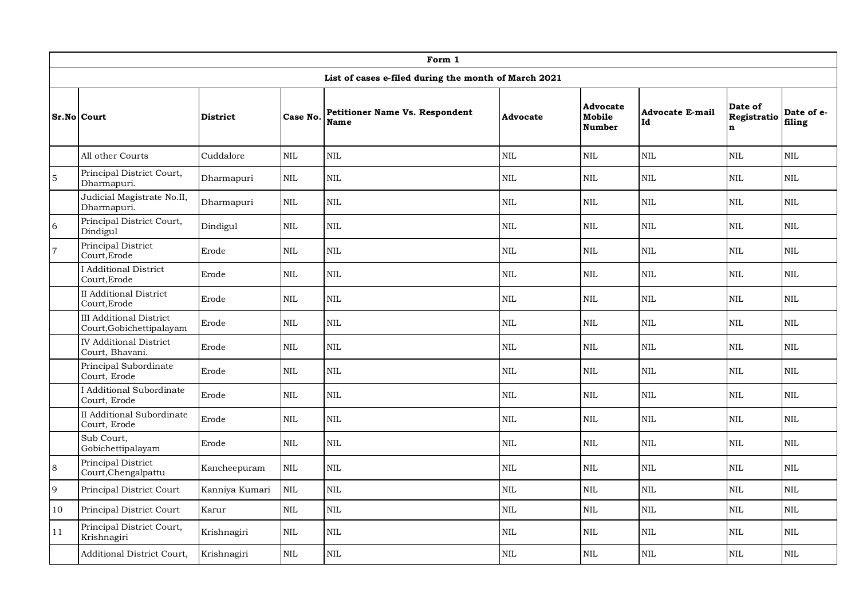|                | Form 1                                                     |                 |              |                                                      |              |                                     |                              |                                        |                      |  |  |  |
|----------------|------------------------------------------------------------|-----------------|--------------|------------------------------------------------------|--------------|-------------------------------------|------------------------------|----------------------------------------|----------------------|--|--|--|
|                |                                                            |                 |              | List of cases e-filed during the month of March 2021 |              |                                     |                              |                                        |                      |  |  |  |
|                | <b>Sr.No Court</b>                                         | <b>District</b> | Case No.     | <b>Petitioner Name Vs. Respondent</b><br>Name        | Advocate     | <b>Advocate</b><br>Mobile<br>Number | <b>Advocate E-mail</b><br>Id | Date of<br>Registratio<br>$\mathbf{n}$ | Date of e-<br>filing |  |  |  |
|                | All other Courts                                           | Cuddalore       | <b>NIL</b>   | <b>NIL</b>                                           | <b>NIL</b>   | <b>NIL</b>                          | <b>NIL</b>                   | <b>NIL</b>                             | <b>NIL</b>           |  |  |  |
| $\overline{5}$ | Principal District Court,<br>Dharmapuri.                   | Dharmapuri      | $\mbox{NIL}$ | $\rm NIL$                                            | $\mbox{NIL}$ | $\rm NIL$                           | $\rm NIL$                    | $\rm NIL$                              | $\rm NIL$            |  |  |  |
|                | Judicial Magistrate No.II,<br>Dharmapuri.                  | Dharmapuri      | $\rm NIL$    | $\rm NIL$                                            | $\mbox{NIL}$ | $\rm NIL$                           | $\rm NIL$                    | $\rm NIL$                              | $\rm NIL$            |  |  |  |
| 6              | Principal District Court,<br><b>Dindigul</b>               | Dindigul        | $\mbox{NIL}$ | $\rm NIL$                                            | $\mbox{NIL}$ | NIL                                 | $\rm NIL$                    | $\mbox{NIL}$                           | $\rm NIL$            |  |  |  |
| $\overline{7}$ | Principal District<br>Court, Erode                         | Erode           | <b>NIL</b>   | NIL                                                  | <b>NIL</b>   | <b>NIL</b>                          | <b>NIL</b>                   | <b>NIL</b>                             | <b>NIL</b>           |  |  |  |
|                | I Additional District<br>Court, Erode                      | Erode           | NIL          | NIL                                                  | <b>NIL</b>   | NIL                                 | <b>NIL</b>                   | $\mbox{NIL}$                           | <b>NIL</b>           |  |  |  |
|                | II Additional District<br>Court, Erode                     | Erode           | <b>NIL</b>   | NIL                                                  | <b>NIL</b>   | <b>NIL</b>                          | <b>NIL</b>                   | <b>NIL</b>                             | <b>NIL</b>           |  |  |  |
|                | <b>III</b> Additional District<br>Court, Gobichettipalayam | Erode           | <b>NIL</b>   | NIL                                                  | $\mbox{NIL}$ | $\rm NIL$                           | <b>NIL</b>                   | $\mbox{NIL}$                           | <b>NIL</b>           |  |  |  |
|                | <b>IV Additional District</b><br>Court, Bhavani.           | Erode           | <b>NIL</b>   | NIL                                                  | <b>NIL</b>   | <b>NIL</b>                          | <b>NIL</b>                   | <b>NIL</b>                             | <b>NIL</b>           |  |  |  |
|                | Principal Subordinate<br>Court, Erode                      | Erode           | <b>NIL</b>   | $\mbox{NIL}$                                         | <b>NIL</b>   | $\rm NIL$                           | <b>NIL</b>                   | $\mbox{NIL}$                           | <b>NIL</b>           |  |  |  |
|                | I Additional Subordinate<br>Court, Erode                   | Erode           | <b>NIL</b>   | <b>NIL</b>                                           | <b>NIL</b>   | <b>NIL</b>                          | <b>NIL</b>                   | <b>NIL</b>                             | <b>NIL</b>           |  |  |  |
|                | <b>II</b> Additional Subordinate<br>Court, Erode           | Erode           | NIL          | <b>NIL</b>                                           | $\mbox{NIL}$ | NIL                                 | NIL                          | $\mbox{NIL}$                           | $\mbox{NIL}$         |  |  |  |
|                | Sub Court,<br>Gobichettipalayam                            | Erode           | <b>NIL</b>   | <b>NIL</b>                                           | <b>NIL</b>   | <b>NIL</b>                          | <b>NIL</b>                   | <b>NIL</b>                             | <b>NIL</b>           |  |  |  |
| $\bf 8$        | Principal District<br>Court, Chengalpattu                  | Kancheepuram    | NIL          | <b>NIL</b>                                           | <b>NIL</b>   | $\mbox{NIL}$                        | NIL                          | <b>NIL</b>                             | $\mbox{NIL}$         |  |  |  |
| $\overline{9}$ | Principal District Court                                   | Kanniya Kumari  | $\rm NIL$    | $\rm NIL$                                            | <b>NIL</b>   | $\rm NIL$                           | NIL                          | $\mbox{NIL}$                           | NIL                  |  |  |  |
| 10             | Principal District Court                                   | Karur           | $\mbox{NIL}$ | <b>NIL</b>                                           | <b>NIL</b>   | $\rm NIL$                           | $\mbox{NIL}$                 | $\mbox{NIL}$                           | <b>NIL</b>           |  |  |  |
| 11             | Principal District Court,<br>Krishnagiri                   | Krishnagiri     | <b>NIL</b>   | <b>NIL</b>                                           | <b>NIL</b>   | $\rm NIL$                           | <b>NIL</b>                   | <b>NIL</b>                             | <b>NIL</b>           |  |  |  |
|                | <b>Additional District Court,</b>                          | Krishnagiri     | <b>NIL</b>   | <b>NIL</b>                                           | <b>NIL</b>   | <b>NIL</b>                          | <b>NIL</b>                   | <b>NIL</b>                             | <b>NIL</b>           |  |  |  |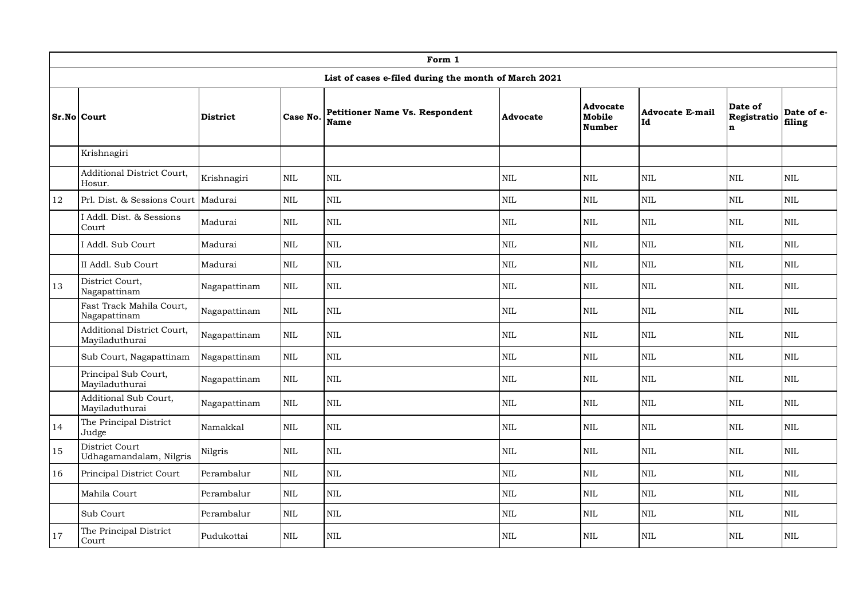|    | Form 1                                       |                          |              |                                                      |                 |                                            |                              |                                        |                      |  |  |  |
|----|----------------------------------------------|--------------------------|--------------|------------------------------------------------------|-----------------|--------------------------------------------|------------------------------|----------------------------------------|----------------------|--|--|--|
|    |                                              |                          |              | List of cases e-filed during the month of March 2021 |                 |                                            |                              |                                        |                      |  |  |  |
|    | <b>Sr.No Court</b>                           | <b>District</b>          | Case No.     | <b>Petitioner Name Vs. Respondent</b><br><b>Name</b> | <b>Advocate</b> | <b>Advocate</b><br>Mobile<br><b>Number</b> | <b>Advocate E-mail</b><br>Id | Date of<br>Registratio<br>$\mathbf{n}$ | Date of e-<br>filing |  |  |  |
|    | Krishnagiri                                  |                          |              |                                                      |                 |                                            |                              |                                        |                      |  |  |  |
|    | Additional District Court,<br>Hosur.         | Krishnagiri              | <b>NIL</b>   | <b>NIL</b>                                           | <b>NIL</b>      | $\rm NIL$                                  | NIL                          | <b>NIL</b>                             | $\mbox{NIL}$         |  |  |  |
| 12 | Prl. Dist. & Sessions Court                  | Madurai                  | NIL          | $\mbox{NIL}$                                         | <b>NIL</b>      | $\rm NIL$                                  | NIL                          | $\mbox{NIL}$                           | <b>NIL</b>           |  |  |  |
|    | I Addl. Dist. & Sessions<br>Court            | Madurai                  | $\mbox{NIL}$ | <b>NIL</b>                                           | $\mbox{NIL}$    | NIL                                        | NIL                          | $\mbox{NIL}$                           | $\mbox{NIL}$         |  |  |  |
|    | I Addl. Sub Court                            | Madurai                  | $\mbox{NIL}$ | <b>NIL</b>                                           | $\mbox{NIL}$    | $\rm NIL$                                  | NIL                          | $\mbox{NIL}$                           | $\mbox{NIL}$         |  |  |  |
|    | II Addl. Sub Court                           | <b>NIL</b><br>Madurai    |              | $\rm NIL$                                            | <b>NIL</b>      | $\rm NIL$                                  | NIL                          | $\text{NIL}$                           | NIL                  |  |  |  |
| 13 | District Court,<br>Nagapattinam              | Nagapattinam             | $\mbox{NIL}$ | <b>NIL</b>                                           | <b>NIL</b>      | $\rm NIL$                                  | NIL                          | <b>NIL</b>                             | <b>NIL</b>           |  |  |  |
|    | Fast Track Mahila Court,<br>Nagapattinam     | Nagapattinam             | $\mbox{NIL}$ | $\mbox{NIL}$                                         | <b>NIL</b>      | $\mbox{NIL}$                               | $\mbox{NIL}$                 | <b>NIL</b>                             | <b>NIL</b>           |  |  |  |
|    | Additional District Court,<br>Mayiladuthurai | Nagapattinam             | $\mbox{NIL}$ | <b>NIL</b>                                           | <b>NIL</b>      | $\rm NIL$                                  | NIL                          | $\mbox{NIL}$                           | $\mbox{NIL}$         |  |  |  |
|    | Sub Court, Nagapattinam                      | Nagapattinam             | NIL          | <b>NIL</b>                                           | $\mbox{NIL}$    | $\rm NIL$                                  | NIL                          | <b>NIL</b>                             | <b>NIL</b>           |  |  |  |
|    | Principal Sub Court,<br>Mayiladuthurai       | Nagapattinam             | $\mbox{NIL}$ | $\mbox{NIL}$                                         | $\mbox{NIL}$    | $\mbox{NIL}$                               | $\mbox{NIL}$                 | $\mbox{NIL}$                           | NIL                  |  |  |  |
|    | Additional Sub Court,<br>Mayiladuthurai      | Nagapattinam             | $\mbox{NIL}$ | <b>NIL</b>                                           | <b>NIL</b>      | $\rm NIL$                                  | NIL                          | $\mbox{NIL}$                           | <b>NIL</b>           |  |  |  |
| 14 | The Principal District<br>Judge              | Namakkal                 | $\mbox{NIL}$ | $\mbox{NIL}$                                         | <b>NIL</b>      | $\rm NIL$                                  | NIL                          | $\text{NIL}$                           | $\mbox{NIL}$         |  |  |  |
| 15 | District Court<br>Udhagamandalam, Nilgris    | Nilgris                  | <b>NIL</b>   | $\mbox{NIL}$                                         | <b>NIL</b>      | $\rm NIL$                                  | NIL                          | <b>NIL</b>                             | NIL                  |  |  |  |
| 16 | Principal District Court                     | Perambalur               | <b>NIL</b>   | NIL.                                                 | <b>NIL</b>      | NIL                                        | <b>NIL</b>                   | <b>NIL</b>                             | $\mbox{NIL}$         |  |  |  |
|    | Mahila Court                                 | Perambalur               | NIL          | <b>NIL</b>                                           | <b>NIL</b>      | $\rm NIL$                                  | NIL                          | $\text{NIL}$                           | $\text{NIL}$         |  |  |  |
|    | Sub Court                                    | Perambalur<br><b>NIL</b> |              | $\mbox{NIL}$                                         | NIL             | $\rm NIL$                                  | <b>NIL</b>                   | $\mbox{NIL}$                           | <b>NIL</b>           |  |  |  |
| 17 | The Principal District<br>Court              | Pudukottai               | $\mbox{NIL}$ | <b>NIL</b>                                           | <b>NIL</b>      | $\rm NIL$                                  | <b>NIL</b>                   | $\text{NIL}$                           | $\mbox{NIL}$         |  |  |  |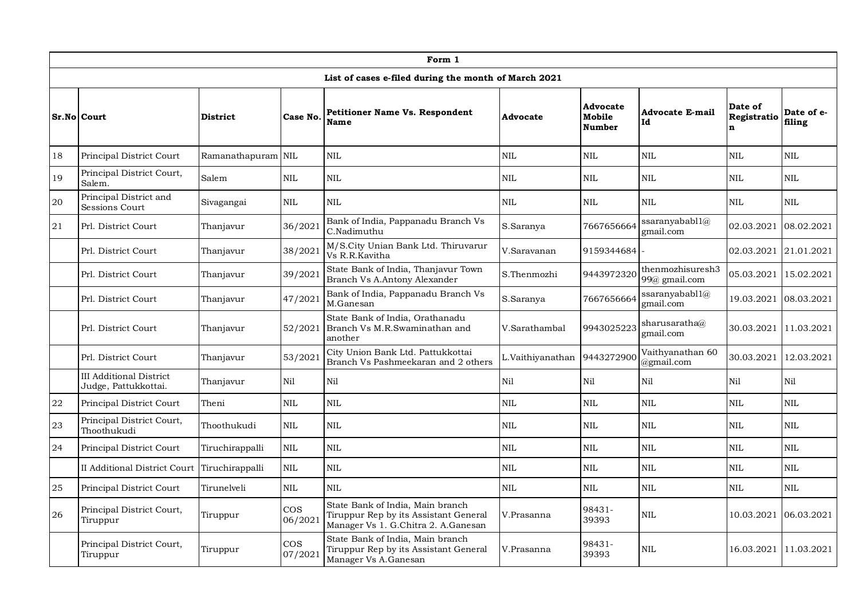|        | Form 1                                                 |                    |                       |                                                                                                                  |                  |                                     |                                   |                                       |                       |  |  |  |
|--------|--------------------------------------------------------|--------------------|-----------------------|------------------------------------------------------------------------------------------------------------------|------------------|-------------------------------------|-----------------------------------|---------------------------------------|-----------------------|--|--|--|
|        |                                                        |                    |                       | List of cases e-filed during the month of March 2021                                                             |                  |                                     |                                   |                                       |                       |  |  |  |
|        | Sr.No Court                                            | <b>District</b>    | Case No.              | <b>Petitioner Name Vs. Respondent</b><br><b>Name</b>                                                             | Advocate         | <b>Advocate</b><br>Mobile<br>Number | <b>Advocate E-mail</b><br>Id      | Date of<br>Registratio<br>$\mathbf n$ | Date of e-<br>filing  |  |  |  |
| 18     | Principal District Court                               | Ramanathapuram NIL |                       | <b>NIL</b>                                                                                                       | <b>NIL</b>       | <b>NIL</b>                          | NIL                               | $\mbox{NIL}$                          | <b>NIL</b>            |  |  |  |
| 19     | Principal District Court,<br>Salem.                    | Salem              | <b>NIL</b>            | <b>NIL</b>                                                                                                       | <b>NIL</b>       | <b>NIL</b>                          | <b>NIL</b>                        | <b>NIL</b>                            | <b>NIL</b>            |  |  |  |
| 20     | Principal District and<br>Sessions Court               | Sivagangai         | <b>NIL</b>            | NIL.                                                                                                             | <b>NIL</b>       | $\rm NIL$                           | $\rm NIL$                         | $\mbox{NIL}$                          | $\rm NIL$             |  |  |  |
| 21     | Prl. District Court<br>Thanjavur                       |                    | 36/2021               | Bank of India, Pappanadu Branch Vs<br>C.Nadimuthu                                                                | S.Saranya        | 7667656664                          | ssaranyababl1@<br>email.com       | 02.03.2021                            | 08.02.2021            |  |  |  |
|        | Prl. District Court<br>Thanjavur                       |                    | 38/2021               | M/S.City Unian Bank Ltd. Thiruvarur<br>Vs R.R.Kavitha                                                            | V.Saravanan      | 9159344684                          |                                   | 02.03.2021 21.01.2021                 |                       |  |  |  |
|        | Prl. District Court                                    | Thanjavur          | 39/2021               | State Bank of India, Thanjavur Town<br>Branch Vs A.Antony Alexander                                              | S.Thenmozhi      | 9443972320                          | thenmozhisuresh3<br>99@ gmail.com | 05.03.2021                            | 15.02.2021            |  |  |  |
|        | Prl. District Court                                    | Thanjavur          | 47/2021               | Bank of India, Pappanadu Branch Vs<br>M.Ganesan                                                                  | S.Saranya        | 7667656664                          | ssaranyababl1@<br>gmail.com       | 19.03.2021                            | 08.03.2021            |  |  |  |
|        | Prl. District Court                                    | Thanjavur          | 52/2021               | State Bank of India, Orathanadu<br>Branch Vs M.R.Swaminathan and<br>another                                      | V.Sarathambal    | 9943025223                          | sharusaratha@<br>gmail.com        | 30.03.2021                            | 11.03.2021            |  |  |  |
|        | Prl. District Court                                    | Thanjavur          | 53/2021               | City Union Bank Ltd. Pattukkottai<br>Branch Vs Pashmeekaran and 2 others                                         | L.Vaithiyanathan | 9443272900                          | Vaithyanathan 60<br>@gmail.com    | 30.03.2021                            | 12.03.2021            |  |  |  |
|        | <b>III Additional District</b><br>Judge, Pattukkottai. | Thanjavur          | Nil                   | Nil                                                                                                              | Nil              | Nil                                 | Nil                               | Nil                                   | Nil                   |  |  |  |
| 22     | Principal District Court                               | Theni              | <b>NIL</b>            | <b>NIL</b>                                                                                                       | <b>NIL</b>       | NIL                                 | NIL                               | NIL<br><b>NIL</b><br><b>NIL</b>       |                       |  |  |  |
| 23     | Principal District Court,<br>Thoothukudi               | Thoothukudi        | <b>NIL</b>            | <b>NIL</b>                                                                                                       | <b>NIL</b>       | <b>NIL</b>                          | NIL                               |                                       | <b>NIL</b>            |  |  |  |
| 24     | Principal District Court                               | Tiruchirappalli    | NIL                   | <b>NIL</b>                                                                                                       | <b>NIL</b>       | <b>NIL</b>                          | $\mbox{NIL}$                      | <b>NIL</b>                            | <b>NIL</b>            |  |  |  |
|        | II Additional District Court                           | Tiruchirappalli    | <b>NIL</b>            | <b>NIL</b>                                                                                                       | <b>NIL</b>       | <b>NIL</b>                          | <b>NIL</b>                        | <b>NIL</b>                            | <b>NIL</b>            |  |  |  |
| $25\,$ | Principal District Court                               | Tirunelveli        | <b>NIL</b>            | <b>NIL</b>                                                                                                       | <b>NIL</b>       | <b>NIL</b>                          | <b>NIL</b>                        | $\mbox{NIL}$                          | <b>NIL</b>            |  |  |  |
| 26     | Principal District Court,<br>Tiruppur                  | Tiruppur           | <b>COS</b><br>06/2021 | State Bank of India, Main branch<br>Tiruppur Rep by its Assistant General<br>Manager Vs 1. G.Chitra 2. A.Ganesan | V.Prasanna       | 98431-<br>39393                     | <b>NIL</b>                        | 10.03.2021 06.03.2021                 |                       |  |  |  |
|        | Principal District Court,<br>Tiruppur                  | Tiruppur           | <b>COS</b><br>07/2021 | State Bank of India, Main branch<br>Tiruppur Rep by its Assistant General<br>Manager Vs A.Ganesan                | V.Prasanna       | 98431-<br>39393                     | <b>NIL</b>                        |                                       | 16.03.2021 11.03.2021 |  |  |  |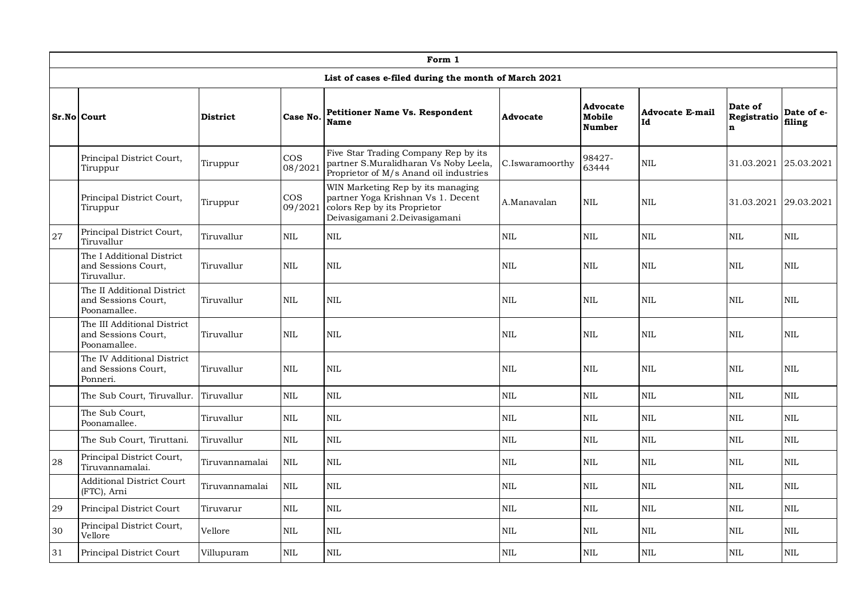|    |                                                                               |                 |                   | Form 1                                                                                                                                   |                 |                                     |                              |                                        |                      |
|----|-------------------------------------------------------------------------------|-----------------|-------------------|------------------------------------------------------------------------------------------------------------------------------------------|-----------------|-------------------------------------|------------------------------|----------------------------------------|----------------------|
|    |                                                                               |                 |                   | List of cases e-filed during the month of March 2021                                                                                     |                 |                                     |                              |                                        |                      |
|    | <b>Sr.No Court</b>                                                            | <b>District</b> | Case No.          | <b>Petitioner Name Vs. Respondent</b><br><b>Name</b>                                                                                     | Advocate        | Advocate<br>Mobile<br><b>Number</b> | <b>Advocate E-mail</b><br>Id | Date of<br>Registratio<br>$\mathbf{n}$ | Date of e-<br>filing |
|    | Principal District Court,<br>Tiruppur                                         | Tiruppur        | $\cos$<br>08/2021 | Five Star Trading Company Rep by its<br>partner S.Muralidharan Vs Noby Leela,<br>Proprietor of M/s Anand oil industries                  | C.Iswaramoorthy | 98427-<br>63444                     | <b>NIL</b>                   | 31.03.2021 25.03.2021                  |                      |
|    | $\cos$<br>Principal District Court,<br>Tiruppur<br>Tiruppur                   |                 | 09/2021           | WIN Marketing Rep by its managing<br>partner Yoga Krishnan Vs 1. Decent<br>colors Rep by its Proprietor<br>Deivasigamani 2.Deivasigamani | A.Manavalan     | NIL                                 | NIL                          | 31.03.2021 29.03.2021                  |                      |
| 27 | Principal District Court,<br>Tiruvallur                                       | Tiruvallur      | <b>NIL</b>        | <b>NIL</b>                                                                                                                               | <b>NIL</b>      | <b>NIL</b>                          | <b>NIL</b>                   | <b>NIL</b>                             | <b>NIL</b>           |
|    | The I Additional District<br>and Sessions Court,<br>Tiruvallur<br>Tiruvallur. |                 | <b>NIL</b>        | <b>NIL</b>                                                                                                                               | <b>NIL</b>      | <b>NIL</b>                          | <b>NIL</b>                   | <b>NIL</b>                             | <b>NIL</b>           |
|    | The II Additional District<br>and Sessions Court,<br>Poonamallee.             | Tiruvallur      | <b>NIL</b>        | <b>NIL</b>                                                                                                                               | <b>NIL</b>      | <b>NIL</b>                          | <b>NIL</b>                   | <b>NIL</b>                             | <b>NIL</b>           |
|    | The III Additional District<br>and Sessions Court,<br>Poonamallee.            | Tiruvallur      | <b>NIL</b>        | <b>NIL</b>                                                                                                                               | <b>NIL</b>      | <b>NIL</b>                          | <b>NIL</b>                   | <b>NIL</b>                             | <b>NIL</b>           |
|    | The IV Additional District<br>and Sessions Court,<br>Ponneri.                 | Tiruvallur      | <b>NIL</b>        | NIL                                                                                                                                      | <b>NIL</b>      | NIL                                 | NIL                          | NIL                                    | <b>NIL</b>           |
|    | The Sub Court, Tiruvallur.                                                    | Tiruvallur      | <b>NIL</b>        | NIL                                                                                                                                      | <b>NIL</b>      | <b>NIL</b>                          | <b>NIL</b>                   | <b>NIL</b>                             | <b>NIL</b>           |
|    | The Sub Court,<br>Poonamallee.                                                | Tiruvallur      | $\rm NIL$         | $\mbox{NIL}$                                                                                                                             | $\rm NIL$       | $\rm NIL$                           | $\mbox{NIL}$                 | $\mbox{NIL}$                           | $\mbox{NIL}$         |
|    | The Sub Court, Tiruttani.                                                     | Tiruvallur      | $\mbox{NIL}$      | $\mbox{NIL}$                                                                                                                             | $\mbox{NIL}$    | $\rm NIL$                           | $\mbox{NIL}$                 | $\mbox{NIL}$                           | $\mbox{NIL}$         |
| 28 | Principal District Court,<br>Tiruvannamalai.                                  | Tiruvannamalai  | $\mbox{NIL}$      | $\mbox{NIL}$                                                                                                                             | $\mbox{NIL}$    | NIL                                 | <b>NIL</b>                   | <b>NIL</b>                             | <b>NIL</b>           |
|    | <b>Additional District Court</b><br>(FTC), Arni                               | Tiruvannamalai  | <b>NIL</b>        | $\mbox{NIL}$                                                                                                                             | <b>NIL</b>      | <b>NIL</b>                          | <b>NIL</b>                   | <b>NIL</b>                             | <b>NIL</b>           |
| 29 | Principal District Court                                                      | Tiruvarur       | $\mbox{NIL}$      | <b>NIL</b>                                                                                                                               | $\mbox{NIL}$    | <b>NIL</b>                          | <b>NIL</b>                   | <b>NIL</b>                             | <b>NIL</b>           |
| 30 | Principal District Court,<br>Vellore                                          | Vellore         | <b>NIL</b>        | NIL                                                                                                                                      | $\mbox{NIL}$    | <b>NIL</b>                          | <b>NIL</b>                   | <b>NIL</b>                             | <b>NIL</b>           |
| 31 | Principal District Court                                                      | Villupuram      | $\mbox{NIL}$      | <b>NIL</b>                                                                                                                               | $\mbox{NIL}$    | NIL                                 | <b>NIL</b>                   | <b>NIL</b>                             | <b>NIL</b>           |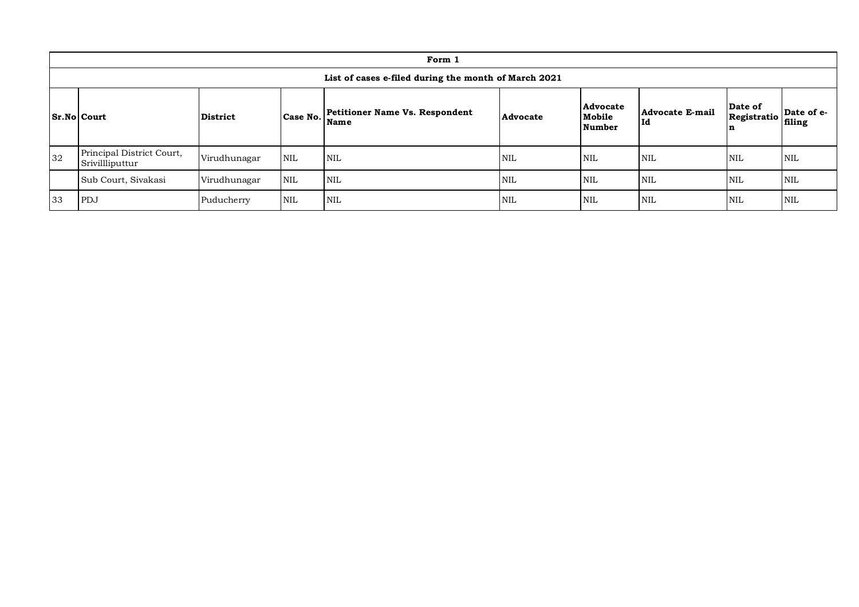|                                                                                                                                         | Form 1                                               |              |            |            |            |            |                       |                             |                      |  |  |  |
|-----------------------------------------------------------------------------------------------------------------------------------------|------------------------------------------------------|--------------|------------|------------|------------|------------|-----------------------|-----------------------------|----------------------|--|--|--|
|                                                                                                                                         | List of cases e-filed during the month of March 2021 |              |            |            |            |            |                       |                             |                      |  |  |  |
| Advocate<br>Petitioner Name Vs. Respondent<br><b>Sr.No Court</b><br>Case No.<br>Mobile<br><b>District</b><br>Advocate<br>Name<br>Number |                                                      |              |            |            |            |            | Advocate E-mail<br>Id | Date of<br>Registratio<br>ĸ | Date of e-<br>filing |  |  |  |
| 32                                                                                                                                      | Principal District Court,<br>Srivillliputtur         | Virudhunagar | <b>NIL</b> | <b>NIL</b> | <b>NIL</b> | <b>NIL</b> | <b>NIL</b>            | <b>NIL</b>                  | <b>NIL</b>           |  |  |  |
|                                                                                                                                         | Sub Court, Sivakasi                                  | Virudhunagar | <b>NIL</b> | <b>NIL</b> | <b>NIL</b> | <b>NIL</b> | <b>NIL</b>            | <b>NIL</b>                  | NIL                  |  |  |  |
| 33                                                                                                                                      | PDJ                                                  | Puducherry   | <b>NIL</b> | <b>NIL</b> | <b>NIL</b> | <b>NIL</b> | <b>NIL</b>            | <b>NIL</b>                  | <b>NIL</b>           |  |  |  |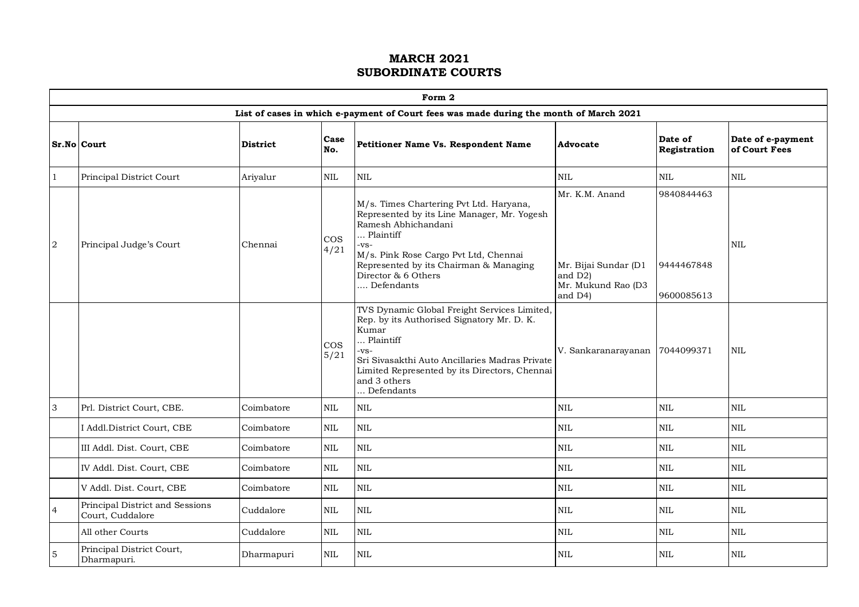|                           | Form 2                                              |                 |                |                                                                                                                                                                                                                                                            |                                                                                    |                                        |                                    |  |  |  |  |  |
|---------------------------|-----------------------------------------------------|-----------------|----------------|------------------------------------------------------------------------------------------------------------------------------------------------------------------------------------------------------------------------------------------------------------|------------------------------------------------------------------------------------|----------------------------------------|------------------------------------|--|--|--|--|--|
|                           |                                                     |                 |                | List of cases in which e-payment of Court fees was made during the month of March 2021                                                                                                                                                                     |                                                                                    |                                        |                                    |  |  |  |  |  |
|                           | Sr.No Court                                         | <b>District</b> | Case<br>No.    | Petitioner Name Vs. Respondent Name                                                                                                                                                                                                                        | Advocate                                                                           | Date of<br>Registration                | Date of e-payment<br>of Court Fees |  |  |  |  |  |
| -1                        | Principal District Court                            | Ariyalur        | $\mbox{NIL}$   | <b>NIL</b>                                                                                                                                                                                                                                                 | $\mbox{NIL}$                                                                       | $\mbox{NIL}$                           | $\mbox{NIL}$                       |  |  |  |  |  |
| $\overline{a}$            | Principal Judge's Court                             | Chennai         | $\cos$<br>4/21 | M/s. Times Chartering Pvt Ltd. Haryana,<br>Represented by its Line Manager, Mr. Yogesh<br>Ramesh Abhichandani<br>Plaintiff<br>-VS-<br>M/s. Pink Rose Cargo Pvt Ltd, Chennai<br>Represented by its Chairman & Managing<br>Director & 6 Others<br>Defendants | Mr. K.M. Anand<br>Mr. Bijai Sundar (D1<br>and D2)<br>Mr. Mukund Rao (D3<br>and D4) | 9840844463<br>9444467848<br>9600085613 | <b>NIL</b>                         |  |  |  |  |  |
|                           |                                                     |                 | $\cos$<br>5/21 | TVS Dynamic Global Freight Services Limited,<br>Rep. by its Authorised Signatory Mr. D. K.<br>Kumar<br>Plaintiff<br>-vs-<br>Sri Sivasakthi Auto Ancillaries Madras Private<br>Limited Represented by its Directors, Chennai<br>and 3 others<br>Defendants  | V. Sankaranarayanan                                                                | 7044099371                             | $\mbox{NIL}$                       |  |  |  |  |  |
| $\ensuremath{\mathsf{3}}$ | Prl. District Court, CBE.                           | Coimbatore      | $\mbox{NIL}$   | $\mbox{NIL}$                                                                                                                                                                                                                                               | $\mbox{NIL}$                                                                       | $\mbox{NIL}$                           | $\mbox{NIL}$                       |  |  |  |  |  |
|                           | I Addl.District Court, CBE                          | Coimbatore      | $\mbox{NIL}$   | <b>NIL</b>                                                                                                                                                                                                                                                 | <b>NIL</b>                                                                         | <b>NIL</b>                             | $\mbox{NIL}$                       |  |  |  |  |  |
|                           | III Addl. Dist. Court, CBE                          | Coimbatore      | <b>NIL</b>     | <b>NIL</b>                                                                                                                                                                                                                                                 | <b>NIL</b>                                                                         | <b>NIL</b>                             | <b>NIL</b>                         |  |  |  |  |  |
|                           | IV Addl. Dist. Court, CBE                           | Coimbatore      | <b>NIL</b>     | $\mbox{NIL}$                                                                                                                                                                                                                                               | $\mbox{NIL}$                                                                       | $\mbox{NIL}$                           | $\mbox{NIL}$                       |  |  |  |  |  |
|                           | V Addl. Dist. Court, CBE                            | Coimbatore      | $\rm NIL$      | <b>NIL</b>                                                                                                                                                                                                                                                 | $\mbox{NIL}$                                                                       | $\mbox{NIL}$                           | $\mbox{NIL}$                       |  |  |  |  |  |
| $\overline{4}$            | Principal District and Sessions<br>Court, Cuddalore | Cuddalore       | <b>NIL</b>     | <b>NIL</b>                                                                                                                                                                                                                                                 | $\mbox{NIL}$                                                                       | <b>NIL</b>                             | $\text{NIL}$                       |  |  |  |  |  |
|                           | All other Courts                                    | Cuddalore       | NIL            | $\mbox{NIL}$                                                                                                                                                                                                                                               | $\mbox{NIL}$                                                                       | $\rm NIL$                              | $\mbox{NIL}$                       |  |  |  |  |  |
| $\overline{5}$            | Principal District Court,<br>Dharmapuri.            | Dharmapuri      | <b>NIL</b>     | <b>NIL</b>                                                                                                                                                                                                                                                 | <b>NIL</b>                                                                         | <b>NIL</b>                             | <b>NIL</b>                         |  |  |  |  |  |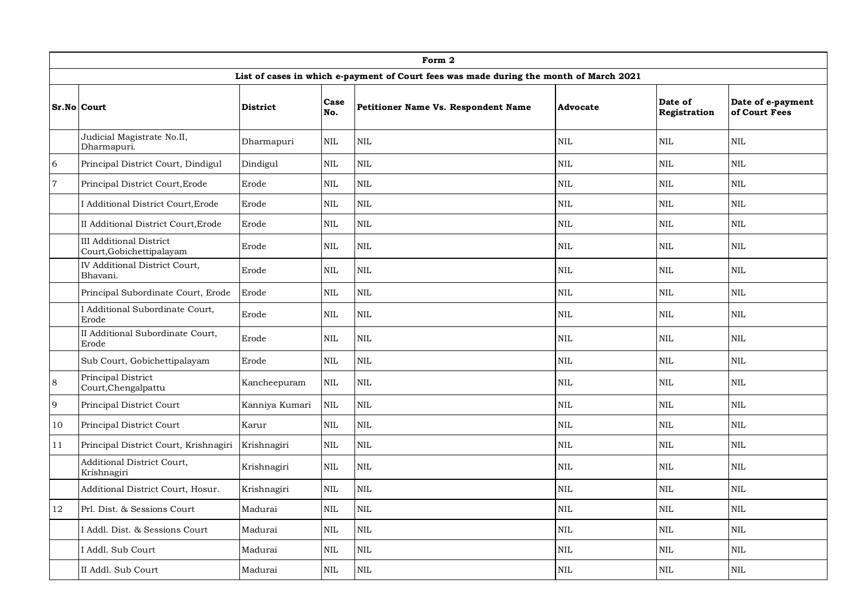|                | Form 2                                                     |                 |             |                                                                                        |            |                         |                                    |  |  |  |  |  |
|----------------|------------------------------------------------------------|-----------------|-------------|----------------------------------------------------------------------------------------|------------|-------------------------|------------------------------------|--|--|--|--|--|
|                |                                                            |                 |             | List of cases in which e-payment of Court fees was made during the month of March 2021 |            |                         |                                    |  |  |  |  |  |
|                | Sr.No Court                                                | <b>District</b> | Case<br>No. | Petitioner Name Vs. Respondent Name                                                    | Advocate   | Date of<br>Registration | Date of e-payment<br>of Court Fees |  |  |  |  |  |
|                | Judicial Magistrate No.II,<br>Dharmapuri.                  | Dharmapuri      | $\rm NIL$   | <b>NIL</b>                                                                             | <b>NIL</b> | <b>NIL</b>              | <b>NIL</b>                         |  |  |  |  |  |
| 6              | Principal District Court, Dindigul                         | Dindigul        | <b>NIL</b>  | $\mbox{NIL}$                                                                           | NIL        | $\mbox{NIL}$            | <b>NIL</b>                         |  |  |  |  |  |
| $\overline{7}$ | Principal District Court, Erode                            | Erode           | <b>NIL</b>  | <b>NIL</b>                                                                             | <b>NIL</b> | <b>NIL</b>              | <b>NIL</b>                         |  |  |  |  |  |
|                | I Additional District Court, Erode                         | Erode           | NIL         | $\mbox{NIL}$                                                                           | <b>NIL</b> | $\mbox{NIL}$            | <b>NIL</b>                         |  |  |  |  |  |
|                | II Additional District Court, Erode                        | Erode           | <b>NIL</b>  | $\mbox{NIL}$                                                                           | NIL        | $\mbox{NIL}$            | <b>NIL</b>                         |  |  |  |  |  |
|                | <b>III Additional District</b><br>Court, Gobichettipalayam | Erode           | NIL         | $\mbox{NIL}$                                                                           | <b>NIL</b> | <b>NIL</b>              | <b>NIL</b>                         |  |  |  |  |  |
|                | IV Additional District Court,<br>Bhavani.                  | Erode           | <b>NIL</b>  | $\mbox{NIL}$                                                                           | <b>NIL</b> | <b>NIL</b>              | <b>NIL</b>                         |  |  |  |  |  |
|                | Principal Subordinate Court, Erode                         | Erode           | NIL         | $\mbox{NIL}$                                                                           | <b>NIL</b> | $\mbox{NIL}$            | <b>NIL</b>                         |  |  |  |  |  |
|                | I Additional Subordinate Court,<br>Erode                   | Erode           | <b>NIL</b>  | <b>NIL</b>                                                                             | <b>NIL</b> | <b>NIL</b>              | $\rm NIL$                          |  |  |  |  |  |
|                | II Additional Subordinate Court,<br>Erode                  | Erode           | <b>NIL</b>  | <b>NIL</b>                                                                             | <b>NIL</b> | <b>NIL</b>              | <b>NIL</b>                         |  |  |  |  |  |
|                | Sub Court, Gobichettipalayam                               | Erode           | <b>NIL</b>  | $\mbox{NIL}$                                                                           | <b>NIL</b> | $\mbox{NIL}$            | <b>NIL</b>                         |  |  |  |  |  |
| $\,8\,$        | Principal District<br>Court, Chengalpattu                  | Kancheepuram    | $\rm NIL$   | $\mbox{NIL}$                                                                           | $\rm NIL$  | $\mbox{NIL}$            | <b>NIL</b>                         |  |  |  |  |  |
| 9              | Principal District Court                                   | Kanniya Kumari  | <b>NIL</b>  | <b>NIL</b>                                                                             | <b>NIL</b> | <b>NIL</b>              | <b>NIL</b>                         |  |  |  |  |  |
| 10             | Principal District Court                                   | Karur           | <b>NIL</b>  | $\mbox{NIL}$                                                                           | NIL        | $\mbox{NIL}$            | <b>NIL</b>                         |  |  |  |  |  |
| 11             | Principal District Court, Krishnagiri                      | Krishnagiri     | <b>NIL</b>  | $\mbox{NIL}$                                                                           | <b>NIL</b> | $\mbox{NIL}$            | <b>NIL</b>                         |  |  |  |  |  |
|                | Additional District Court,<br>Krishnagiri                  | Krishnagiri     | $\rm NIL$   | $\rm NIL$                                                                              | $\rm NIL$  | $\mbox{NIL}$            | $\rm NIL$                          |  |  |  |  |  |
|                | Additional District Court, Hosur.                          | Krishnagiri     | <b>NIL</b>  | $\mbox{NIL}$                                                                           | <b>NIL</b> | $\mbox{NIL}$            | <b>NIL</b>                         |  |  |  |  |  |
| 12             | Prl. Dist. & Sessions Court                                | Madurai         | <b>NIL</b>  | $\rm NIL$                                                                              | $\rm NIL$  | $\mbox{NIL}$            | $\rm NIL$                          |  |  |  |  |  |
|                | I Addl. Dist. & Sessions Court                             | Madurai         | NIL         | $\mbox{NIL}$                                                                           | <b>NIL</b> | <b>NIL</b>              | <b>NIL</b>                         |  |  |  |  |  |
|                | I Addl. Sub Court                                          | Madurai         | <b>NIL</b>  | $\rm NIL$                                                                              | $\rm NIL$  | $\rm NIL$               | $\rm NIL$                          |  |  |  |  |  |
|                | II Addl. Sub Court                                         | Madurai         | NIL         | $\rm NIL$                                                                              | $\rm NIL$  | $\mbox{NIL}$            | <b>NIL</b>                         |  |  |  |  |  |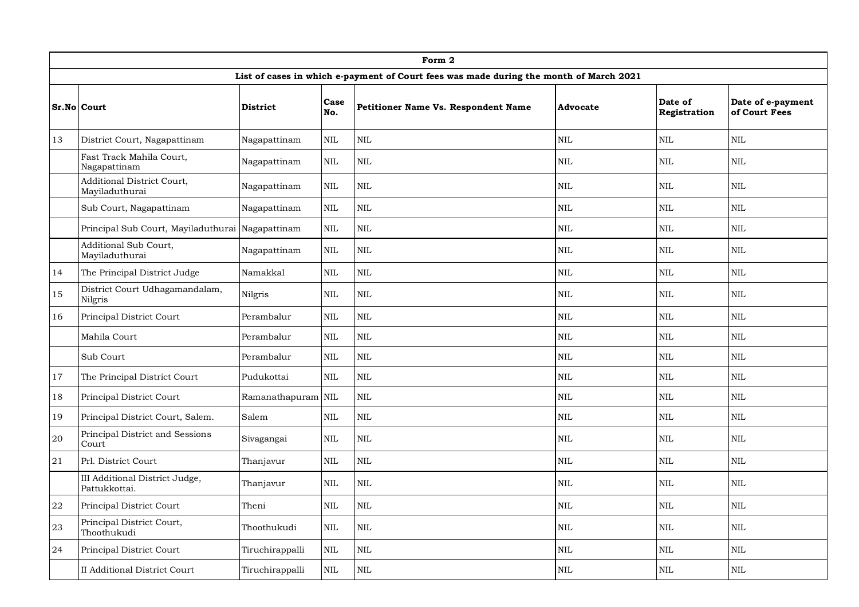|        | Form 2                                           |                    |              |                                                                                        |            |                         |                                    |  |  |  |  |  |
|--------|--------------------------------------------------|--------------------|--------------|----------------------------------------------------------------------------------------|------------|-------------------------|------------------------------------|--|--|--|--|--|
|        |                                                  |                    |              | List of cases in which e-payment of Court fees was made during the month of March 2021 |            |                         |                                    |  |  |  |  |  |
|        | Sr.No Court                                      | <b>District</b>    | Case<br>No.  | Petitioner Name Vs. Respondent Name                                                    | Advocate   | Date of<br>Registration | Date of e-payment<br>of Court Fees |  |  |  |  |  |
| 13     | District Court, Nagapattinam                     | Nagapattinam       | <b>NIL</b>   | <b>NIL</b>                                                                             | <b>NIL</b> | <b>NIL</b>              | <b>NIL</b>                         |  |  |  |  |  |
|        | Fast Track Mahila Court,<br>Nagapattinam         | Nagapattinam       | <b>NIL</b>   | <b>NIL</b>                                                                             | <b>NIL</b> | <b>NIL</b>              | <b>NIL</b>                         |  |  |  |  |  |
|        | Additional District Court,<br>Mayiladuthurai     | Nagapattinam       | <b>NIL</b>   | <b>NIL</b>                                                                             | <b>NIL</b> | <b>NIL</b>              | <b>NIL</b>                         |  |  |  |  |  |
|        | Sub Court, Nagapattinam                          | Nagapattinam       | <b>NIL</b>   | $\rm NIL$                                                                              | $\rm NIL$  | $\rm NIL$               | $\rm NIL$                          |  |  |  |  |  |
|        | Principal Sub Court, Mayiladuthurai Nagapattinam |                    | <b>NIL</b>   | <b>NIL</b>                                                                             | $\rm NIL$  | $\mbox{NIL}$            | <b>NIL</b>                         |  |  |  |  |  |
|        | Additional Sub Court,<br>Mayiladuthurai          | Nagapattinam       | NIL          | $\rm NIL$                                                                              | $\rm NIL$  | $\mbox{NIL}$            | $\rm NIL$                          |  |  |  |  |  |
| 14     | The Principal District Judge                     | Namakkal           | NIL          | <b>NIL</b>                                                                             | <b>NIL</b> | <b>NIL</b>              | <b>NIL</b>                         |  |  |  |  |  |
| 15     | District Court Udhagamandalam,<br>Nilgris        | Nilgris            | <b>NIL</b>   | $\mbox{NIL}$                                                                           | <b>NIL</b> | <b>NIL</b>              | <b>NIL</b>                         |  |  |  |  |  |
| 16     | Principal District Court                         | Perambalur         | <b>NIL</b>   | $\mbox{NIL}$                                                                           | <b>NIL</b> | $\mbox{NIL}$            | <b>NIL</b>                         |  |  |  |  |  |
|        | Mahila Court                                     | Perambalur         | <b>NIL</b>   | $\mbox{NIL}$                                                                           | <b>NIL</b> | <b>NIL</b>              | <b>NIL</b>                         |  |  |  |  |  |
|        | Sub Court                                        | Perambalur         | NIL          | $\mbox{NIL}$                                                                           | $\rm NIL$  | $\mbox{NIL}$            | <b>NIL</b>                         |  |  |  |  |  |
| 17     | The Principal District Court                     | Pudukottai         | <b>NIL</b>   | $\rm NIL$                                                                              | $\rm NIL$  | $\mbox{NIL}$            | <b>NIL</b>                         |  |  |  |  |  |
| 18     | Principal District Court                         | Ramanathapuram NIL |              | $\mbox{NIL}$                                                                           | $\rm NIL$  | $\rm NIL$               | $\rm NIL$                          |  |  |  |  |  |
| 19     | Principal District Court, Salem.                 | Salem              | <b>NIL</b>   | $\rm NIL$                                                                              | $\rm NIL$  | $\mbox{NIL}$            | $\rm NIL$                          |  |  |  |  |  |
| $20\,$ | Principal District and Sessions<br>Court         | Sivagangai         | <b>NIL</b>   | <b>NIL</b>                                                                             | <b>NIL</b> | <b>NIL</b>              | <b>NIL</b>                         |  |  |  |  |  |
| 21     | Prl. District Court                              | Thanjavur          | <b>NIL</b>   | $\text{NIL}$                                                                           | <b>NIL</b> | NIL                     | <b>NIL</b>                         |  |  |  |  |  |
|        | III Additional District Judge,<br>Pattukkottai.  | Thanjavur          | NIL          | <b>NIL</b>                                                                             | NIL        | <b>NIL</b>              | <b>NIL</b>                         |  |  |  |  |  |
| 22     | Principal District Court                         | Theni              | NIL          | $\rm NIL$                                                                              | $\rm NIL$  | $\rm NIL$               | $\rm NIL$                          |  |  |  |  |  |
| 23     | Principal District Court,<br>Thoothukudi         | Thoothukudi        | <b>NIL</b>   | $\rm NIL$                                                                              | <b>NIL</b> | $\mbox{NIL}$            | $\rm NIL$                          |  |  |  |  |  |
| 24     | Principal District Court                         | Tiruchirappalli    | $\mbox{NIL}$ | $\mbox{NIL}$                                                                           | $\rm NIL$  | $\rm NIL$               | <b>NIL</b>                         |  |  |  |  |  |
|        | II Additional District Court                     | Tiruchirappalli    | <b>NIL</b>   | <b>NIL</b>                                                                             | <b>NIL</b> | <b>NIL</b>              | $\rm NIL$                          |  |  |  |  |  |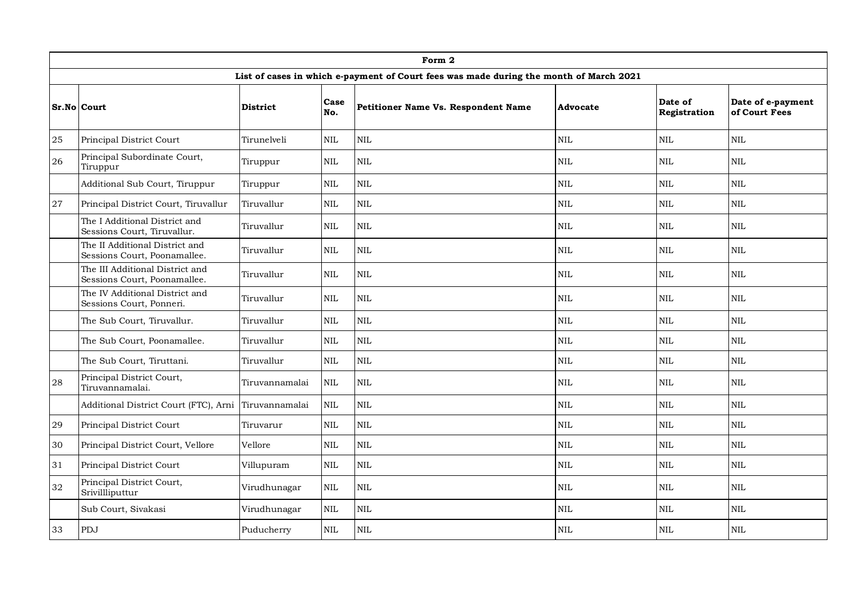|        | Form 2                                                          |                 |             |                                                                                        |              |                         |                                    |  |  |  |  |  |
|--------|-----------------------------------------------------------------|-----------------|-------------|----------------------------------------------------------------------------------------|--------------|-------------------------|------------------------------------|--|--|--|--|--|
|        |                                                                 |                 |             | List of cases in which e-payment of Court fees was made during the month of March 2021 |              |                         |                                    |  |  |  |  |  |
|        | <b>Sr.No Court</b>                                              | <b>District</b> | Case<br>No. | Petitioner Name Vs. Respondent Name                                                    | Advocate     | Date of<br>Registration | Date of e-payment<br>of Court Fees |  |  |  |  |  |
| $25\,$ | Principal District Court                                        | Tirunelveli     | <b>NIL</b>  | $\mbox{NIL}$                                                                           | NIL          | $\mbox{NIL}$            | <b>NIL</b>                         |  |  |  |  |  |
| 26     | Principal Subordinate Court,<br>Tiruppur                        | Tiruppur        | <b>NIL</b>  | $\mbox{NIL}$                                                                           | <b>NIL</b>   | <b>NIL</b>              | <b>NIL</b>                         |  |  |  |  |  |
|        | Additional Sub Court, Tiruppur                                  | Tiruppur        | <b>NIL</b>  | $\mbox{NIL}$                                                                           | $\rm NIL$    | $\mbox{NIL}$            | <b>NIL</b>                         |  |  |  |  |  |
| 27     | Principal District Court, Tiruvallur                            | Tiruvallur      | <b>NIL</b>  | $\mbox{NIL}$                                                                           | NIL          | <b>NIL</b>              | <b>NIL</b>                         |  |  |  |  |  |
|        | The I Additional District and<br>Sessions Court, Tiruvallur.    | Tiruvallur      | <b>NIL</b>  | $\mbox{NIL}$                                                                           | $\rm NIL$    | $\mbox{NIL}$            | <b>NIL</b>                         |  |  |  |  |  |
|        | The II Additional District and<br>Sessions Court, Poonamallee.  | Tiruvallur      | <b>NIL</b>  | <b>NIL</b>                                                                             | <b>NIL</b>   | <b>NIL</b>              | <b>NIL</b>                         |  |  |  |  |  |
|        | The III Additional District and<br>Sessions Court, Poonamallee. | Tiruvallur      | <b>NIL</b>  | <b>NIL</b>                                                                             | <b>NIL</b>   | <b>NIL</b>              | <b>NIL</b>                         |  |  |  |  |  |
|        | The IV Additional District and<br>Sessions Court, Ponneri.      | Tiruvallur      | <b>NIL</b>  | $\mbox{NIL}$                                                                           | $\rm NIL$    | $\mbox{NIL}$            | <b>NIL</b>                         |  |  |  |  |  |
|        | The Sub Court, Tiruvallur.                                      | Tiruvallur      | <b>NIL</b>  | $\mbox{NIL}$                                                                           | NIL          | <b>NIL</b>              | <b>NIL</b>                         |  |  |  |  |  |
|        | The Sub Court, Poonamallee.                                     | Tiruvallur      | <b>NIL</b>  | $\mbox{NIL}$                                                                           | NIL          | $\mbox{NIL}$            | <b>NIL</b>                         |  |  |  |  |  |
|        | The Sub Court, Tiruttani.                                       | Tiruvallur      | <b>NIL</b>  | $\mbox{NIL}$                                                                           | NIL          | $\mbox{NIL}$            | <b>NIL</b>                         |  |  |  |  |  |
| 28     | Principal District Court,<br>Tiruvannamalai.                    | Tiruvannamalai  | <b>NIL</b>  | $\mbox{NIL}$                                                                           | $\rm NIL$    | $\mbox{NIL}$            | <b>NIL</b>                         |  |  |  |  |  |
|        | Additional District Court (FTC), Arni                           | Tiruvannamalai  | <b>NIL</b>  | $\mbox{NIL}$                                                                           | NIL          | <b>NIL</b>              | <b>NIL</b>                         |  |  |  |  |  |
| 29     | Principal District Court                                        | Tiruvarur       | <b>NIL</b>  | $\mbox{NIL}$                                                                           | <b>NIL</b>   | $\mbox{NIL}$            | <b>NIL</b>                         |  |  |  |  |  |
| 30     | Principal District Court, Vellore                               | Vellore         | <b>NIL</b>  | $\mbox{NIL}$                                                                           | NIL          | $\mbox{NIL}$            | <b>NIL</b>                         |  |  |  |  |  |
| 31     | Principal District Court                                        | Villupuram      | <b>NIL</b>  | $\mbox{NIL}$                                                                           | NIL          | $\mbox{NIL}$            | <b>NIL</b>                         |  |  |  |  |  |
| 32     | Principal District Court,<br>Srivillliputtur                    | Virudhunagar    | <b>NIL</b>  | $\mbox{NIL}$                                                                           | $\rm NIL$    | $\mbox{NIL}$            | <b>NIL</b>                         |  |  |  |  |  |
|        | Sub Court, Sivakasi                                             | Virudhunagar    | <b>NIL</b>  | $\mbox{NIL}$                                                                           | NIL          | <b>NIL</b>              | <b>NIL</b>                         |  |  |  |  |  |
| 33     | PDJ                                                             | Puducherry      | NIL         | $\mbox{NIL}$                                                                           | $\mbox{NIL}$ | $\mbox{NIL}$            | <b>NIL</b>                         |  |  |  |  |  |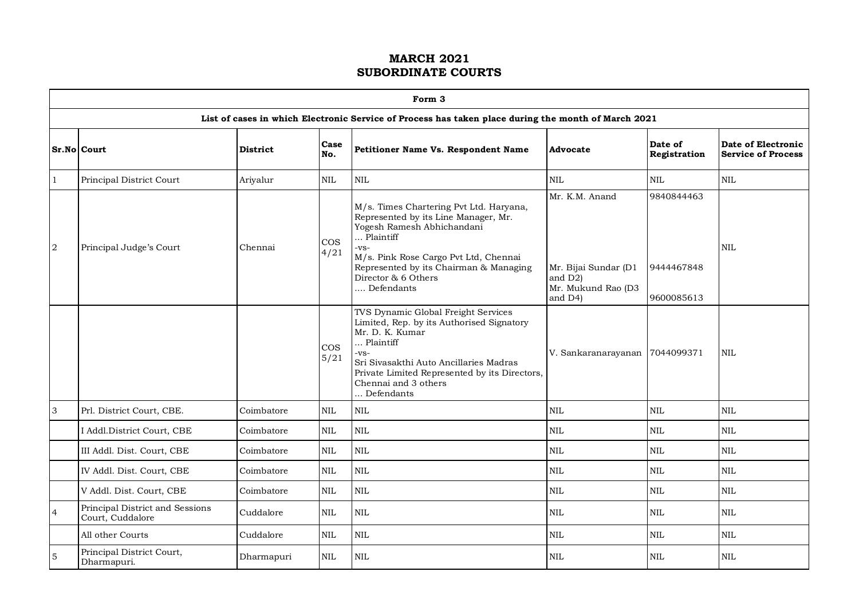|                | Form 3                                              |                 |                |                                                                                                                                                                                                                                                              |                                                                                    |                                        |                                                 |  |  |  |  |  |
|----------------|-----------------------------------------------------|-----------------|----------------|--------------------------------------------------------------------------------------------------------------------------------------------------------------------------------------------------------------------------------------------------------------|------------------------------------------------------------------------------------|----------------------------------------|-------------------------------------------------|--|--|--|--|--|
|                |                                                     |                 |                | List of cases in which Electronic Service of Process has taken place during the month of March 2021                                                                                                                                                          |                                                                                    |                                        |                                                 |  |  |  |  |  |
|                | Sr.No Court                                         | <b>District</b> | Case<br>No.    | Petitioner Name Vs. Respondent Name                                                                                                                                                                                                                          | Advocate                                                                           | Date of<br>Registration                | Date of Electronic<br><b>Service of Process</b> |  |  |  |  |  |
| 1              | Principal District Court                            | Ariyalur        | $\mbox{NIL}$   | NIL                                                                                                                                                                                                                                                          | $\text{NIL}$                                                                       | $\mbox{NIL}$                           | $\rm NIL$                                       |  |  |  |  |  |
| $\overline{a}$ | Principal Judge's Court                             | Chennai         | $\cos$<br>4/21 | M/s. Times Chartering Pvt Ltd. Haryana,<br>Represented by its Line Manager, Mr.<br>Yogesh Ramesh Abhichandani<br>Plaintiff<br>$-VS-$<br>M/s. Pink Rose Cargo Pvt Ltd, Chennai<br>Represented by its Chairman & Managing<br>Director & 6 Others<br>Defendants | Mr. K.M. Anand<br>Mr. Bijai Sundar (D1<br>and D2)<br>Mr. Mukund Rao (D3<br>and D4) | 9840844463<br>9444467848<br>9600085613 | <b>NIL</b>                                      |  |  |  |  |  |
|                |                                                     |                 | $\cos$<br>5/21 | TVS Dynamic Global Freight Services<br>Limited, Rep. by its Authorised Signatory<br>Mr. D. K. Kumar<br>Plaintiff<br>$-VS-$<br>Sri Sivasakthi Auto Ancillaries Madras<br>Private Limited Represented by its Directors,<br>Chennai and 3 others<br>Defendants  | V. Sankaranarayanan                                                                | 7044099371                             | NIL.                                            |  |  |  |  |  |
| 3              | Prl. District Court, CBE.                           | Coimbatore      | $\mbox{NIL}$   | <b>NIL</b>                                                                                                                                                                                                                                                   | NIL                                                                                | $\mbox{NIL}$                           | $\rm NIL$                                       |  |  |  |  |  |
|                | I Addl.District Court, CBE                          | Coimbatore      | <b>NIL</b>     | <b>NIL</b>                                                                                                                                                                                                                                                   | $\mbox{NIL}$                                                                       | $\mbox{NIL}$                           | $\rm NIL$                                       |  |  |  |  |  |
|                | III Addl. Dist. Court, CBE                          | Coimbatore      | <b>NIL</b>     | <b>NIL</b>                                                                                                                                                                                                                                                   | NIL                                                                                | $\mbox{NIL}$                           | $\mbox{NIL}$                                    |  |  |  |  |  |
|                | IV Addl. Dist. Court, CBE                           | Coimbatore      | NIL.           | <b>NIL</b>                                                                                                                                                                                                                                                   | NIL                                                                                | $\mbox{NIL}$                           | NIL.                                            |  |  |  |  |  |
|                | V Addl. Dist. Court, CBE                            | Coimbatore      | $\rm NIL$      | $\mbox{NIL}$                                                                                                                                                                                                                                                 | $\mbox{NIL}$                                                                       | $\mbox{NIL}$                           | $\mbox{NIL}$                                    |  |  |  |  |  |
| $\overline{4}$ | Principal District and Sessions<br>Court, Cuddalore | Cuddalore       | $\mbox{NIL}$   | <b>NIL</b>                                                                                                                                                                                                                                                   | NIL                                                                                | $\mbox{NIL}$                           | $\mbox{NIL}$                                    |  |  |  |  |  |
|                | All other Courts                                    | Cuddalore       | <b>NIL</b>     | <b>NIL</b>                                                                                                                                                                                                                                                   | $\mbox{NIL}$                                                                       | $\mbox{NIL}$                           | <b>NIL</b>                                      |  |  |  |  |  |
| $\mathbf 5$    | Principal District Court,<br>Dharmapuri.            | Dharmapuri      | NIL            | <b>NIL</b>                                                                                                                                                                                                                                                   | <b>NIL</b>                                                                         | <b>NIL</b>                             | <b>NIL</b>                                      |  |  |  |  |  |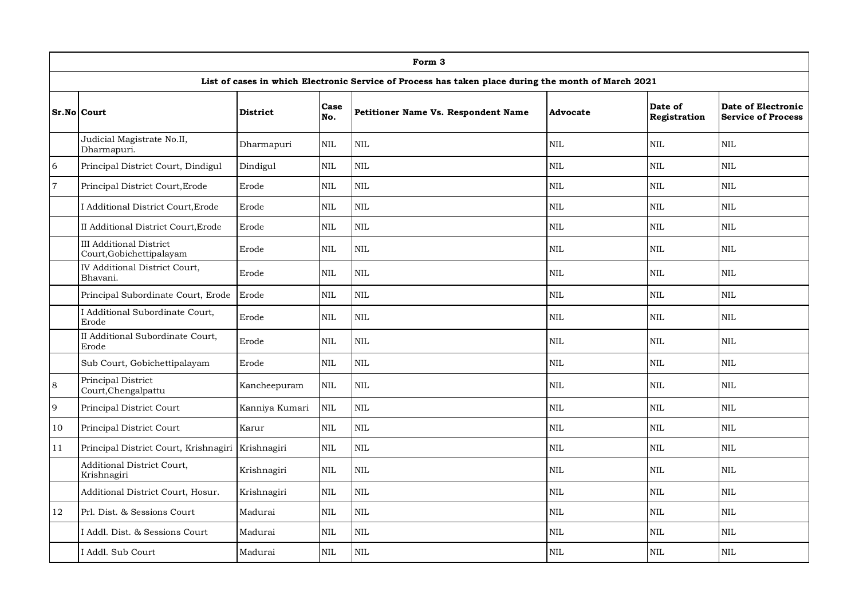|                | Form 3                                                     |                 |              |                                                                                                     |                 |                         |                                                 |  |  |  |  |
|----------------|------------------------------------------------------------|-----------------|--------------|-----------------------------------------------------------------------------------------------------|-----------------|-------------------------|-------------------------------------------------|--|--|--|--|
|                |                                                            |                 |              | List of cases in which Electronic Service of Process has taken place during the month of March 2021 |                 |                         |                                                 |  |  |  |  |
|                | Sr.No Court                                                | <b>District</b> | Case<br>No.  | <b>Petitioner Name Vs. Respondent Name</b>                                                          | <b>Advocate</b> | Date of<br>Registration | Date of Electronic<br><b>Service of Process</b> |  |  |  |  |
|                | Judicial Magistrate No.II,<br>Dharmapuri.                  | Dharmapuri      | <b>NIL</b>   | $\mbox{NIL}$                                                                                        | <b>NIL</b>      | <b>NIL</b>              | $\mbox{NIL}$                                    |  |  |  |  |
| $\sqrt{6}$     | Principal District Court, Dindigul                         | Dindigul        | $\mbox{NIL}$ | <b>NIL</b>                                                                                          | $\mbox{NIL}$    | <b>NIL</b>              | <b>NIL</b>                                      |  |  |  |  |
| $\overline{7}$ | Principal District Court, Erode                            | Erode           | $\mbox{NIL}$ | NIL                                                                                                 | <b>NIL</b>      | <b>NIL</b>              | <b>NIL</b>                                      |  |  |  |  |
|                | I Additional District Court, Erode                         | Erode           | $\mbox{NIL}$ | <b>NIL</b>                                                                                          | <b>NIL</b>      | NIL                     | <b>NIL</b>                                      |  |  |  |  |
|                | II Additional District Court, Erode                        | Erode           | <b>NIL</b>   | NIL                                                                                                 | <b>NIL</b>      | <b>NIL</b>              | <b>NIL</b>                                      |  |  |  |  |
|                | <b>III</b> Additional District<br>Court, Gobichettipalayam | Erode           | <b>NIL</b>   | NIL                                                                                                 | <b>NIL</b>      | <b>NIL</b>              | <b>NIL</b>                                      |  |  |  |  |
|                | IV Additional District Court,<br>Bhavani.                  | Erode           | <b>NIL</b>   | <b>NIL</b>                                                                                          | <b>NIL</b>      | <b>NIL</b>              | <b>NIL</b>                                      |  |  |  |  |
|                | Principal Subordinate Court, Erode                         | Erode           | $\mbox{NIL}$ | $\mbox{NIL}$                                                                                        | $\mbox{NIL}$    | NIL                     | <b>NIL</b>                                      |  |  |  |  |
|                | I Additional Subordinate Court,<br>Erode                   | Erode           | <b>NIL</b>   | NIL                                                                                                 | <b>NIL</b>      | <b>NIL</b>              | <b>NIL</b>                                      |  |  |  |  |
|                | II Additional Subordinate Court,<br>Erode                  | Erode           | <b>NIL</b>   | $\mbox{NIL}$                                                                                        | <b>NIL</b>      | <b>NIL</b>              | <b>NIL</b>                                      |  |  |  |  |
|                | Sub Court, Gobichettipalayam                               | Erode           | $\mbox{NIL}$ | <b>NIL</b>                                                                                          | $\mbox{NIL}$    | <b>NIL</b>              | <b>NIL</b>                                      |  |  |  |  |
| 8              | Principal District<br>Court, Chengalpattu                  | Kancheepuram    | $\mbox{NIL}$ | $\mbox{NIL}$                                                                                        | $\mbox{NIL}$    | <b>NIL</b>              | <b>NIL</b>                                      |  |  |  |  |
| 9              | Principal District Court                                   | Kanniya Kumari  | $\mbox{NIL}$ | $\mbox{NIL}$                                                                                        | $\mbox{NIL}$    | $\mbox{NIL}$            | $\mbox{NIL}$                                    |  |  |  |  |
| 10             | Principal District Court                                   | Karur           | <b>NIL</b>   | <b>NIL</b>                                                                                          | <b>NIL</b>      | <b>NIL</b>              | <b>NIL</b>                                      |  |  |  |  |
| 11             | Principal District Court, Krishnagiri                      | Krishnagiri     | <b>NIL</b>   | NIL                                                                                                 | <b>NIL</b>      | <b>NIL</b>              | <b>NIL</b>                                      |  |  |  |  |
|                | Additional District Court,<br>Krishnagiri                  | Krishnagiri     | <b>NIL</b>   | <b>NIL</b>                                                                                          | <b>NIL</b>      | <b>NIL</b>              | <b>NIL</b>                                      |  |  |  |  |
|                | Additional District Court, Hosur.                          | Krishnagiri     | <b>NIL</b>   | NIL                                                                                                 | $\text{NIL}$    | $\text{NIL}$            | <b>NIL</b>                                      |  |  |  |  |
| 12             | Prl. Dist. & Sessions Court                                | Madurai         | <b>NIL</b>   | NIL                                                                                                 | <b>NIL</b>      | <b>NIL</b>              | <b>NIL</b>                                      |  |  |  |  |
|                | I Addl. Dist. & Sessions Court                             | Madurai         | NIL          | $\mbox{NIL}$                                                                                        | <b>NIL</b>      | $\mbox{NIL}$            | <b>NIL</b>                                      |  |  |  |  |
|                | I Addl. Sub Court                                          | Madurai         | <b>NIL</b>   | $\mbox{NIL}$                                                                                        | $\mbox{NIL}$    | <b>NIL</b>              | <b>NIL</b>                                      |  |  |  |  |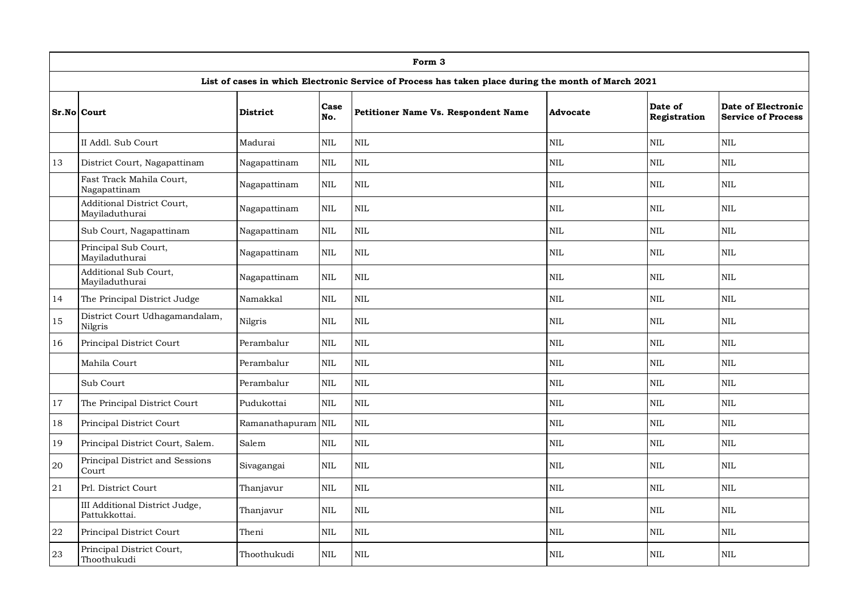|             |                                                 |                    |              | Form 3                                                                                              |            |                         |                                                 |
|-------------|-------------------------------------------------|--------------------|--------------|-----------------------------------------------------------------------------------------------------|------------|-------------------------|-------------------------------------------------|
|             |                                                 |                    |              | List of cases in which Electronic Service of Process has taken place during the month of March 2021 |            |                         |                                                 |
|             | Sr.No Court                                     | <b>District</b>    | Case<br>No.  | Petitioner Name Vs. Respondent Name                                                                 | Advocate   | Date of<br>Registration | Date of Electronic<br><b>Service of Process</b> |
|             | II Addl. Sub Court                              | Madurai            | <b>NIL</b>   | <b>NIL</b>                                                                                          | NIL        | <b>NIL</b>              | <b>NIL</b>                                      |
| 13          | District Court, Nagapattinam                    | Nagapattinam       | NIL          | NIL                                                                                                 | $\rm NIL$  | $\rm NIL$               | $\rm NIL$                                       |
|             | Fast Track Mahila Court,<br>Nagapattinam        | Nagapattinam       | $\mbox{NIL}$ | $\mbox{NIL}$                                                                                        | <b>NIL</b> | NIL                     | <b>NIL</b>                                      |
|             | Additional District Court,<br>Mayiladuthurai    | Nagapattinam       | NIL          | $\mbox{NIL}$                                                                                        | $\rm NIL$  | <b>NIL</b>              | $\rm NIL$                                       |
|             | Sub Court, Nagapattinam                         | Nagapattinam       | <b>NIL</b>   | <b>NIL</b>                                                                                          | <b>NIL</b> | <b>NIL</b>              | <b>NIL</b>                                      |
|             | Principal Sub Court,<br>Mayiladuthurai          | Nagapattinam       | NIL          | NIL                                                                                                 | <b>NIL</b> | <b>NIL</b>              | <b>NIL</b>                                      |
|             | Additional Sub Court,<br>Mayiladuthurai         | Nagapattinam       | $\mbox{NIL}$ | $\mbox{NIL}$                                                                                        | <b>NIL</b> | <b>NIL</b>              | <b>NIL</b>                                      |
| 14          | The Principal District Judge                    | Namakkal           | NIL          | $\mbox{NIL}$                                                                                        | $\rm NIL$  | <b>NIL</b>              | NIL                                             |
| 15          | District Court Udhagamandalam,<br>Nilgris       | Nilgris            | NIL          | $\mbox{NIL}$                                                                                        | <b>NIL</b> | <b>NIL</b>              | <b>NIL</b>                                      |
| 16          | Principal District Court                        | Perambalur         | <b>NIL</b>   | <b>NIL</b>                                                                                          | <b>NIL</b> | <b>NIL</b>              | <b>NIL</b>                                      |
|             | Mahila Court                                    | Perambalur         | <b>NIL</b>   | NIL                                                                                                 | <b>NIL</b> | <b>NIL</b>              | <b>NIL</b>                                      |
|             | Sub Court                                       | Perambalur         | $\mbox{NIL}$ | $\mbox{NIL}$                                                                                        | <b>NIL</b> | $\mbox{NIL}$            | $\mbox{NIL}$                                    |
| 17          | The Principal District Court                    | Pudukottai         | <b>NIL</b>   | <b>NIL</b>                                                                                          | <b>NIL</b> | <b>NIL</b>              | <b>NIL</b>                                      |
| 18          | Principal District Court                        | Ramanathapuram NIL |              | $\mbox{NIL}$                                                                                        | NIL        | <b>NIL</b>              | <b>NIL</b>                                      |
| 19          | Principal District Court, Salem.                | Salem              | $\mbox{NIL}$ | <b>NIL</b>                                                                                          | NIL        | <b>NIL</b>              | <b>NIL</b>                                      |
| $20\,$      | Principal District and Sessions<br>Court        | Sivagangai         | NIL          | $\mbox{NIL}$                                                                                        | <b>NIL</b> | <b>NIL</b>              | <b>NIL</b>                                      |
| $2\sqrt{1}$ | Prl. District Court                             | Thanjavur          | <b>NIL</b>   | <b>NIL</b>                                                                                          | <b>NIL</b> | <b>NIL</b>              | <b>NIL</b>                                      |
|             | III Additional District Judge,<br>Pattukkottai. | Thanjavur          | <b>NIL</b>   | <b>NIL</b>                                                                                          | <b>NIL</b> | <b>NIL</b>              | <b>NIL</b>                                      |
| ${\bf 22}$  | Principal District Court                        | Theni              | $\mbox{NIL}$ | $\rm NIL$                                                                                           | $\rm NIL$  | NIL                     | NIL                                             |
| 23          | Principal District Court,<br>Thoothukudi        | Thoothukudi        | <b>NIL</b>   | <b>NIL</b>                                                                                          | <b>NIL</b> | <b>NIL</b>              | <b>NIL</b>                                      |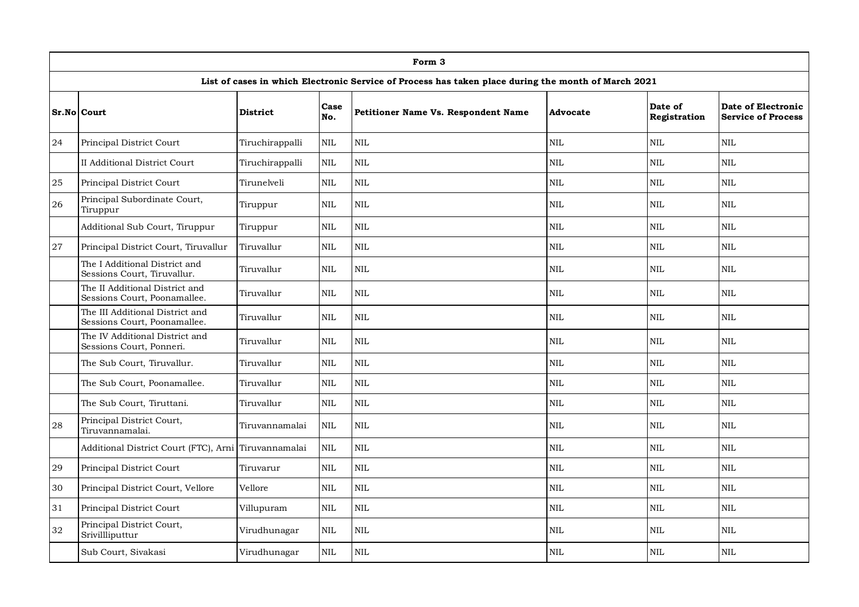|    | Form 3                                                          |                 |              |                                                                                                     |                 |                         |                                                 |  |  |  |  |  |
|----|-----------------------------------------------------------------|-----------------|--------------|-----------------------------------------------------------------------------------------------------|-----------------|-------------------------|-------------------------------------------------|--|--|--|--|--|
|    |                                                                 |                 |              | List of cases in which Electronic Service of Process has taken place during the month of March 2021 |                 |                         |                                                 |  |  |  |  |  |
|    | Sr.No Court                                                     | <b>District</b> | Case<br>No.  | <b>Petitioner Name Vs. Respondent Name</b>                                                          | <b>Advocate</b> | Date of<br>Registration | Date of Electronic<br><b>Service of Process</b> |  |  |  |  |  |
| 24 | Principal District Court                                        | Tiruchirappalli | $\mbox{NIL}$ | $\rm NIL$                                                                                           | $\mbox{NIL}$    | <b>NIL</b>              | $\rm NIL$                                       |  |  |  |  |  |
|    | II Additional District Court                                    | Tiruchirappalli | <b>NIL</b>   | $\mbox{NIL}$                                                                                        | <b>NIL</b>      | $\text{NIL}$            | <b>NIL</b>                                      |  |  |  |  |  |
| 25 | Principal District Court                                        | Tirunelveli     | <b>NIL</b>   | $\mbox{NIL}$                                                                                        | <b>NIL</b>      | NIL                     | <b>NIL</b>                                      |  |  |  |  |  |
| 26 | Principal Subordinate Court,<br>Tiruppur                        | Tiruppur        | <b>NIL</b>   | <b>NIL</b>                                                                                          | <b>NIL</b>      | <b>NIL</b>              | <b>NIL</b>                                      |  |  |  |  |  |
|    | Additional Sub Court, Tiruppur                                  | Tiruppur        | <b>NIL</b>   | <b>NIL</b>                                                                                          | <b>NIL</b>      | NIL                     | <b>NIL</b>                                      |  |  |  |  |  |
| 27 | Principal District Court, Tiruvallur                            | Tiruvallur      | $\mbox{NIL}$ | $\mbox{NIL}$                                                                                        | $\mbox{NIL}$    | $\mbox{NIL}$            | $\mbox{NIL}$                                    |  |  |  |  |  |
|    | The I Additional District and<br>Sessions Court, Tiruvallur.    | Tiruvallur      | <b>NIL</b>   | $\mbox{NIL}$                                                                                        | <b>NIL</b>      | <b>NIL</b>              | $\mbox{NIL}$                                    |  |  |  |  |  |
|    | The II Additional District and<br>Sessions Court, Poonamallee.  | Tiruvallur      | <b>NIL</b>   | $\mbox{NIL}$                                                                                        | <b>NIL</b>      | <b>NIL</b>              | <b>NIL</b>                                      |  |  |  |  |  |
|    | The III Additional District and<br>Sessions Court, Poonamallee. | Tiruvallur      | <b>NIL</b>   | NIL                                                                                                 | <b>NIL</b>      | <b>NIL</b>              | <b>NIL</b>                                      |  |  |  |  |  |
|    | The IV Additional District and<br>Sessions Court, Ponneri.      | Tiruvallur      | <b>NIL</b>   | $\mbox{NIL}$                                                                                        | <b>NIL</b>      | <b>NIL</b>              | <b>NIL</b>                                      |  |  |  |  |  |
|    | The Sub Court, Tiruvallur.                                      | Tiruvallur      | $\mbox{NIL}$ | <b>NIL</b>                                                                                          | $\mbox{NIL}$    | <b>NIL</b>              | <b>NIL</b>                                      |  |  |  |  |  |
|    | The Sub Court, Poonamallee.                                     | Tiruvallur      | <b>NIL</b>   | $\mbox{NIL}$                                                                                        | <b>NIL</b>      | <b>NIL</b>              | <b>NIL</b>                                      |  |  |  |  |  |
|    | The Sub Court, Tiruttani.                                       | Tiruvallur      | <b>NIL</b>   | <b>NIL</b>                                                                                          | <b>NIL</b>      | <b>NIL</b>              | <b>NIL</b>                                      |  |  |  |  |  |
| 28 | Principal District Court,<br>Tiruvannamalai.                    | Tiruvannamalai  | <b>NIL</b>   | <b>NIL</b>                                                                                          | <b>NIL</b>      | <b>NIL</b>              | <b>NIL</b>                                      |  |  |  |  |  |
|    | Additional District Court (FTC), Arni Tiruvannamalai            |                 | <b>NIL</b>   | NIL                                                                                                 | <b>NIL</b>      | <b>NIL</b>              | <b>NIL</b>                                      |  |  |  |  |  |
| 29 | Principal District Court                                        | Tiruvarur       | <b>NIL</b>   | $\mbox{NIL}$                                                                                        | $\mbox{NIL}$    | $\mbox{NIL}$            | $\rm NIL$                                       |  |  |  |  |  |
| 30 | Principal District Court, Vellore                               | Vellore         | $\mbox{NIL}$ | NIL                                                                                                 | $\mbox{NIL}$    | <b>NIL</b>              | NIL                                             |  |  |  |  |  |
| 31 | Principal District Court                                        | Villupuram      | <b>NIL</b>   | <b>NIL</b>                                                                                          | <b>NIL</b>      | <b>NIL</b>              | <b>NIL</b>                                      |  |  |  |  |  |
| 32 | Principal District Court,<br>Srivillliputtur                    | Virudhunagar    | <b>NIL</b>   | <b>NIL</b>                                                                                          | <b>NIL</b>      | <b>NIL</b>              | <b>NIL</b>                                      |  |  |  |  |  |
|    | Sub Court, Sivakasi                                             | Virudhunagar    | <b>NIL</b>   | $\mbox{NIL}$                                                                                        | $\mbox{NIL}$    | <b>NIL</b>              | <b>NIL</b>                                      |  |  |  |  |  |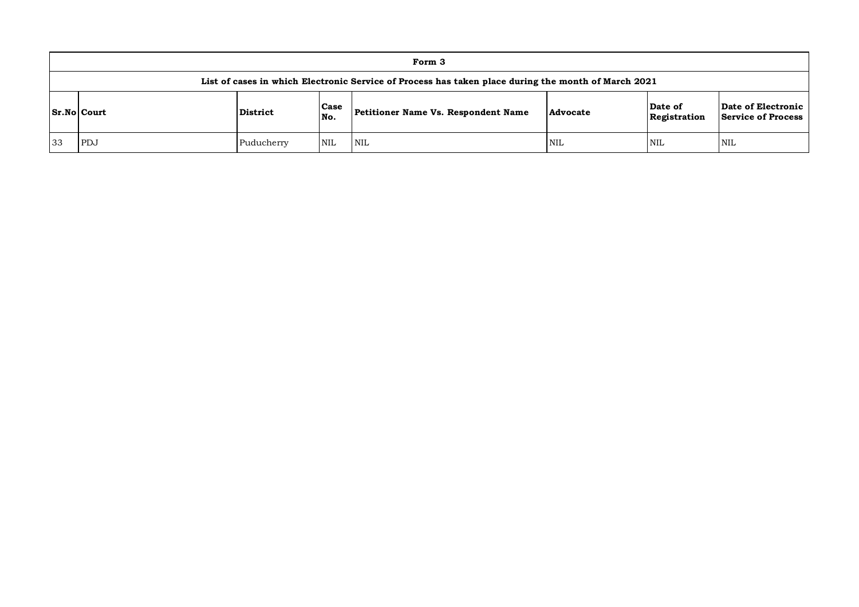|    | Form 3                                                                                              |            |             |                                     |            |                         |                                          |  |  |  |  |
|----|-----------------------------------------------------------------------------------------------------|------------|-------------|-------------------------------------|------------|-------------------------|------------------------------------------|--|--|--|--|
|    | List of cases in which Electronic Service of Process has taken place during the month of March 2021 |            |             |                                     |            |                         |                                          |  |  |  |  |
|    | <b>Sr.No Court</b>                                                                                  | District   | Case<br>No. | Petitioner Name Vs. Respondent Name | Advocate   | Date of<br>Registration | Date of Electronic<br>Service of Process |  |  |  |  |
| 33 | PDJ                                                                                                 | Puducherry | <b>NIL</b>  | <b>NIL</b>                          | <b>NIL</b> | NIL                     | NIL                                      |  |  |  |  |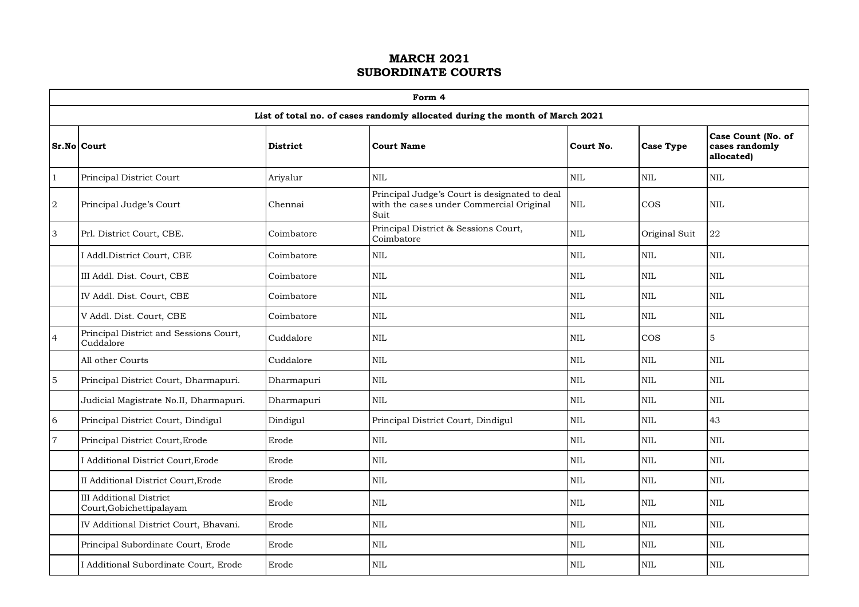|                           | Form 4                                                     |                 |                                                                                                   |            |                  |                                                    |  |  |  |  |  |  |
|---------------------------|------------------------------------------------------------|-----------------|---------------------------------------------------------------------------------------------------|------------|------------------|----------------------------------------------------|--|--|--|--|--|--|
|                           |                                                            |                 | List of total no. of cases randomly allocated during the month of March 2021                      |            |                  |                                                    |  |  |  |  |  |  |
|                           | Sr.No Court                                                | <b>District</b> | <b>Court Name</b>                                                                                 | Court No.  | <b>Case Type</b> | Case Count (No. of<br>cases randomly<br>allocated) |  |  |  |  |  |  |
| 1                         | Principal District Court                                   | Arivalur        | <b>NIL</b>                                                                                        | <b>NIL</b> | NIL              | $\mbox{NIL}$                                       |  |  |  |  |  |  |
| $\,2$                     | Principal Judge's Court                                    | Chennai         | Principal Judge's Court is designated to deal<br>with the cases under Commercial Original<br>Suit | <b>NIL</b> | $\cos$           | $\mbox{NIL}$                                       |  |  |  |  |  |  |
| $\ensuremath{\mathsf{3}}$ | Prl. District Court, CBE.                                  | Coimbatore      | Principal District & Sessions Court,<br>Coimbatore                                                | <b>NIL</b> | Original Suit    | 22                                                 |  |  |  |  |  |  |
|                           | I Addl.District Court, CBE                                 | Coimbatore      | <b>NIL</b>                                                                                        | <b>NIL</b> | <b>NIL</b>       | $\text{NIL}$                                       |  |  |  |  |  |  |
|                           | III Addl. Dist. Court, CBE                                 | Coimbatore      | $\mbox{NIL}$                                                                                      | <b>NIL</b> | <b>NIL</b>       | $\mbox{NIL}$                                       |  |  |  |  |  |  |
|                           | IV Addl. Dist. Court, CBE                                  | Coimbatore      | $\mbox{NIL}$                                                                                      | <b>NIL</b> | NIL              | $\text{NIL}$                                       |  |  |  |  |  |  |
|                           | V Addl. Dist. Court, CBE                                   | Coimbatore      | $\text{NIL}$                                                                                      | <b>NIL</b> | NIL              | $\text{NIL}$                                       |  |  |  |  |  |  |
| $\overline{4}$            | Principal District and Sessions Court,<br>Cuddalore        | Cuddalore       | $\rm NIL$                                                                                         | <b>NIL</b> | COS              | 5                                                  |  |  |  |  |  |  |
|                           | All other Courts                                           | Cuddalore       | <b>NIL</b>                                                                                        | <b>NIL</b> | <b>NIL</b>       | <b>NIL</b>                                         |  |  |  |  |  |  |
| $\mathbf 5$               | Principal District Court, Dharmapuri.                      | Dharmapuri      | $\mbox{NIL}$                                                                                      | NIL        | NIL              | $\mbox{NIL}$                                       |  |  |  |  |  |  |
|                           | Judicial Magistrate No.II, Dharmapuri.                     | Dharmapuri      | $\mbox{NIL}$                                                                                      | NIL        | $\mbox{NIL}$     | $\mbox{NIL}$                                       |  |  |  |  |  |  |
| $\,$ 6 $\,$               | Principal District Court, Dindigul                         | Dindigul        | Principal District Court, Dindigul                                                                | <b>NIL</b> | NIL              | 43                                                 |  |  |  |  |  |  |
| $\overline{7}$            | Principal District Court, Erode                            | Erode           | $\mbox{NIL}$                                                                                      | <b>NIL</b> | <b>NIL</b>       | $\text{NIL}$                                       |  |  |  |  |  |  |
|                           | I Additional District Court, Erode                         | Erode           | $\mbox{NIL}$                                                                                      | <b>NIL</b> | NIL              | $\mbox{NIL}$                                       |  |  |  |  |  |  |
|                           | II Additional District Court, Erode                        | Erode           | <b>NIL</b>                                                                                        | <b>NIL</b> | <b>NIL</b>       | $\text{NIL}$                                       |  |  |  |  |  |  |
|                           | <b>III Additional District</b><br>Court, Gobichettipalayam | Erode           | NIL                                                                                               | <b>NIL</b> | NIL              | $\mbox{NIL}$                                       |  |  |  |  |  |  |
|                           | IV Additional District Court, Bhavani.                     | Erode           | $\mbox{NIL}$                                                                                      | <b>NIL</b> | <b>NIL</b>       | $\text{NIL}$                                       |  |  |  |  |  |  |
|                           | Principal Subordinate Court, Erode                         | Erode           | $\mbox{NIL}$                                                                                      | <b>NIL</b> | $\mbox{NIL}$     | $\mbox{NIL}$                                       |  |  |  |  |  |  |
|                           | I Additional Subordinate Court, Erode                      | Erode           | $\mbox{NIL}$                                                                                      | <b>NIL</b> | NIL              | $\mbox{NIL}$                                       |  |  |  |  |  |  |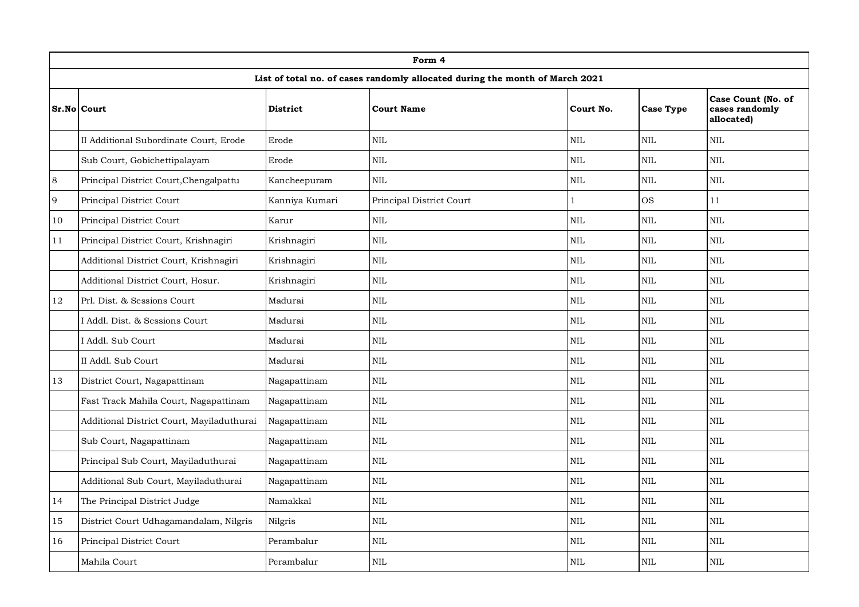|         | Form 4                                    |                 |                                                                              |            |                  |                                                    |  |  |  |  |  |  |  |
|---------|-------------------------------------------|-----------------|------------------------------------------------------------------------------|------------|------------------|----------------------------------------------------|--|--|--|--|--|--|--|
|         |                                           |                 | List of total no. of cases randomly allocated during the month of March 2021 |            |                  |                                                    |  |  |  |  |  |  |  |
|         | Sr.No Court                               | <b>District</b> | <b>Court Name</b>                                                            | Court No.  | <b>Case Type</b> | Case Count (No. of<br>cases randomly<br>allocated) |  |  |  |  |  |  |  |
|         | II Additional Subordinate Court, Erode    | Erode           | NIL                                                                          | <b>NIL</b> | <b>NIL</b>       | NIL                                                |  |  |  |  |  |  |  |
|         | Sub Court, Gobichettipalayam              | Erode           | $\rm NIL$                                                                    | <b>NIL</b> | <b>NIL</b>       | NIL                                                |  |  |  |  |  |  |  |
| $\,8\,$ | Principal District Court, Chengalpattu    | Kancheepuram    | <b>NIL</b>                                                                   | <b>NIL</b> | <b>NIL</b>       | <b>NIL</b>                                         |  |  |  |  |  |  |  |
| 9       | Principal District Court                  | Kanniya Kumari  | Principal District Court                                                     | 1          | <b>OS</b>        | 11                                                 |  |  |  |  |  |  |  |
| 10      | Principal District Court                  | Karur           | $\rm NIL$                                                                    | <b>NIL</b> | $\rm NIL$        | $\rm NIL$                                          |  |  |  |  |  |  |  |
| 11      | Principal District Court, Krishnagiri     | Krishnagiri     | NIL                                                                          | <b>NIL</b> | <b>NIL</b>       | $\mbox{NIL}$                                       |  |  |  |  |  |  |  |
|         | Additional District Court, Krishnagiri    | Krishnagiri     | <b>NIL</b>                                                                   | <b>NIL</b> | $\mbox{NIL}$     | NIL                                                |  |  |  |  |  |  |  |
|         | Additional District Court, Hosur.         | Krishnagiri     | NIL                                                                          | <b>NIL</b> | $\mbox{NIL}$     | NIL                                                |  |  |  |  |  |  |  |
| 12      | Prl. Dist. & Sessions Court               | Madurai         | <b>NIL</b>                                                                   | <b>NIL</b> | <b>NIL</b>       | <b>NIL</b>                                         |  |  |  |  |  |  |  |
|         | I Addl. Dist. & Sessions Court            | Madurai         | NIL                                                                          | <b>NIL</b> | <b>NIL</b>       | NIL                                                |  |  |  |  |  |  |  |
|         | I Addl. Sub Court                         | Madurai         | $\mbox{NIL}$                                                                 | $\rm NIL$  | $\rm NIL$        | NIL                                                |  |  |  |  |  |  |  |
|         | II Addl. Sub Court                        | Madurai         | $\mbox{NIL}$                                                                 | <b>NIL</b> | <b>NIL</b>       | <b>NIL</b>                                         |  |  |  |  |  |  |  |
| 13      | District Court, Nagapattinam              | Nagapattinam    | NIL                                                                          | <b>NIL</b> | <b>NIL</b>       | <b>NIL</b>                                         |  |  |  |  |  |  |  |
|         | Fast Track Mahila Court, Nagapattinam     | Nagapattinam    | $\rm NIL$                                                                    | <b>NIL</b> | $\mbox{NIL}$     | NIL                                                |  |  |  |  |  |  |  |
|         | Additional District Court, Mayiladuthurai | Nagapattinam    | $\mbox{NIL}$                                                                 | <b>NIL</b> | <b>NIL</b>       | <b>NIL</b>                                         |  |  |  |  |  |  |  |
|         | Sub Court, Nagapattinam                   | Nagapattinam    | NIL                                                                          | <b>NIL</b> | $\mbox{NIL}$     | NIL                                                |  |  |  |  |  |  |  |
|         | Principal Sub Court, Mayiladuthurai       | Nagapattinam    | NIL                                                                          | <b>NIL</b> | <b>NIL</b>       | NIL                                                |  |  |  |  |  |  |  |
|         | Additional Sub Court, Mayiladuthurai      | Nagapattinam    | $\mbox{NIL}$                                                                 | <b>NIL</b> | <b>NIL</b>       | <b>NIL</b>                                         |  |  |  |  |  |  |  |
| 14      | The Principal District Judge              | Namakkal        | $\mbox{NIL}$                                                                 | <b>NIL</b> | <b>NIL</b>       | <b>NIL</b>                                         |  |  |  |  |  |  |  |
| 15      | District Court Udhagamandalam, Nilgris    | Nilgris         | NIL                                                                          | $\rm NIL$  | $\rm NIL$        | $\rm NIL$                                          |  |  |  |  |  |  |  |
| 16      | Principal District Court                  | Perambalur      | NIL                                                                          | <b>NIL</b> | <b>NIL</b>       | <b>NIL</b>                                         |  |  |  |  |  |  |  |
|         | Mahila Court                              | Perambalur      | $\mbox{NIL}$                                                                 | <b>NIL</b> | <b>NIL</b>       | <b>NIL</b>                                         |  |  |  |  |  |  |  |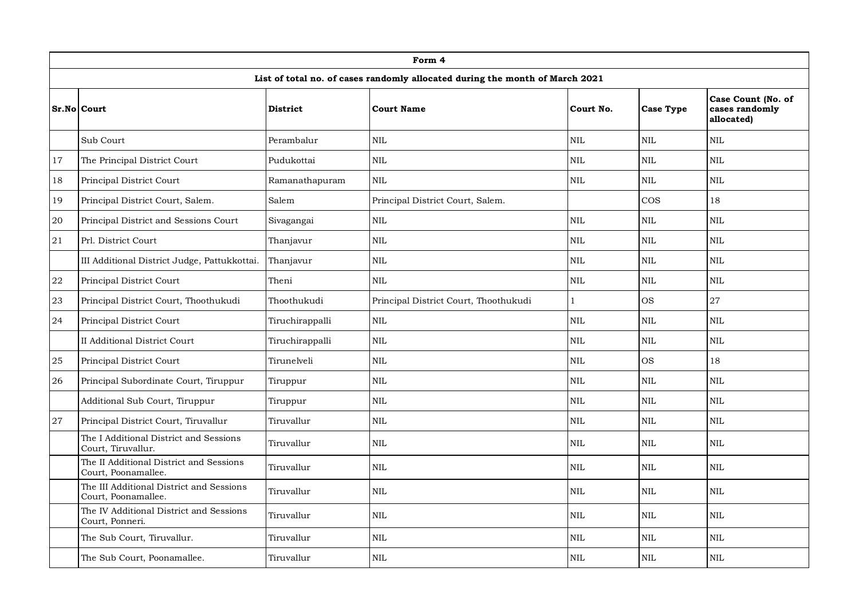|        |                                                                 |                 | Form 4                                                                       |              |                  |                                                    |
|--------|-----------------------------------------------------------------|-----------------|------------------------------------------------------------------------------|--------------|------------------|----------------------------------------------------|
|        |                                                                 |                 | List of total no. of cases randomly allocated during the month of March 2021 |              |                  |                                                    |
|        | Sr.No Court                                                     | <b>District</b> | <b>Court Name</b>                                                            | Court No.    | <b>Case Type</b> | Case Count (No. of<br>cases randomly<br>allocated) |
|        | Sub Court                                                       | Perambalur      | NIL                                                                          | <b>NIL</b>   | <b>NIL</b>       | NIL                                                |
| 17     | The Principal District Court                                    | Pudukottai      | <b>NIL</b>                                                                   | <b>NIL</b>   | <b>NIL</b>       | <b>NIL</b>                                         |
| 18     | Principal District Court                                        | Ramanathapuram  | $\rm NIL$                                                                    | <b>NIL</b>   | NIL              | NIL                                                |
| 19     | Principal District Court, Salem.                                | Salem           | Principal District Court, Salem.                                             |              | $\cos$           | 18                                                 |
| $20\,$ | Principal District and Sessions Court                           | Sivagangai      | NIL                                                                          | $\mbox{NIL}$ | $\mbox{NIL}$     | NIL                                                |
| 21     | Prl. District Court                                             | Thanjavur       | $\rm NIL$                                                                    | <b>NIL</b>   | <b>NIL</b>       | $\mbox{NIL}$                                       |
|        | III Additional District Judge, Pattukkottai.                    | Thanjavur       | <b>NIL</b>                                                                   | <b>NIL</b>   | <b>NIL</b>       | <b>NIL</b>                                         |
| 22     | Principal District Court                                        | Theni           | NIL                                                                          | $\rm NIL$    | $\rm NIL$        | $\rm NIL$                                          |
| 23     | Principal District Court, Thoothukudi                           | Thoothukudi     | Principal District Court, Thoothukudi                                        | $\mathbf{1}$ | <b>OS</b>        | 27                                                 |
| 24     | Principal District Court                                        | Tiruchirappalli | $\mbox{NIL}$                                                                 | <b>NIL</b>   | <b>NIL</b>       | $\mbox{NIL}$                                       |
|        | <b>II Additional District Court</b>                             | Tiruchirappalli | $\rm NIL$                                                                    | <b>NIL</b>   | <b>NIL</b>       | NIL                                                |
| 25     | Principal District Court                                        | Tirunelveli     | NIL                                                                          | $\rm NIL$    | <b>OS</b>        | 18                                                 |
| 26     | Principal Subordinate Court, Tiruppur                           | Tiruppur        | NIL                                                                          | <b>NIL</b>   | <b>NIL</b>       | NIL                                                |
|        | Additional Sub Court, Tiruppur                                  | Tiruppur        | <b>NIL</b>                                                                   | <b>NIL</b>   | <b>NIL</b>       | <b>NIL</b>                                         |
| 27     | Principal District Court, Tiruvallur                            | Tiruvallur      | $\rm NIL$                                                                    | NIL          | $\mbox{NIL}$     | $\mbox{NIL}$                                       |
|        | The I Additional District and Sessions<br>Court, Tiruvallur.    | Tiruvallur      | NIL                                                                          | <b>NIL</b>   | <b>NIL</b>       | <b>NIL</b>                                         |
|        | The II Additional District and Sessions<br>Court, Poonamallee.  | Tiruvallur      | NIL                                                                          | $\rm NIL$    | $\rm NIL$        | $\rm NIL$                                          |
|        | The III Additional District and Sessions<br>Court, Poonamallee. | Tiruvallur      | <b>NIL</b>                                                                   | <b>NIL</b>   | <b>NIL</b>       | <b>NIL</b>                                         |
|        | The IV Additional District and Sessions<br>Court, Ponneri.      | Tiruvallur      | NIL                                                                          | $\rm NIL$    | $\rm NIL$        | $\rm NIL$                                          |
|        | The Sub Court, Tiruvallur.                                      | Tiruvallur      | $\rm NIL$                                                                    | <b>NIL</b>   | <b>NIL</b>       | <b>NIL</b>                                         |
|        | The Sub Court, Poonamallee.                                     | Tiruvallur      | NIL                                                                          | <b>NIL</b>   | <b>NIL</b>       | <b>NIL</b>                                         |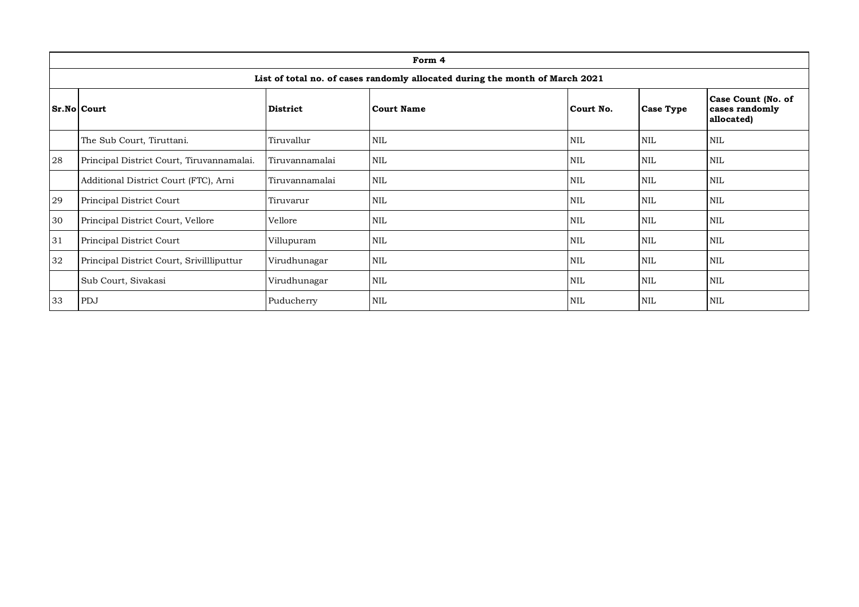|    | Form 4                                                                       |                 |                   |            |                  |                                                    |  |  |  |  |  |  |
|----|------------------------------------------------------------------------------|-----------------|-------------------|------------|------------------|----------------------------------------------------|--|--|--|--|--|--|
|    | List of total no. of cases randomly allocated during the month of March 2021 |                 |                   |            |                  |                                                    |  |  |  |  |  |  |
|    | Sr.No Court                                                                  | <b>District</b> | <b>Court Name</b> | Court No.  | <b>Case Type</b> | Case Count (No. of<br>cases randomly<br>allocated) |  |  |  |  |  |  |
|    | The Sub Court, Tiruttani.                                                    | Tiruvallur      | <b>NIL</b>        | <b>NIL</b> | <b>NIL</b>       | <b>NIL</b>                                         |  |  |  |  |  |  |
| 28 | Principal District Court, Tiruvannamalai.                                    | Tiruvannamalai  | NIL               | <b>NIL</b> | <b>NIL</b>       | NIL                                                |  |  |  |  |  |  |
|    | Additional District Court (FTC), Arni                                        | Tiruvannamalai  | <b>NIL</b>        | <b>NIL</b> | NIL              | <b>NIL</b>                                         |  |  |  |  |  |  |
| 29 | Principal District Court                                                     | Tiruvarur       | NIL               | <b>NIL</b> | NIL              | <b>NIL</b>                                         |  |  |  |  |  |  |
| 30 | Principal District Court, Vellore                                            | Vellore         | <b>NIL</b>        | <b>NIL</b> | NIL              | <b>NIL</b>                                         |  |  |  |  |  |  |
| 31 | Principal District Court                                                     | Villupuram      | <b>NIL</b>        | <b>NIL</b> | NIL              | <b>NIL</b>                                         |  |  |  |  |  |  |
| 32 | Principal District Court, Srivillliputtur                                    | Virudhunagar    | <b>NIL</b>        | <b>NIL</b> | NIL              | <b>NIL</b>                                         |  |  |  |  |  |  |
|    | Sub Court, Sivakasi                                                          | Virudhunagar    | <b>NIL</b>        | <b>NIL</b> | NIL              | <b>NIL</b>                                         |  |  |  |  |  |  |
| 33 | PDJ                                                                          | Puducherry      | NIL               | <b>NIL</b> | <b>NIL</b>       | <b>NIL</b>                                         |  |  |  |  |  |  |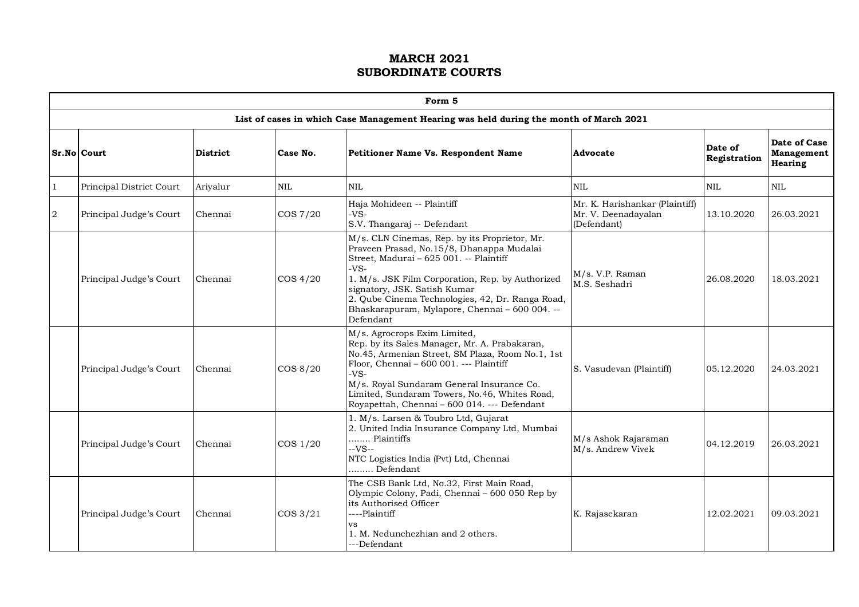|   | Form 5                   |          |             |                                                                                                                                                                                                                                                                                                                                                      |                                                                      |                         |                                              |  |  |  |  |  |  |
|---|--------------------------|----------|-------------|------------------------------------------------------------------------------------------------------------------------------------------------------------------------------------------------------------------------------------------------------------------------------------------------------------------------------------------------------|----------------------------------------------------------------------|-------------------------|----------------------------------------------|--|--|--|--|--|--|
|   |                          |          |             | List of cases in which Case Management Hearing was held during the month of March 2021                                                                                                                                                                                                                                                               |                                                                      |                         |                                              |  |  |  |  |  |  |
|   | Sr.No Court              | District | Case No.    | Petitioner Name Vs. Respondent Name                                                                                                                                                                                                                                                                                                                  | Advocate                                                             | Date of<br>Registration | Date of Case<br>Management<br><b>Hearing</b> |  |  |  |  |  |  |
| 1 | Principal District Court | Arivalur | <b>NIL</b>  | <b>NIL</b>                                                                                                                                                                                                                                                                                                                                           | <b>NIL</b>                                                           | <b>NIL</b>              | $\mbox{NIL}$                                 |  |  |  |  |  |  |
| 2 | Principal Judge's Court  | Chennai  | COS 7/20    | Haja Mohideen -- Plaintiff<br>-VS-<br>S.V. Thangaraj -- Defendant                                                                                                                                                                                                                                                                                    | Mr. K. Harishankar (Plaintiff)<br>Mr. V. Deenadayalan<br>(Defendant) | 13.10.2020              | 26.03.2021                                   |  |  |  |  |  |  |
|   | Principal Judge's Court  | Chennai  | $\cos 4/20$ | M/s. CLN Cinemas, Rep. by its Proprietor, Mr.<br>Praveen Prasad, No.15/8, Dhanappa Mudalai<br>Street, Madurai - 625 001. -- Plaintiff<br>-VS-<br>1. M/s. JSK Film Corporation, Rep. by Authorized<br>signatory, JSK. Satish Kumar<br>2. Qube Cinema Technologies, 42, Dr. Ranga Road,<br>Bhaskarapuram, Mylapore, Chennai - 600 004. --<br>Defendant | M/s. V.P. Raman<br>M.S. Seshadri                                     | 26.08.2020              | 18.03.2021                                   |  |  |  |  |  |  |
|   | Principal Judge's Court  | Chennai  | COS 8/20    | M/s. Agrocrops Exim Limited,<br>Rep. by its Sales Manager, Mr. A. Prabakaran,<br>No.45, Armenian Street, SM Plaza, Room No.1, 1st<br>Floor, Chennai - 600 001. --- Plaintiff<br>$-VS-$<br>M/s. Royal Sundaram General Insurance Co.<br>Limited, Sundaram Towers, No.46, Whites Road,<br>Royapettah, Chennai - 600 014. --- Defendant                 | S. Vasudevan (Plaintiff)                                             | 05.12.2020              | 24.03.2021                                   |  |  |  |  |  |  |
|   | Principal Judge's Court  | Chennai  | COS 1/20    | 1. M/s. Larsen & Toubro Ltd, Gujarat<br>2. United India Insurance Company Ltd, Mumbai<br>Plaintiffs<br>--VS--<br>NTC Logistics India (Pvt) Ltd, Chennai<br>Defendant                                                                                                                                                                                 | M/s Ashok Rajaraman<br>M/s. Andrew Vivek                             | 04.12.2019              | 26.03.2021                                   |  |  |  |  |  |  |
|   | Principal Judge's Court  | Chennai  | $\cos 3/21$ | The CSB Bank Ltd, No.32, First Main Road,<br>Olympic Colony, Padi, Chennai - 600 050 Rep by<br>its Authorised Officer<br>----Plaintiff<br><b>VS</b><br>1. M. Nedunchezhian and 2 others.<br>---Defendant                                                                                                                                             | K. Rajasekaran                                                       | 12.02.2021              | 09.03.2021                                   |  |  |  |  |  |  |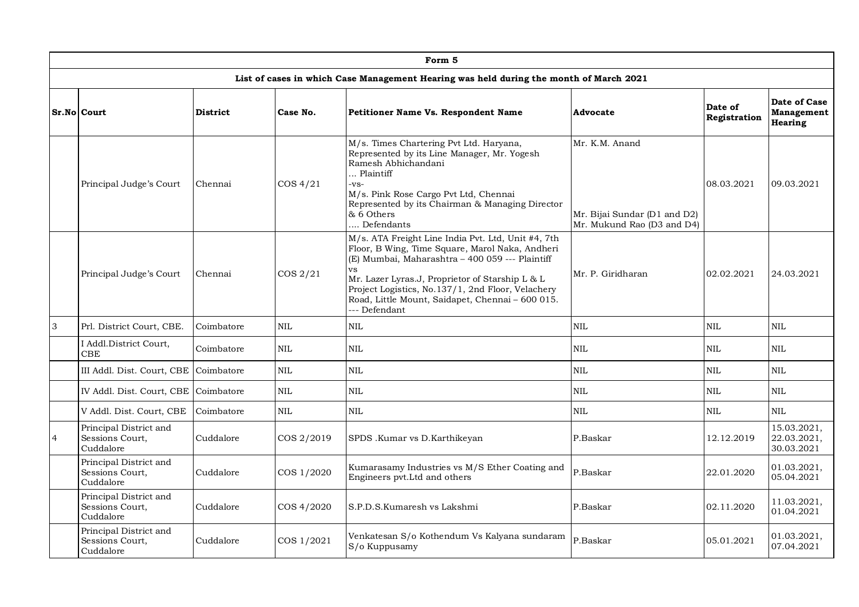|                |                                                        |                 |             | Form 5                                                                                                                                                                                                                                                                                                                                     |                                                                              |                         |                                              |
|----------------|--------------------------------------------------------|-----------------|-------------|--------------------------------------------------------------------------------------------------------------------------------------------------------------------------------------------------------------------------------------------------------------------------------------------------------------------------------------------|------------------------------------------------------------------------------|-------------------------|----------------------------------------------|
|                |                                                        |                 |             | List of cases in which Case Management Hearing was held during the month of March 2021                                                                                                                                                                                                                                                     |                                                                              |                         |                                              |
|                | <b>Sr.No Court</b>                                     | <b>District</b> | Case No.    | Petitioner Name Vs. Respondent Name                                                                                                                                                                                                                                                                                                        | Advocate                                                                     | Date of<br>Registration | Date of Case<br>Management<br><b>Hearing</b> |
|                | Principal Judge's Court                                | Chennai         | $\cos 4/21$ | M/s. Times Chartering Pvt Ltd. Haryana,<br>Represented by its Line Manager, Mr. Yogesh<br>Ramesh Abhichandani<br>Plaintiff<br>-VS-<br>M/s. Pink Rose Cargo Pvt Ltd, Chennai<br>Represented by its Chairman & Managing Director<br>& 6 Others<br>Defendants                                                                                 | Mr. K.M. Anand<br>Mr. Bijai Sundar (D1 and D2)<br>Mr. Mukund Rao (D3 and D4) | 08.03.2021              | 09.03.2021                                   |
|                | Principal Judge's Court                                | Chennai         | $\cos 2/21$ | M/s. ATA Freight Line India Pvt. Ltd, Unit #4, 7th<br>Floor, B Wing, Time Square, Marol Naka, Andheri<br>(E) Mumbai, Maharashtra - 400 059 --- Plaintiff<br>vs<br>Mr. Lazer Lyras.J, Proprietor of Starship L & L<br>Project Logistics, No.137/1, 2nd Floor, Velachery<br>Road, Little Mount, Saidapet, Chennai - 600 015.<br>-- Defendant | Mr. P. Giridharan                                                            | 02.02.2021              | 24.03.2021                                   |
| $\overline{3}$ | Prl. District Court, CBE.                              | Coimbatore      | <b>NIL</b>  | <b>NIL</b>                                                                                                                                                                                                                                                                                                                                 | $\text{NIL}$                                                                 | <b>NIL</b>              | NIL                                          |
|                | I Addl.District Court,<br><b>CBE</b>                   | Coimbatore      | <b>NIL</b>  | <b>NIL</b>                                                                                                                                                                                                                                                                                                                                 | <b>NIL</b>                                                                   | <b>NIL</b>              | NIL.                                         |
|                | III Addl. Dist. Court, CBE                             | Coimbatore      | <b>NIL</b>  | <b>NIL</b>                                                                                                                                                                                                                                                                                                                                 | <b>NIL</b>                                                                   | <b>NIL</b>              | <b>NIL</b>                                   |
|                | IV Addl. Dist. Court, CBE Coimbatore                   |                 | <b>NIL</b>  | <b>NIL</b>                                                                                                                                                                                                                                                                                                                                 | <b>NIL</b>                                                                   | <b>NIL</b>              | NIL                                          |
|                | V Addl. Dist. Court, CBE                               | Coimbatore      | <b>NIL</b>  | <b>NIL</b>                                                                                                                                                                                                                                                                                                                                 | <b>NIL</b>                                                                   | <b>NIL</b>              | <b>NIL</b>                                   |
| $\overline{4}$ | Principal District and<br>Sessions Court,<br>Cuddalore | Cuddalore       | COS 2/2019  | SPDS .Kumar vs D.Karthikeyan                                                                                                                                                                                                                                                                                                               | P.Baskar                                                                     | 12.12.2019              | 15.03.2021.<br>22.03.2021,<br>30.03.2021     |
|                | Principal District and<br>Sessions Court,<br>Cuddalore | Cuddalore       | COS 1/2020  | Kumarasamy Industries vs M/S Ether Coating and<br>Engineers pvt.Ltd and others                                                                                                                                                                                                                                                             | P.Baskar                                                                     | 22.01.2020              | 01.03.2021,<br>05.04.2021                    |
|                | Principal District and<br>Sessions Court,<br>Cuddalore | Cuddalore       | COS 4/2020  | S.P.D.S.Kumaresh vs Lakshmi                                                                                                                                                                                                                                                                                                                | P.Baskar                                                                     | 02.11.2020              | 11.03.2021,<br>01.04.2021                    |
|                | Principal District and<br>Sessions Court,<br>Cuddalore | Cuddalore       | COS 1/2021  | Venkatesan S/o Kothendum Vs Kalyana sundaram<br>S/o Kuppusamy                                                                                                                                                                                                                                                                              | P.Baskar                                                                     | 05.01.2021              | 01.03.2021,<br>07.04.2021                    |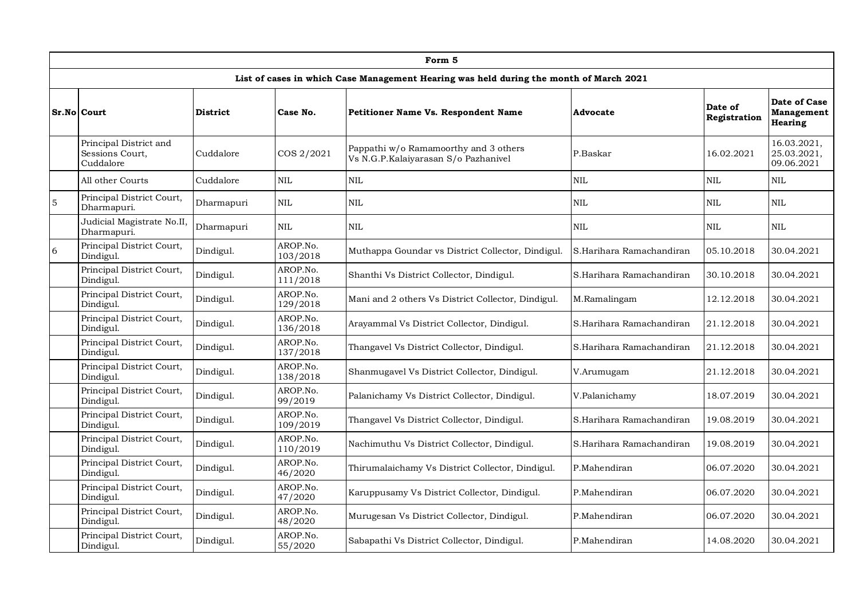|                |                                                        |                 |                      | Form 5                                                                                 |                          |                         |                                          |
|----------------|--------------------------------------------------------|-----------------|----------------------|----------------------------------------------------------------------------------------|--------------------------|-------------------------|------------------------------------------|
|                |                                                        |                 |                      | List of cases in which Case Management Hearing was held during the month of March 2021 |                          |                         |                                          |
|                | Sr.No Court                                            | <b>District</b> | Case No.             | Petitioner Name Vs. Respondent Name                                                    | Advocate                 | Date of<br>Registration | Date of Case<br>Management<br>Hearing    |
|                | Principal District and<br>Sessions Court,<br>Cuddalore | Cuddalore       | COS 2/2021           | Pappathi w/o Ramamoorthy and 3 others<br>Vs N.G.P.Kalaiyarasan S/o Pazhanivel          | P.Baskar                 | 16.02.2021              | 16.03.2021,<br>25.03.2021,<br>09.06.2021 |
|                | All other Courts                                       | Cuddalore       | <b>NIL</b>           | <b>NIL</b>                                                                             | <b>NIL</b>               | <b>NIL</b>              | <b>NIL</b>                               |
| $\overline{5}$ | Principal District Court,<br>Dharmapuri.               | Dharmapuri      | <b>NIL</b>           | <b>NIL</b>                                                                             | <b>NIL</b>               | <b>NIL</b>              | <b>NIL</b>                               |
|                | Judicial Magistrate No.II,<br>Dharmapuri.              | Dharmapuri      | $\mbox{NIL}$         | <b>NIL</b>                                                                             | <b>NIL</b>               | <b>NIL</b>              | <b>NIL</b>                               |
| $6\phantom{a}$ | Principal District Court,<br>Dindigul.                 | Dindigul.       | AROP.No.<br>103/2018 | Muthappa Goundar vs District Collector, Dindigul.                                      | S.Harihara Ramachandiran | 05.10.2018              | 30.04.2021                               |
|                | Principal District Court,<br>Dindigul.                 | Dindigul.       | AROP.No.<br>111/2018 | Shanthi Vs District Collector, Dindigul.                                               | S.Harihara Ramachandiran | 30.10.2018              | 30.04.2021                               |
|                | Principal District Court,<br>Dindigul.                 | Dindigul.       | AROP.No.<br>129/2018 | Mani and 2 others Vs District Collector, Dindigul.                                     | M.Ramalingam             | 12.12.2018              | 30.04.2021                               |
|                | Principal District Court,<br>Dindigul.                 | Dindigul.       | AROP.No.<br>136/2018 | Arayammal Vs District Collector, Dindigul.                                             | S.Harihara Ramachandiran | 21.12.2018              | 30.04.2021                               |
|                | Principal District Court,<br>Dindigul.                 | Dindigul.       | AROP.No.<br>137/2018 | Thangavel Vs District Collector, Dindigul.                                             | S.Harihara Ramachandiran | 21.12.2018              | 30.04.2021                               |
|                | Principal District Court,<br>Dindigul.                 | Dindigul.       | AROP.No.<br>138/2018 | Shanmugavel Vs District Collector, Dindigul.                                           | V.Arumugam               | 21.12.2018              | 30.04.2021                               |
|                | Principal District Court,<br>Dindigul.                 | Dindigul.       | AROP.No.<br>99/2019  | Palanichamy Vs District Collector, Dindigul.                                           | V.Palanichamy            | 18.07.2019              | 30.04.2021                               |
|                | Principal District Court,<br>Dindigul.                 | Dindigul.       | AROP.No.<br>109/2019 | Thangavel Vs District Collector, Dindigul.                                             | S.Harihara Ramachandiran | 19.08.2019              | 30.04.2021                               |
|                | Principal District Court,<br>Dindigul.                 | Dindigul.       | AROP.No.<br>110/2019 | Nachimuthu Vs District Collector, Dindigul.                                            | S.Harihara Ramachandiran | 19.08.2019              | 30.04.2021                               |
|                | Principal District Court,<br>Dindigul.                 | Dindigul.       | AROP.No.<br>46/2020  | Thirumalaichamy Vs District Collector, Dindigul.                                       | P.Mahendiran             | 06.07.2020              | 30.04.2021                               |
|                | Principal District Court,<br>Dindigul.                 | Dindigul.       | AROP.No.<br>47/2020  | Karuppusamy Vs District Collector, Dindigul.                                           | P.Mahendiran             | 06.07.2020              | 30.04.2021                               |
|                | Principal District Court,<br>Dindigul.                 | Dindigul.       | AROP.No.<br>48/2020  | Murugesan Vs District Collector, Dindigul.                                             | P.Mahendiran             | 06.07.2020              | 30.04.2021                               |
|                | Principal District Court,<br>Dindigul.                 | Dindigul.       | AROP.No.<br>55/2020  | Sabapathi Vs District Collector, Dindigul.                                             | P.Mahendiran             | 14.08.2020              | 30.04.2021                               |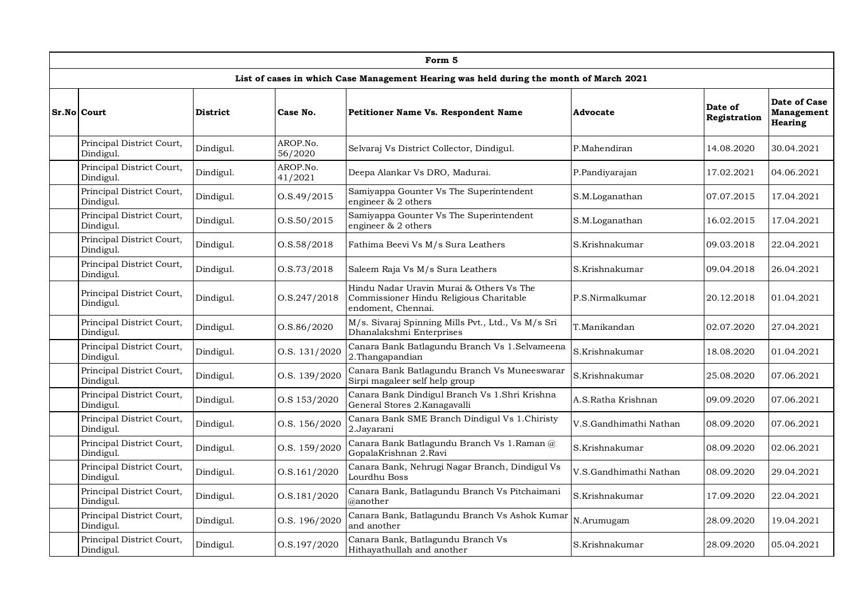|                                        |           |                     | Form 5                                                                                                    |                        |                         |                                                     |
|----------------------------------------|-----------|---------------------|-----------------------------------------------------------------------------------------------------------|------------------------|-------------------------|-----------------------------------------------------|
|                                        |           |                     | List of cases in which Case Management Hearing was held during the month of March 2021                    |                        |                         |                                                     |
| Sr.No Court                            | District  | Case No.            | <b>Petitioner Name Vs. Respondent Name</b>                                                                | Advocate               | Date of<br>Registration | Date of Case<br><b>Management</b><br><b>Hearing</b> |
| Principal District Court,<br>Dindigul. | Dindigul. | AROP.No.<br>56/2020 | Selvaraj Vs District Collector, Dindigul.                                                                 | P.Mahendiran           | 14.08.2020              | 30.04.2021                                          |
| Principal District Court,<br>Dindigul. | Dindigul. | AROP.No.<br>41/2021 | Deepa Alankar Vs DRO, Madurai.                                                                            | P.Pandiyarajan         | 17.02.2021              | 04.06.2021                                          |
| Principal District Court,<br>Dindigul. | Dindigul. | 0. S.49/2015        | Samiyappa Gounter Vs The Superintendent<br>engineer & 2 others                                            | S.M.Loganathan         | 07.07.2015              | 17.04.2021                                          |
| Principal District Court,<br>Dindigul. | Dindigul. | O.S.50/2015         | Samiyappa Gounter Vs The Superintendent<br>engineer & 2 others                                            | S.M.Loganathan         | 16.02.2015              | 17.04.2021                                          |
| Principal District Court,<br>Dindigul. | Dindigul. | 0. S. 58 / 2018     | Fathima Beevi Vs M/s Sura Leathers                                                                        | S.Krishnakumar         | 09.03.2018              | 22.04.2021                                          |
| Principal District Court,<br>Dindigul. | Dindigul. | 0. S. 73 / 2018     | Saleem Raja Vs M/s Sura Leathers                                                                          | S.Krishnakumar         | 09.04.2018              | 26.04.2021                                          |
| Principal District Court,<br>Dindigul. | Dindigul. | O.S.247/2018        | Hindu Nadar Uravin Murai & Others Vs The<br>Commissioner Hindu Religious Charitable<br>endoment, Chennai. | P.S.Nirmalkumar        | 20.12.2018              | 01.04.2021                                          |
| Principal District Court,<br>Dindigul. | Dindigul. | O.S.86/2020         | M/s. Sivaraj Spinning Mills Pvt., Ltd., Vs M/s Sri<br>Dhanalakshmi Enterprises                            | T.Manikandan           | 02.07.2020              | 27.04.2021                                          |
| Principal District Court,<br>Dindigul. | Dindigul. | O.S. 131/2020       | Canara Bank Batlagundu Branch Vs 1.Selvameena<br>2. Thangapandian                                         | S.Krishnakumar         | 18.08.2020              | 01.04.2021                                          |
| Principal District Court,<br>Dindigul. | Dindigul. | O.S. 139/2020       | Canara Bank Batlagundu Branch Vs Muneeswarar<br>Sirpi magaleer self help group                            | S.Krishnakumar         | 25.08.2020              | 07.06.2021                                          |
| Principal District Court,<br>Dindigul. | Dindigul. | O.S 153/2020        | Canara Bank Dindigul Branch Vs 1.Shri Krishna<br>General Stores 2.Kanagavalli                             | A.S.Ratha Krishnan     | 09.09.2020              | 07.06.2021                                          |
| Principal District Court,<br>Dindigul. | Dindigul. | O.S. 156/2020       | Canara Bank SME Branch Dindigul Vs 1. Chiristy<br>2.Jayarani                                              | V.S.Gandhimathi Nathan | 08.09.2020              | 07.06.2021                                          |
| Principal District Court,<br>Dindigul. | Dindigul. | O.S. 159/2020       | Canara Bank Batlagundu Branch Vs 1.Raman @<br>GopalaKrishnan 2.Ravi                                       | S.Krishnakumar         | 08.09.2020              | 02.06.2021                                          |
| Principal District Court,<br>Dindigul. | Dindigul. | O.S.161/2020        | Canara Bank, Nehrugi Nagar Branch, Dindigul Vs<br>Lourdhu Boss                                            | V.S.Gandhimathi Nathan | 08.09.2020              | 29.04.2021                                          |
| Principal District Court,<br>Dindigul. | Dindigul. | O.S.181/2020        | Canara Bank, Batlagundu Branch Vs Pitchaimani<br>@another                                                 | S.Krishnakumar         | 17.09.2020              | 22.04.2021                                          |
| Principal District Court,<br>Dindigul. | Dindigul. | O.S. 196/2020       | Canara Bank, Batlagundu Branch Vs Ashok Kumar<br>and another                                              | N.Arumugam             | 28.09.2020              | 19.04.2021                                          |
| Principal District Court,<br>Dindigul. | Dindigul. | O.S.197/2020        | Canara Bank, Batlagundu Branch Vs<br>Hithayathullah and another                                           | S.Krishnakumar         | 28.09.2020              | 05.04.2021                                          |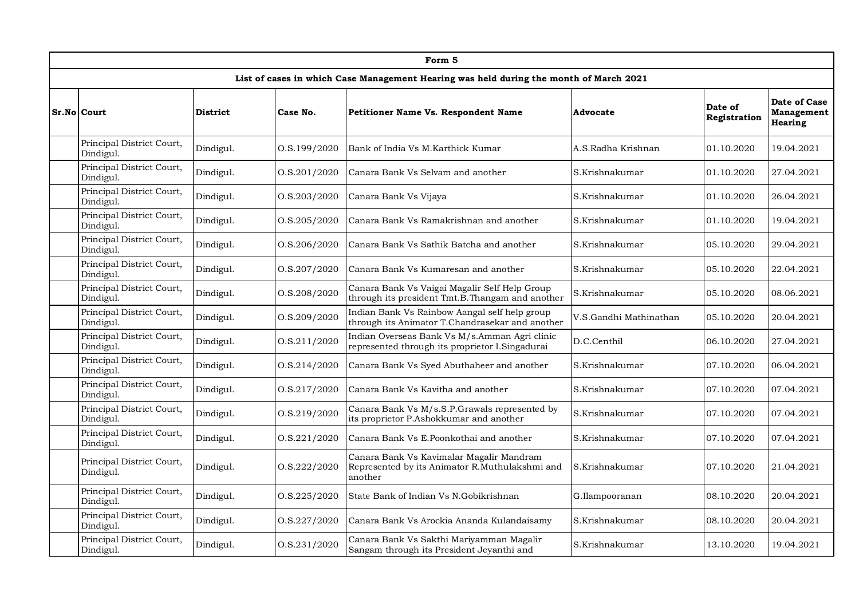|                                        |                 |              | Form 5                                                                                                |                        |                         |                                              |
|----------------------------------------|-----------------|--------------|-------------------------------------------------------------------------------------------------------|------------------------|-------------------------|----------------------------------------------|
|                                        |                 |              | List of cases in which Case Management Hearing was held during the month of March 2021                |                        |                         |                                              |
| Sr.No Court                            | <b>District</b> | Case No.     | <b>Petitioner Name Vs. Respondent Name</b>                                                            | Advocate               | Date of<br>Registration | Date of Case<br>Management<br><b>Hearing</b> |
| Principal District Court,<br>Dindigul. | Dindigul.       | O.S.199/2020 | Bank of India Vs M.Karthick Kumar                                                                     | A.S.Radha Krishnan     | 01.10.2020              | 19.04.2021                                   |
| Principal District Court,<br>Dindigul. | Dindigul.       | O.S.201/2020 | Canara Bank Vs Selvam and another                                                                     | S.Krishnakumar         | 01.10.2020              | 27.04.2021                                   |
| Principal District Court,<br>Dindigul. | Dindigul.       | O.S.203/2020 | Canara Bank Vs Vijaya                                                                                 | S.Krishnakumar         | 01.10.2020              | 26.04.2021                                   |
| Principal District Court,<br>Dindigul. | Dindigul.       | O.S.205/2020 | Canara Bank Vs Ramakrishnan and another                                                               | S.Krishnakumar         | 01.10.2020              | 19.04.2021                                   |
| Principal District Court,<br>Dindigul. | Dindigul.       | O.S.206/2020 | Canara Bank Vs Sathik Batcha and another                                                              | S.Krishnakumar         | 05.10.2020              | 29.04.2021                                   |
| Principal District Court,<br>Dindigul. | Dindigul.       | O.S.207/2020 | Canara Bank Vs Kumaresan and another                                                                  | S.Krishnakumar         | 05.10.2020              | 22.04.2021                                   |
| Principal District Court,<br>Dindigul. | Dindigul.       | O.S.208/2020 | Canara Bank Vs Vaigai Magalir Self Help Group<br>through its president Tmt.B. Thangam and another     | S.Krishnakumar         | 05.10.2020              | 08.06.2021                                   |
| Principal District Court,<br>Dindigul. | Dindigul.       | O.S.209/2020 | Indian Bank Vs Rainbow Aangal self help group<br>through its Animator T.Chandrasekar and another      | V.S.Gandhi Mathinathan | 05.10.2020              | 20.04.2021                                   |
| Principal District Court,<br>Dindigul. | Dindigul.       | O.S.211/2020 | Indian Overseas Bank Vs M/s.Amman Agri clinic<br>represented through its proprietor I.Singadurai      | D.C.Centhil            | 06.10.2020              | 27.04.2021                                   |
| Principal District Court,<br>Dindigul. | Dindigul.       | O.S.214/2020 | Canara Bank Vs Syed Abuthaheer and another                                                            | S.Krishnakumar         | 07.10.2020              | 06.04.2021                                   |
| Principal District Court,<br>Dindigul. | Dindigul.       | O.S.217/2020 | Canara Bank Vs Kavitha and another                                                                    | S.Krishnakumar         | 07.10.2020              | 07.04.2021                                   |
| Principal District Court,<br>Dindigul. | Dindigul.       | O.S.219/2020 | Canara Bank Vs M/s.S.P.Grawals represented by<br>its proprietor P.Ashokkumar and another              | S.Krishnakumar         | 07.10.2020              | 07.04.2021                                   |
| Principal District Court,<br>Dindigul. | Dindigul.       | O.S.221/2020 | Canara Bank Vs E.Poonkothai and another                                                               | S.Krishnakumar         | 07.10.2020              | 07.04.2021                                   |
| Principal District Court,<br>Dindigul. | Dindigul.       | O.S.222/2020 | Canara Bank Vs Kavimalar Magalir Mandram<br>Represented by its Animator R.Muthulakshmi and<br>another | S.Krishnakumar         | 07.10.2020              | 21.04.2021                                   |
| Principal District Court,<br>Dindigul. | Dindigul.       | O.S.225/2020 | State Bank of Indian Vs N.Gobikrishnan                                                                | G.Ilampooranan         | 08.10.2020              | 20.04.2021                                   |
| Principal District Court,<br>Dindigul. | Dindigul.       | O.S.227/2020 | Canara Bank Vs Arockia Ananda Kulandaisamy                                                            | S.Krishnakumar         | 08.10.2020              | 20.04.2021                                   |
| Principal District Court,<br>Dindigul. | Dindigul.       | O.S.231/2020 | Canara Bank Vs Sakthi Mariyamman Magalir<br>Sangam through its President Jeyanthi and                 | S.Krishnakumar         | 13.10.2020              | 19.04.2021                                   |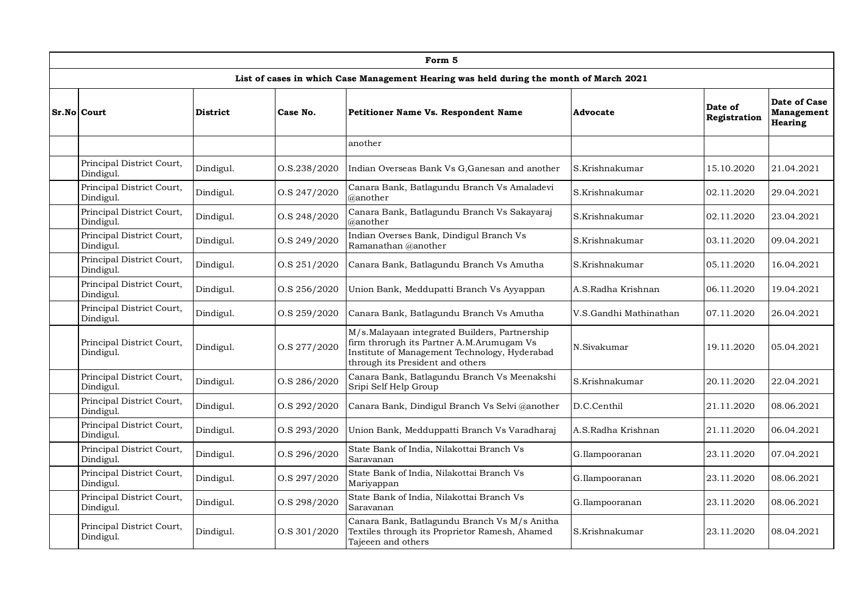|                                        |                 |              | Form 5                                                                                                                                                                          |                        |                         |                                              |
|----------------------------------------|-----------------|--------------|---------------------------------------------------------------------------------------------------------------------------------------------------------------------------------|------------------------|-------------------------|----------------------------------------------|
|                                        |                 |              | List of cases in which Case Management Hearing was held during the month of March 2021                                                                                          |                        |                         |                                              |
| Sr.No Court                            | <b>District</b> | Case No.     | <b>Petitioner Name Vs. Respondent Name</b>                                                                                                                                      | Advocate               | Date of<br>Registration | Date of Case<br>Management<br><b>Hearing</b> |
|                                        |                 |              | another                                                                                                                                                                         |                        |                         |                                              |
| Principal District Court,<br>Dindigul. | Dindigul.       | O.S.238/2020 | Indian Overseas Bank Vs G, Ganesan and another                                                                                                                                  | S.Krishnakumar         | 15.10.2020              | 21.04.2021                                   |
| Principal District Court,<br>Dindigul. | Dindigul.       | O.S 247/2020 | Canara Bank, Batlagundu Branch Vs Amaladevi<br>@another                                                                                                                         | S.Krishnakumar         | 02.11.2020              | 29.04.2021                                   |
| Principal District Court,<br>Dindigul. | Dindigul.       | O.S 248/2020 | Canara Bank, Batlagundu Branch Vs Sakayaraj<br>$@$ another                                                                                                                      | S.Krishnakumar         | 02.11.2020              | 23.04.2021                                   |
| Principal District Court,<br>Dindigul. | Dindigul.       | O.S 249/2020 | Indian Overses Bank, Dindigul Branch Vs<br>Ramanathan @another                                                                                                                  | S.Krishnakumar         | 03.11.2020              | 09.04.2021                                   |
| Principal District Court,<br>Dindigul. | Dindigul.       | O.S 251/2020 | Canara Bank, Batlagundu Branch Vs Amutha                                                                                                                                        | S.Krishnakumar         | 05.11.2020              | 16.04.2021                                   |
| Principal District Court,<br>Dindigul. | Dindigul.       | O.S 256/2020 | Union Bank, Meddupatti Branch Vs Ayyappan                                                                                                                                       | A.S.Radha Krishnan     | 06.11.2020              | 19.04.2021                                   |
| Principal District Court,<br>Dindigul. | Dindigul.       | O.S 259/2020 | Canara Bank, Batlagundu Branch Vs Amutha                                                                                                                                        | V.S.Gandhi Mathinathan | 07.11.2020              | 26.04.2021                                   |
| Principal District Court,<br>Dindigul. | Dindigul.       | O.S 277/2020 | M/s.Malayaan integrated Builders, Partnership<br>firm throrugh its Partner A.M.Arumugam Vs<br>Institute of Management Technology, Hyderabad<br>through its President and others | N.Sivakumar            | 19.11.2020              | 05.04.2021                                   |
| Principal District Court,<br>Dindigul. | Dindigul.       | O.S 286/2020 | Canara Bank, Batlagundu Branch Vs Meenakshi<br>Sripi Self Help Group                                                                                                            | S.Krishnakumar         | 20.11.2020              | 22.04.2021                                   |
| Principal District Court,<br>Dindigul. | Dindigul.       | O.S 292/2020 | Canara Bank, Dindigul Branch Vs Selvi @another                                                                                                                                  | D.C.Centhil            | 21.11.2020              | 08.06.2021                                   |
| Principal District Court,<br>Dindigul. | Dindigul.       | O.S 293/2020 | Union Bank, Medduppatti Branch Vs Varadharaj                                                                                                                                    | A.S.Radha Krishnan     | 21.11.2020              | 06.04.2021                                   |
| Principal District Court,<br>Dindigul. | Dindigul.       | O.S 296/2020 | State Bank of India, Nilakottai Branch Vs<br>Saravanan                                                                                                                          | G.Ilampooranan         | 23.11.2020              | 07.04.2021                                   |
| Principal District Court,<br>Dindigul. | Dindigul.       | O.S 297/2020 | State Bank of India, Nilakottai Branch Vs<br>Mariyappan                                                                                                                         | G.Ilampooranan         | 23.11.2020              | 08.06.2021                                   |
| Principal District Court,<br>Dindigul. | Dindigul.       | O.S 298/2020 | State Bank of India, Nilakottai Branch Vs<br>Saravanan                                                                                                                          | G.Ilampooranan         | 23.11.2020              | 08.06.2021                                   |
| Principal District Court,<br>Dindigul. | Dindigul.       | O.S 301/2020 | Canara Bank, Batlagundu Branch Vs M/s Anitha<br>Textiles through its Proprietor Ramesh, Ahamed<br>Tajeeen and others                                                            | S.Krishnakumar         | 23.11.2020              | 08.04.2021                                   |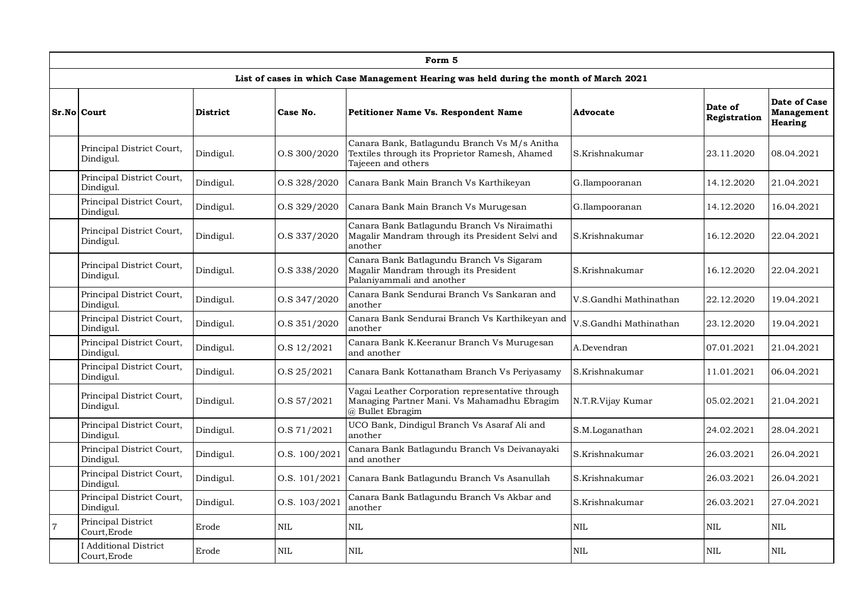|                | Form 5                                 |                 |               |                                                                                                                      |                        |                         |                                                     |  |  |  |  |
|----------------|----------------------------------------|-----------------|---------------|----------------------------------------------------------------------------------------------------------------------|------------------------|-------------------------|-----------------------------------------------------|--|--|--|--|
|                |                                        |                 |               | List of cases in which Case Management Hearing was held during the month of March 2021                               |                        |                         |                                                     |  |  |  |  |
|                | Sr.No Court                            | <b>District</b> | Case No.      | <b>Petitioner Name Vs. Respondent Name</b>                                                                           | Advocate               | Date of<br>Registration | Date of Case<br><b>Management</b><br><b>Hearing</b> |  |  |  |  |
|                | Principal District Court,<br>Dindigul. | Dindigul.       | O.S 300/2020  | Canara Bank, Batlagundu Branch Vs M/s Anitha<br>Textiles through its Proprietor Ramesh, Ahamed<br>Tajeeen and others | S.Krishnakumar         | 23.11.2020              | 08.04.2021                                          |  |  |  |  |
|                | Principal District Court,<br>Dindigul. | Dindigul.       | O.S 328/2020  | Canara Bank Main Branch Vs Karthikeyan                                                                               | G.Ilampooranan         | 14.12.2020              | 21.04.2021                                          |  |  |  |  |
|                | Principal District Court,<br>Dindigul. | Dindigul.       | O.S 329/2020  | Canara Bank Main Branch Vs Murugesan                                                                                 | G.Ilampooranan         | 14.12.2020              | 16.04.2021                                          |  |  |  |  |
|                | Principal District Court,<br>Dindigul. | Dindigul.       | O.S 337/2020  | Canara Bank Batlagundu Branch Vs Niraimathi<br>Magalir Mandram through its President Selvi and<br>another            | S.Krishnakumar         | 16.12.2020              | 22.04.2021                                          |  |  |  |  |
|                | Principal District Court,<br>Dindigul. | Dindigul.       | O.S 338/2020  | Canara Bank Batlagundu Branch Vs Sigaram<br>Magalir Mandram through its President<br>Palaniyammali and another       | S.Krishnakumar         | 16.12.2020              | 22.04.2021                                          |  |  |  |  |
|                | Principal District Court,<br>Dindigul. | Dindigul.       | O.S 347/2020  | Canara Bank Sendurai Branch Vs Sankaran and<br>another                                                               | V.S.Gandhi Mathinathan | 22.12.2020              | 19.04.2021                                          |  |  |  |  |
|                | Principal District Court,<br>Dindigul. | Dindigul.       | O.S 351/2020  | Canara Bank Sendurai Branch Vs Karthikeyan and<br>another                                                            | V.S.Gandhi Mathinathan | 23.12.2020              | 19.04.2021                                          |  |  |  |  |
|                | Principal District Court,<br>Dindigul. | Dindigul.       | O.S 12/2021   | Canara Bank K.Keeranur Branch Vs Murugesan<br>and another                                                            | A.Devendran            | 07.01.2021              | 21.04.2021                                          |  |  |  |  |
|                | Principal District Court,<br>Dindigul. | Dindigul.       | O.S 25/2021   | Canara Bank Kottanatham Branch Vs Periyasamy                                                                         | S.Krishnakumar         | 11.01.2021              | 06.04.2021                                          |  |  |  |  |
|                | Principal District Court,<br>Dindigul. | Dindigul.       | O.S 57/2021   | Vagai Leather Corporation representative through<br>Managing Partner Mani. Vs Mahamadhu Ebragim<br>@ Bullet Ebragim  | N.T.R.Vijay Kumar      | 05.02.2021              | 21.04.2021                                          |  |  |  |  |
|                | Principal District Court,<br>Dindigul. | Dindigul.       | O.S 71/2021   | UCO Bank, Dindigul Branch Vs Asaraf Ali and<br>another                                                               | S.M.Loganathan         | 24.02.2021              | 28.04.2021                                          |  |  |  |  |
|                | Principal District Court,<br>Dindigul. | Dindigul.       | O.S. 100/2021 | Canara Bank Batlagundu Branch Vs Deivanayaki<br>and another                                                          | S.Krishnakumar         | 26.03.2021              | 26.04.2021                                          |  |  |  |  |
|                | Principal District Court,<br>Dindigul. | Dindigul.       | O.S. 101/2021 | Canara Bank Batlagundu Branch Vs Asanullah                                                                           | S.Krishnakumar         | 26.03.2021              | 26.04.2021                                          |  |  |  |  |
|                | Principal District Court,<br>Dindigul. | Dindigul.       | O.S. 103/2021 | Canara Bank Batlagundu Branch Vs Akbar and<br>another                                                                | S.Krishnakumar         | 26.03.2021              | 27.04.2021                                          |  |  |  |  |
| $\overline{7}$ | Principal District<br>Court, Erode     | Erode           | $\rm NIL$     | <b>NIL</b>                                                                                                           | NIL                    | NIL                     | <b>NIL</b>                                          |  |  |  |  |
|                | I Additional District<br>Court, Erode  | Erode           | <b>NIL</b>    | <b>NIL</b>                                                                                                           | NIL                    | NIL                     | <b>NIL</b>                                          |  |  |  |  |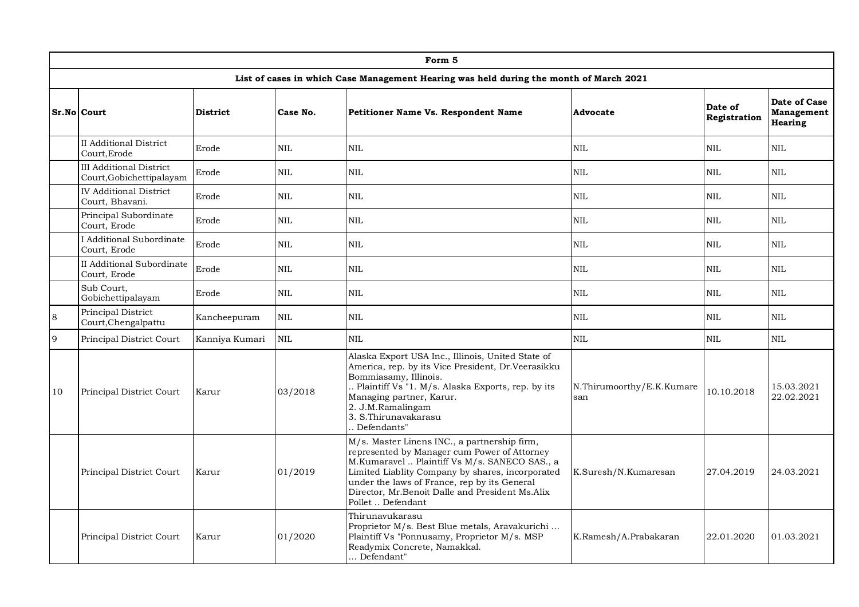|                | Form 5                                                     |                 |              |                                                                                                                                                                                                                                                                                                                           |                                  |                         |                                              |  |  |  |  |
|----------------|------------------------------------------------------------|-----------------|--------------|---------------------------------------------------------------------------------------------------------------------------------------------------------------------------------------------------------------------------------------------------------------------------------------------------------------------------|----------------------------------|-------------------------|----------------------------------------------|--|--|--|--|
|                |                                                            |                 |              | List of cases in which Case Management Hearing was held during the month of March 2021                                                                                                                                                                                                                                    |                                  |                         |                                              |  |  |  |  |
|                | <b>Sr.No Court</b>                                         | <b>District</b> | Case No.     | Petitioner Name Vs. Respondent Name                                                                                                                                                                                                                                                                                       | Advocate                         | Date of<br>Registration | Date of Case<br>Management<br><b>Hearing</b> |  |  |  |  |
|                | <b>II Additional District</b><br>Court.Erode               | Erode           | <b>NIL</b>   | <b>NIL</b>                                                                                                                                                                                                                                                                                                                | <b>NIL</b>                       | <b>NIL</b>              | <b>NIL</b>                                   |  |  |  |  |
|                | <b>III Additional District</b><br>Court, Gobichettipalayam | Erode           | <b>NIL</b>   | <b>NIL</b>                                                                                                                                                                                                                                                                                                                | NIL                              | <b>NIL</b>              | <b>NIL</b>                                   |  |  |  |  |
|                | <b>IV Additional District</b><br>Court, Bhavani.           | Erode           | <b>NIL</b>   | <b>NIL</b>                                                                                                                                                                                                                                                                                                                | NIL                              | <b>NIL</b>              | <b>NIL</b>                                   |  |  |  |  |
|                | Principal Subordinate<br>Court, Erode                      | Erode           | <b>NIL</b>   | <b>NIL</b>                                                                                                                                                                                                                                                                                                                | <b>NIL</b>                       | <b>NIL</b>              | <b>NIL</b>                                   |  |  |  |  |
|                | I Additional Subordinate<br>Court, Erode                   | Erode           | <b>NIL</b>   | NIL                                                                                                                                                                                                                                                                                                                       | <b>NIL</b>                       | <b>NIL</b>              | NIL.                                         |  |  |  |  |
|                | II Additional Subordinate<br>Court, Erode                  | Erode           | <b>NIL</b>   | <b>NIL</b>                                                                                                                                                                                                                                                                                                                | $\rm NIL$                        | <b>NIL</b>              | NIL.                                         |  |  |  |  |
|                | Sub Court,<br>Gobichettipalayam                            | Erode           | $\text{NIL}$ | NIL                                                                                                                                                                                                                                                                                                                       | $\rm NIL$                        | $\rm NIL$               | NIL.                                         |  |  |  |  |
| $\overline{8}$ | Principal District<br>Court, Chengalpattu                  | Kancheepuram    | <b>NIL</b>   | <b>NIL</b>                                                                                                                                                                                                                                                                                                                | <b>NIL</b>                       | <b>NIL</b>              | NIL.                                         |  |  |  |  |
| 9              | Principal District Court                                   | Kanniya Kumari  | <b>NIL</b>   | <b>NIL</b>                                                                                                                                                                                                                                                                                                                | <b>NIL</b>                       | <b>NIL</b>              | <b>NIL</b>                                   |  |  |  |  |
| 10             | Principal District Court                                   | Karur           | 03/2018      | Alaska Export USA Inc., Illinois, United State of<br>America, rep. by its Vice President, Dr.Veerasikku<br>Bommiasamy, Illinois.<br>Plaintiff Vs "1. M/s. Alaska Exports, rep. by its<br>Managing partner, Karur.<br>2. J.M.Ramalingam<br>3. S.Thirunavakarasu<br>Defendants"                                             | N.Thirumoorthy/E.K.Kumare<br>san | 10.10.2018              | 15.03.2021<br>22.02.2021                     |  |  |  |  |
|                | Principal District Court                                   | Karur           | 01/2019      | M/s. Master Linens INC., a partnership firm,<br>represented by Manager cum Power of Attorney<br>M.Kumaravel  Plaintiff Vs M/s. SANECO SAS., a<br>Limited Liablity Company by shares, incorporated<br>under the laws of France, rep by its General<br>Director, Mr.Benoit Dalle and President Ms.Alix<br>Pollet  Defendant | K.Suresh/N.Kumaresan             | 27.04.2019              | 24.03.2021                                   |  |  |  |  |
|                | Principal District Court                                   | Karur           | 01/2020      | Thirunavukarasu<br>Proprietor M/s. Best Blue metals, Aravakurichi<br>Plaintiff Vs "Ponnusamy, Proprietor M/s. MSP<br>Readymix Concrete, Namakkal.<br>Defendant"                                                                                                                                                           | K.Ramesh/A.Prabakaran            | 22.01.2020              | 01.03.2021                                   |  |  |  |  |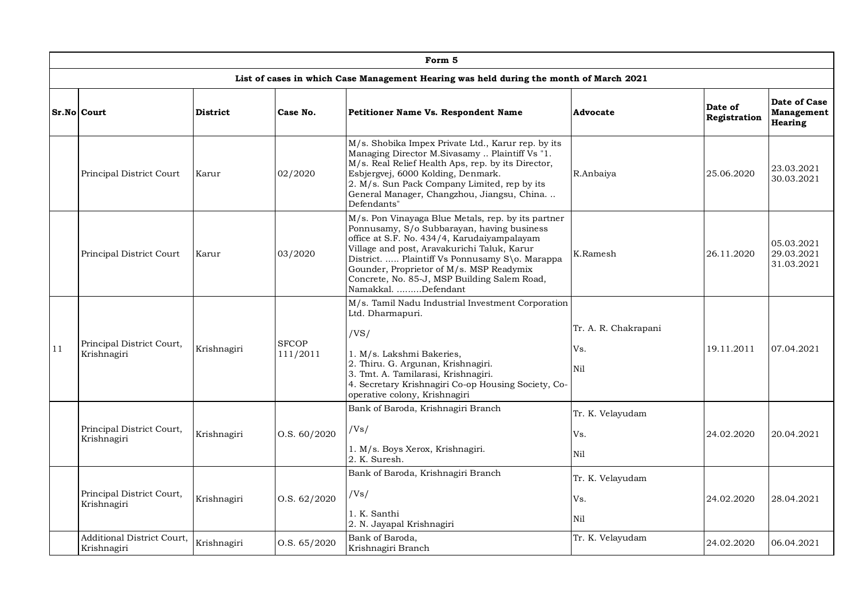|    | Form 5                                           |                 |                          |                                                                                                                                                                                                                                                                                                                                                                     |                                    |                         |                                              |  |  |  |  |
|----|--------------------------------------------------|-----------------|--------------------------|---------------------------------------------------------------------------------------------------------------------------------------------------------------------------------------------------------------------------------------------------------------------------------------------------------------------------------------------------------------------|------------------------------------|-------------------------|----------------------------------------------|--|--|--|--|
|    |                                                  |                 |                          | List of cases in which Case Management Hearing was held during the month of March 2021                                                                                                                                                                                                                                                                              |                                    |                         |                                              |  |  |  |  |
|    | <b>Sr.No Court</b>                               | <b>District</b> | Case No.                 | Petitioner Name Vs. Respondent Name                                                                                                                                                                                                                                                                                                                                 | Advocate                           | Date of<br>Registration | Date of Case<br>Management<br><b>Hearing</b> |  |  |  |  |
|    | Principal District Court                         | Karur           | 02/2020                  | M/s. Shobika Impex Private Ltd., Karur rep. by its<br>Managing Director M.Sivasamy  Plaintiff Vs "1.<br>M/s. Real Relief Health Aps, rep. by its Director,<br>Esbjergvej, 6000 Kolding, Denmark.<br>2. M/s. Sun Pack Company Limited, rep by its<br>General Manager, Changzhou, Jiangsu, China.<br>Defendants"                                                      | R.Anbaiya                          | 25.06.2020              | 23.03.2021<br>30.03.2021                     |  |  |  |  |
|    | Principal District Court                         | Karur           | 03/2020                  | M/s. Pon Vinayaga Blue Metals, rep. by its partner<br>Ponnusamy, S/o Subbarayan, having business<br>office at S.F. No. 434/4, Karudaiyampalayam<br>Village and post, Aravakurichi Taluk, Karur<br>District.  Plaintiff Vs Ponnusamy S\o. Marappa<br>Gounder, Proprietor of M/s. MSP Readymix<br>Concrete, No. 85-J, MSP Building Salem Road,<br>Namakkal. Defendant | K.Ramesh                           | 26.11.2020              | 05.03.2021<br>29.03.2021<br>31.03.2021       |  |  |  |  |
| 11 | Principal District Court,<br>Krishnagiri         | Krishnagiri     | <b>SFCOP</b><br>111/2011 | M/s. Tamil Nadu Industrial Investment Corporation<br>Ltd. Dharmapuri.<br>/VS/<br>1. M/s. Lakshmi Bakeries,<br>2. Thiru. G. Argunan, Krishnagiri.<br>3. Tmt. A. Tamilarasi, Krishnagiri.<br>4. Secretary Krishnagiri Co-op Housing Society, Co-<br>operative colony, Krishnagiri                                                                                     | Tr. A. R. Chakrapani<br>Vs.<br>Nil | 19.11.2011              | 07.04.2021                                   |  |  |  |  |
|    | Principal District Court,<br>Krishnagiri         | Krishnagiri     | O.S. 60/2020             | Bank of Baroda, Krishnagiri Branch<br>/Vs/<br>1. M/s. Boys Xerox, Krishnagiri.<br>2. K. Suresh.                                                                                                                                                                                                                                                                     | Tr. K. Velayudam<br>Vs.<br>Nil     | 24.02.2020              | 20.04.2021                                   |  |  |  |  |
|    | Principal District Court,<br>Krishnagiri         | Krishnagiri     | O.S. 62/2020             | Bank of Baroda, Krishnagiri Branch<br>/Vs/<br>1. K. Santhi<br>2. N. Jayapal Krishnagiri                                                                                                                                                                                                                                                                             | Tr. K. Velayudam<br>Vs.<br>Nil     | 24.02.2020              | 28.04.2021                                   |  |  |  |  |
|    | <b>Additional District Court,</b><br>Krishnagiri | Krishnagiri     | O.S. 65/2020             | Bank of Baroda,<br>Krishnagiri Branch                                                                                                                                                                                                                                                                                                                               | Tr. K. Velayudam                   | 24.02.2020              | 06.04.2021                                   |  |  |  |  |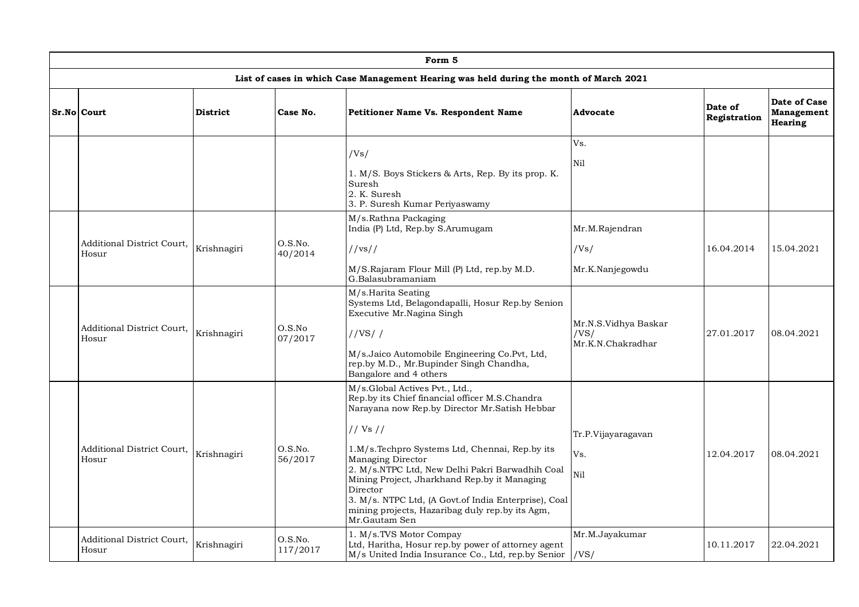| Form 5                                     |                 |                     |                                                                                                                                                                                                                                                                                                                                                                                                                                                                 |                                                   |                         |                                                     |  |  |  |  |  |
|--------------------------------------------|-----------------|---------------------|-----------------------------------------------------------------------------------------------------------------------------------------------------------------------------------------------------------------------------------------------------------------------------------------------------------------------------------------------------------------------------------------------------------------------------------------------------------------|---------------------------------------------------|-------------------------|-----------------------------------------------------|--|--|--|--|--|
|                                            |                 |                     | List of cases in which Case Management Hearing was held during the month of March 2021                                                                                                                                                                                                                                                                                                                                                                          |                                                   |                         |                                                     |  |  |  |  |  |
| Sr.No Court                                | <b>District</b> | Case No.            | <b>Petitioner Name Vs. Respondent Name</b>                                                                                                                                                                                                                                                                                                                                                                                                                      | Advocate                                          | Date of<br>Registration | Date of Case<br><b>Management</b><br><b>Hearing</b> |  |  |  |  |  |
|                                            |                 |                     | /Vs/<br>1. M/S. Boys Stickers & Arts, Rep. By its prop. K.<br>Suresh<br>2. K. Suresh<br>3. P. Suresh Kumar Periyaswamy                                                                                                                                                                                                                                                                                                                                          | Vs.<br>Nil                                        |                         |                                                     |  |  |  |  |  |
| Additional District Court,<br>Hosur        | Krishnagiri     | O.S.No.<br>40/2014  | M/s.Rathna Packaging<br>India (P) Ltd, Rep.by S.Arumugam<br>//vs//<br>M/S.Rajaram Flour Mill (P) Ltd, rep.by M.D.<br>G.Balasubramaniam                                                                                                                                                                                                                                                                                                                          | Mr.M.Rajendran<br>/Vs/<br>Mr.K.Nanjegowdu         | 16.04.2014              | 15.04.2021                                          |  |  |  |  |  |
| <b>Additional District Court.</b><br>Hosur | Krishnagiri     | O.S.No<br>07/2017   | M/s.Harita Seating<br>Systems Ltd, Belagondapalli, Hosur Rep.by Senion<br>Executive Mr.Nagina Singh<br>//VS//<br>M/s.Jaico Automobile Engineering Co.Pvt, Ltd,<br>rep.by M.D., Mr.Bupinder Singh Chandha,<br>Bangalore and 4 others                                                                                                                                                                                                                             | Mr.N.S.Vidhya Baskar<br>/VS/<br>Mr.K.N.Chakradhar | 27.01.2017              | 08.04.2021                                          |  |  |  |  |  |
| <b>Additional District Court.</b><br>Hosur | Krishnagiri     | O.S.No.<br>56/2017  | M/s.Global Actives Pvt., Ltd.,<br>Rep.by its Chief financial officer M.S.Chandra<br>Narayana now Rep.by Director Mr.Satish Hebbar<br>// Vs //<br>1.M/s.Techpro Systems Ltd, Chennai, Rep.by its<br>Managing Director<br>2. M/s.NTPC Ltd, New Delhi Pakri Barwadhih Coal<br>Mining Project, Jharkhand Rep.by it Managing<br>Director<br>3. M/s. NTPC Ltd, (A Govt.of India Enterprise), Coal<br>mining projects, Hazaribag duly rep.by its Agm,<br>Mr.Gautam Sen | Tr.P.Vijayaragavan<br>Vs.<br>Nil                  | 12.04.2017              | 08.04.2021                                          |  |  |  |  |  |
| <b>Additional District Court.</b><br>Hosur | Krishnagiri     | O.S.No.<br>117/2017 | 1. M/s.TVS Motor Compay<br>Ltd, Haritha, Hosur rep.by power of attorney agent<br>M/s United India Insurance Co., Ltd, rep.by Senior  /VS/                                                                                                                                                                                                                                                                                                                       | Mr.M.Jayakumar                                    | 10.11.2017              | 22.04.2021                                          |  |  |  |  |  |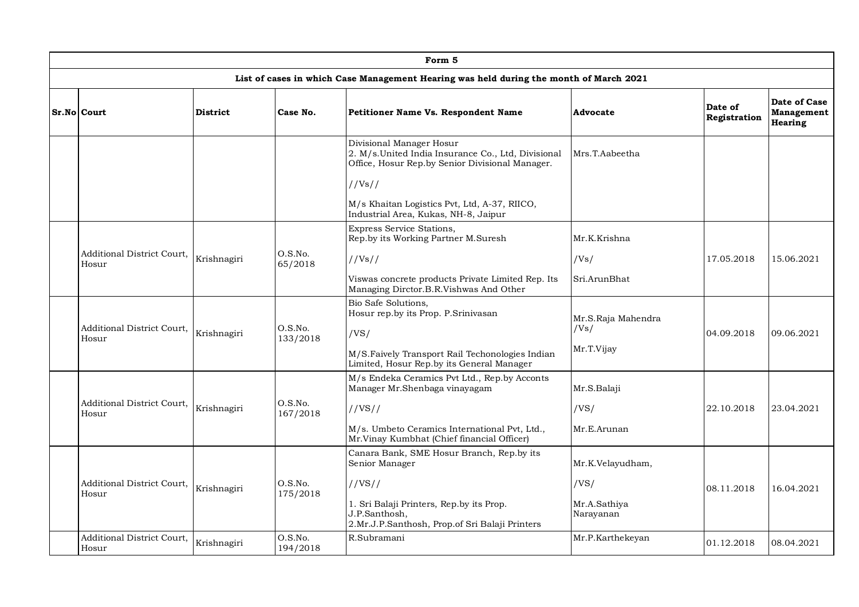|                                            |                 |                                                                                             | Form 5                                                                                                                            |                                                            |                         |                                                     |  |
|--------------------------------------------|-----------------|---------------------------------------------------------------------------------------------|-----------------------------------------------------------------------------------------------------------------------------------|------------------------------------------------------------|-------------------------|-----------------------------------------------------|--|
|                                            |                 |                                                                                             | List of cases in which Case Management Hearing was held during the month of March 2021                                            |                                                            |                         |                                                     |  |
| Sr.No Court                                | <b>District</b> | Case No.                                                                                    | <b>Petitioner Name Vs. Respondent Name</b>                                                                                        | Advocate                                                   | Date of<br>Registration | Date of Case<br><b>Management</b><br><b>Hearing</b> |  |
|                                            |                 |                                                                                             | Divisional Manager Hosur<br>2. M/s.United India Insurance Co., Ltd, Divisional<br>Office, Hosur Rep.by Senior Divisional Manager. | Mrs.T.Aabeetha                                             |                         |                                                     |  |
|                                            |                 |                                                                                             | //Vs//<br>M/s Khaitan Logistics Pvt, Ltd, A-37, RIICO,<br>Industrial Area, Kukas, NH-8, Jaipur                                    |                                                            |                         |                                                     |  |
|                                            |                 |                                                                                             | Express Service Stations,<br>Rep.by its Working Partner M.Suresh                                                                  | Mr.K.Krishna                                               |                         |                                                     |  |
| <b>Additional District Court.</b><br>Hosur | Krishnagiri     | O.S.No.<br>65/2018                                                                          | //Vs//                                                                                                                            | /Vs/                                                       | 17.05.2018              | 15.06.2021                                          |  |
|                                            |                 | Viswas concrete products Private Limited Rep. Its<br>Managing Dirctor.B.R.Vishwas And Other | Sri.ArunBhat                                                                                                                      |                                                            |                         |                                                     |  |
|                                            | Krishnagiri     |                                                                                             |                                                                                                                                   | Bio Safe Solutions,<br>Hosur rep.by its Prop. P.Srinivasan | Mr.S.Raja Mahendra      |                                                     |  |
| Additional District Court,<br>Hosur        |                 | O.S.No.<br>133/2018                                                                         | /VS/<br>M/S.Faively Transport Rail Techonologies Indian<br>Limited, Hosur Rep.by its General Manager                              | /Vs/<br>Mr.T.Vijay                                         | 04.09.2018              | 09.06.2021                                          |  |
|                                            |                 |                                                                                             | M/s Endeka Ceramics Pvt Ltd., Rep.by Acconts<br>Manager Mr.Shenbaga vinayagam                                                     | Mr.S.Balaji                                                |                         |                                                     |  |
| Additional District Court,<br>Hosur        | Krishnagiri     | O.S.No.<br>167/2018                                                                         | //VS//                                                                                                                            | /VS/                                                       | 22.10.2018              | 23.04.2021                                          |  |
|                                            |                 |                                                                                             | M/s. Umbeto Ceramics International Pvt, Ltd.,<br>Mr.Vinay Kumbhat (Chief financial Officer)                                       | Mr.E.Arunan                                                |                         |                                                     |  |
|                                            |                 |                                                                                             | Canara Bank, SME Hosur Branch, Rep.by its<br>Senior Manager                                                                       | Mr.K.Velayudham,                                           |                         |                                                     |  |
| Additional District Court,<br>Hosur        | Krishnagiri     | O.S.No.<br>175/2018                                                                         | //VS//                                                                                                                            | /VS/                                                       | 08.11.2018              | 16.04.2021                                          |  |
|                                            |                 |                                                                                             | 1. Sri Balaji Printers, Rep.by its Prop.<br>J.P.Santhosh,<br>2.Mr.J.P.Santhosh, Prop.of Sri Balaji Printers                       | Mr.A.Sathiya<br>Narayanan                                  |                         |                                                     |  |
| <b>Additional District Court,</b><br>Hosur | Krishnagiri     | O.S.No.<br>194/2018                                                                         | R.Subramani                                                                                                                       | Mr.P.Karthekeyan                                           | 01.12.2018              | 08.04.2021                                          |  |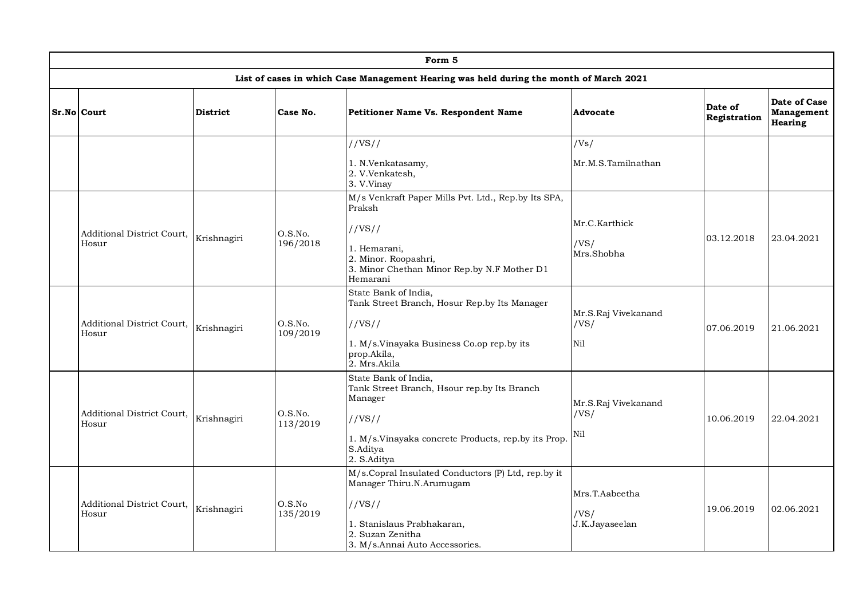|                                     |                 |                     | Form 5                                                                                                                                                                       |                                          |                         |                                                     |
|-------------------------------------|-----------------|---------------------|------------------------------------------------------------------------------------------------------------------------------------------------------------------------------|------------------------------------------|-------------------------|-----------------------------------------------------|
|                                     |                 |                     | List of cases in which Case Management Hearing was held during the month of March 2021                                                                                       |                                          |                         |                                                     |
| Sr.No Court                         | <b>District</b> | Case No.            | Petitioner Name Vs. Respondent Name                                                                                                                                          | Advocate                                 | Date of<br>Registration | Date of Case<br><b>Management</b><br><b>Hearing</b> |
|                                     |                 |                     | //VS//<br>1. N.Venkatasamy,<br>2. V.Venkatesh,<br>3. V.Vinay                                                                                                                 | /Vs/<br>Mr.M.S.Tamilnathan               |                         |                                                     |
| Additional District Court,<br>Hosur | Krishnagiri     | O.S.No.<br>196/2018 | M/s Venkraft Paper Mills Pvt. Ltd., Rep.by Its SPA,<br>Praksh<br>//VS//<br>1. Hemarani,<br>2. Minor. Roopashri,<br>3. Minor Chethan Minor Rep.by N.F Mother D1<br>Hemarani   | Mr.C.Karthick<br>/VS/<br>Mrs.Shobha      | 03.12.2018              | 23.04.2021                                          |
| Additional District Court,<br>Hosur | Krishnagiri     | O.S.No.<br>109/2019 | State Bank of India,<br>Tank Street Branch, Hosur Rep.by Its Manager<br>//VS//<br>1. M/s. Vinayaka Business Co.op rep. by its<br>prop.Akila,<br>2. Mrs.Akila                 | Mr.S.Raj Vivekanand<br>/VS/<br>Nil       | 07.06.2019              | 21.06.2021                                          |
| Additional District Court,<br>Hosur | Krishnagiri     | O.S.No.<br>113/2019 | State Bank of India,<br>Tank Street Branch, Hsour rep.by Its Branch<br>Manager<br>1/VS/I<br>1. M/s.Vinayaka concrete Products, rep.by its Prop.<br>S.Aditya<br>2. S.Aditya   | Mr.S.Raj Vivekanand<br>/VS/<br>Nil       | 10.06.2019              | 22.04.2021                                          |
| Additional District Court,<br>Hosur | Krishnagiri     | O.S.No<br>135/2019  | M/s.Copral Insulated Conductors (P) Ltd, rep.by it<br>Manager Thiru.N.Arumugam<br>//VS//<br>1. Stanislaus Prabhakaran,<br>2. Suzan Zenitha<br>3. M/s.Annai Auto Accessories. | Mrs.T.Aabeetha<br>/VS/<br>J.K.Jayaseelan | 19.06.2019              | 02.06.2021                                          |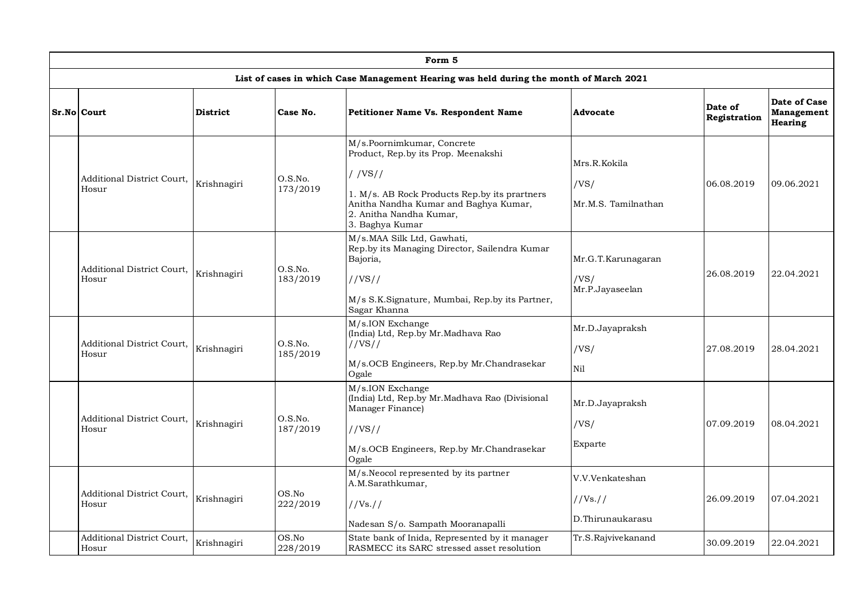|                                            |                 |                     | Form 5                                                                                                                                                                                                                 |                                                 |                         |                                              |
|--------------------------------------------|-----------------|---------------------|------------------------------------------------------------------------------------------------------------------------------------------------------------------------------------------------------------------------|-------------------------------------------------|-------------------------|----------------------------------------------|
|                                            |                 |                     | List of cases in which Case Management Hearing was held during the month of March 2021                                                                                                                                 |                                                 |                         |                                              |
| Sr.No Court                                | <b>District</b> | Case No.            | Petitioner Name Vs. Respondent Name                                                                                                                                                                                    | Advocate                                        | Date of<br>Registration | Date of Case<br>Management<br><b>Hearing</b> |
| Additional District Court,<br>Hosur        | Krishnagiri     | O.S.No.<br>173/2019 | M/s.Poornimkumar, Concrete<br>Product, Rep.by its Prop. Meenakshi<br>$/$ /VS//<br>1. M/s. AB Rock Products Rep.by its prartners<br>Anitha Nandha Kumar and Baghya Kumar,<br>2. Anitha Nandha Kumar,<br>3. Baghya Kumar | Mrs.R.Kokila<br>/VS/<br>Mr.M.S. Tamilnathan     | 06.08.2019              | 09.06.2021                                   |
| Additional District Court,<br>Hosur        | Krishnagiri     | O.S.No.<br>183/2019 | M/s.MAA Silk Ltd, Gawhati,<br>Rep.by its Managing Director, Sailendra Kumar<br>Bajoria,<br>1/VS/I<br>M/s S.K.Signature, Mumbai, Rep.by its Partner,<br>Sagar Khanna                                                    | Mr.G.T.Karunagaran<br>/VS/<br>Mr.P.Jayaseelan   | 26.08.2019              | 22.04.2021                                   |
| Additional District Court,<br>Hosur        | Krishnagiri     | O.S.No.<br>185/2019 | M/s.ION Exchange<br>(India) Ltd, Rep.by Mr.Madhava Rao<br>//VS//<br>M/s.OCB Engineers, Rep.by Mr.Chandrasekar<br>Ogale                                                                                                 | Mr.D.Jayapraksh<br>/VS/<br>Nil                  | 27.08.2019              | 28.04.2021                                   |
| Additional District Court,<br>Hosur        | Krishnagiri     | O.S.No.<br>187/2019 | M/s.ION Exchange<br>(India) Ltd, Rep.by Mr.Madhava Rao (Divisional<br>Manager Finance)<br>1/VS/I<br>M/s.OCB Engineers, Rep.by Mr.Chandrasekar<br>Ogale                                                                 | Mr.D.Jayapraksh<br>/VS/<br>Exparte              | 07.09.2019              | 08.04.2021                                   |
| <b>Additional District Court,</b><br>Hosur | Krishnagiri     | OS.No<br>222/2019   | M/s.Neocol represented by its partner<br>A.M.Sarathkumar,<br>//Vs. //<br>Nadesan S/o. Sampath Mooranapalli                                                                                                             | V.V.Venkateshan<br>//Vs. //<br>D.Thirunaukarasu | 26.09.2019              | 07.04.2021                                   |
| <b>Additional District Court,</b><br>Hosur | Krishnagiri     | OS.No<br>228/2019   | State bank of Inida, Represented by it manager<br>RASMECC its SARC stressed asset resolution                                                                                                                           | Tr.S.Rajvivekanand                              | 30.09.2019              | 22.04.2021                                   |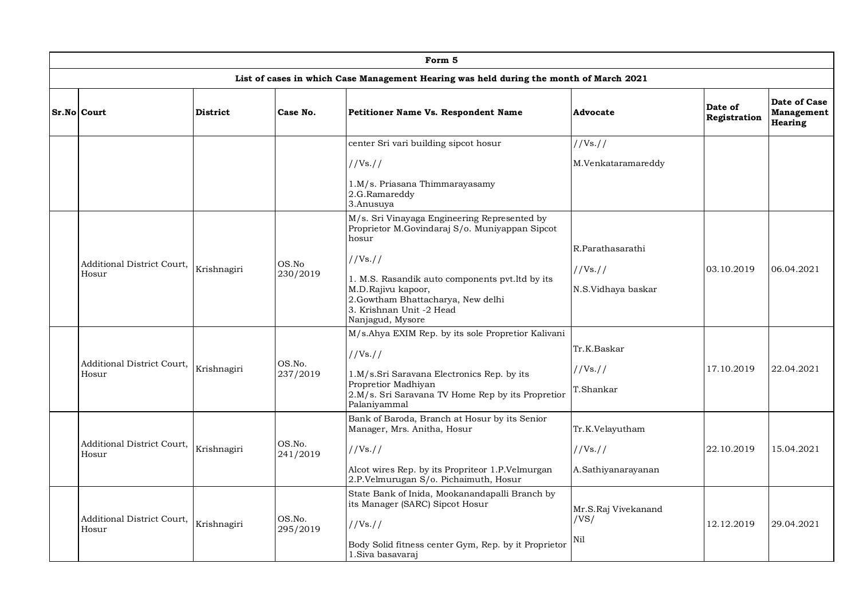|                                     |                 |                    | Form 5                                                                                                                                                                                                                                                                            |                                                    |                         |                                       |
|-------------------------------------|-----------------|--------------------|-----------------------------------------------------------------------------------------------------------------------------------------------------------------------------------------------------------------------------------------------------------------------------------|----------------------------------------------------|-------------------------|---------------------------------------|
|                                     |                 |                    | List of cases in which Case Management Hearing was held during the month of March 2021                                                                                                                                                                                            |                                                    |                         |                                       |
| Sr.No Court                         | <b>District</b> | Case No.           | <b>Petitioner Name Vs. Respondent Name</b>                                                                                                                                                                                                                                        | <b>Advocate</b>                                    | Date of<br>Registration | Date of Case<br>Management<br>Hearing |
|                                     |                 |                    | center Sri vari building sipcot hosur                                                                                                                                                                                                                                             | //Vs. //                                           |                         |                                       |
|                                     |                 |                    | //Vs. //                                                                                                                                                                                                                                                                          | M.Venkataramareddy                                 |                         |                                       |
|                                     |                 |                    | 1.M/s. Priasana Thimmarayasamy<br>2.G.Ramareddy<br>3.Anusuya                                                                                                                                                                                                                      |                                                    |                         |                                       |
| Additional District Court,<br>Hosur | Krishnagiri     | OS.No<br>230/2019  | M/s. Sri Vinayaga Engineering Represented by<br>Proprietor M.Govindaraj S/o. Muniyappan Sipcot<br>hosur<br>//Vs. //<br>1. M.S. Rasandik auto components pvt.ltd by its<br>M.D.Rajivu kapoor,<br>2.Gowtham Bhattacharya, New delhi<br>3. Krishnan Unit -2 Head<br>Nanjagud, Mysore | R.Parathasarathi<br>//Vs. //<br>N.S.Vidhaya baskar | 03.10.2019              | 06.04.2021                            |
| Additional District Court,<br>Hosur | Krishnagiri     | OS.No.<br>237/2019 | M/s.Ahya EXIM Rep. by its sole Propretior Kalivani<br>//Vs. //<br>1.M/s.Sri Saravana Electronics Rep. by its<br>Propretior Madhiyan<br>2.M/s. Sri Saravana TV Home Rep by its Propretior<br>Palaniyammal                                                                          | Tr.K.Baskar<br>1/Vs.11<br>T.Shankar                | 17.10.2019              | 22.04.2021                            |
| Additional District Court,<br>Hosur | Krishnagiri     | OS.No.<br>241/2019 | Bank of Baroda, Branch at Hosur by its Senior<br>Manager, Mrs. Anitha, Hosur<br>//Vs. //<br>Alcot wires Rep. by its Propriteor 1.P.Velmurgan<br>2.P.Velmurugan S/o. Pichaimuth, Hosur                                                                                             | Tr.K.Velayutham<br>//Vs. //<br>A.Sathiyanarayanan  | 22.10.2019              | 15.04.2021                            |
| Additional District Court,<br>Hosur | Krishnagiri     | OS.No.<br>295/2019 | State Bank of Inida, Mookanandapalli Branch by<br>its Manager (SARC) Sipcot Hosur<br>//Vs. //<br>Body Solid fitness center Gym, Rep. by it Proprietor<br>1. Siva basavaraj                                                                                                        | Mr.S.Raj Vivekanand<br>/VS/<br>Nil                 | 12.12.2019              | 29.04.2021                            |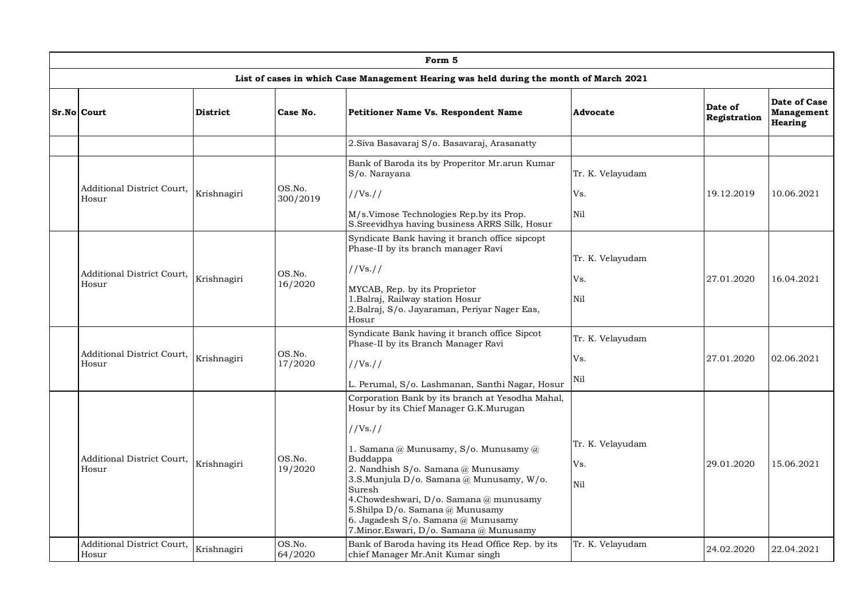| Form 5                                     |                 |                    |                                                                                                                                                                                                                                                                                                                                                                                                                       |                                             |                         |                                                     |  |  |  |  |
|--------------------------------------------|-----------------|--------------------|-----------------------------------------------------------------------------------------------------------------------------------------------------------------------------------------------------------------------------------------------------------------------------------------------------------------------------------------------------------------------------------------------------------------------|---------------------------------------------|-------------------------|-----------------------------------------------------|--|--|--|--|
|                                            |                 |                    | List of cases in which Case Management Hearing was held during the month of March 2021                                                                                                                                                                                                                                                                                                                                |                                             |                         |                                                     |  |  |  |  |
| Sr.No Court                                | <b>District</b> | Case No.           | <b>Petitioner Name Vs. Respondent Name</b>                                                                                                                                                                                                                                                                                                                                                                            | Advocate                                    | Date of<br>Registration | Date of Case<br><b>Management</b><br><b>Hearing</b> |  |  |  |  |
|                                            |                 |                    | 2. Siva Basavaraj S/o. Basavaraj, Arasanatty                                                                                                                                                                                                                                                                                                                                                                          |                                             |                         |                                                     |  |  |  |  |
| Additional District Court,<br>Hosur        | Krishnagiri     | OS.No.<br>300/2019 | Bank of Baroda its by Properitor Mr.arun Kumar<br>S/o. Narayana<br>//Vs. //<br>M/s.Vimose Technologies Rep.by its Prop.                                                                                                                                                                                                                                                                                               | Tr. K. Velayudam<br>Vs.<br>N <sub>i</sub> 1 | 19.12.2019              | 10.06.2021                                          |  |  |  |  |
| <b>Additional District Court,</b><br>Hosur | Krishnagiri     | OS.No.<br>16/2020  | S.Sreevidhya having business ARRS Silk, Hosur<br>Syndicate Bank having it branch office sipcopt<br>Phase-II by its branch manager Ravi<br>//Vs. //<br>MYCAB, Rep. by its Proprietor<br>1. Balraj, Railway station Hosur<br>2.Balraj, S/o. Jayaraman, Periyar Nager Eas,<br>Hosur                                                                                                                                      | Tr. K. Velayudam<br>Vs.<br>Nil              | 27.01.2020              | 16.04.2021                                          |  |  |  |  |
| Additional District Court,<br>Hosur        | Krishnagiri     | OS.No.<br>17/2020  | Syndicate Bank having it branch office Sipcot<br>Phase-II by its Branch Manager Ravi<br>//Vs. //<br>L. Perumal, S/o. Lashmanan, Santhi Nagar, Hosur                                                                                                                                                                                                                                                                   | Tr. K. Velayudam<br>Vs.<br>Nil              | 27.01.2020              | 02.06.2021                                          |  |  |  |  |
| Additional District Court,<br>Hosur        | Krishnagiri     | OS.No.<br>19/2020  | Corporation Bank by its branch at Yesodha Mahal,<br>Hosur by its Chief Manager G.K.Murugan<br>//Vs. //<br>1. Samana @ Munusamy, S/o. Munusamy @<br>Buddappa<br>2. Nandhish S/o. Samana @ Munusamy<br>3.S.Munjula D/o. Samana@ Munusamy, W/o.<br>Suresh<br>4.Chowdeshwari, D/o. Samana @ munusamy<br>5.Shilpa D/o. Samana @ Munusamy<br>6. Jagadesh S/o. Samana @ Munusamy<br>7. Minor. Eswari, D/o. Samana @ Munusamy | Tr. K. Velayudam<br>Vs.<br>Ni1              | 29.01.2020              | 15.06.2021                                          |  |  |  |  |
| Additional District Court,<br>Hosur        | Krishnagiri     | OS.No.<br>64/2020  | Bank of Baroda having its Head Office Rep. by its<br>chief Manager Mr.Anit Kumar singh                                                                                                                                                                                                                                                                                                                                | Tr. K. Velayudam                            | 24.02.2020              | 22.04.2021                                          |  |  |  |  |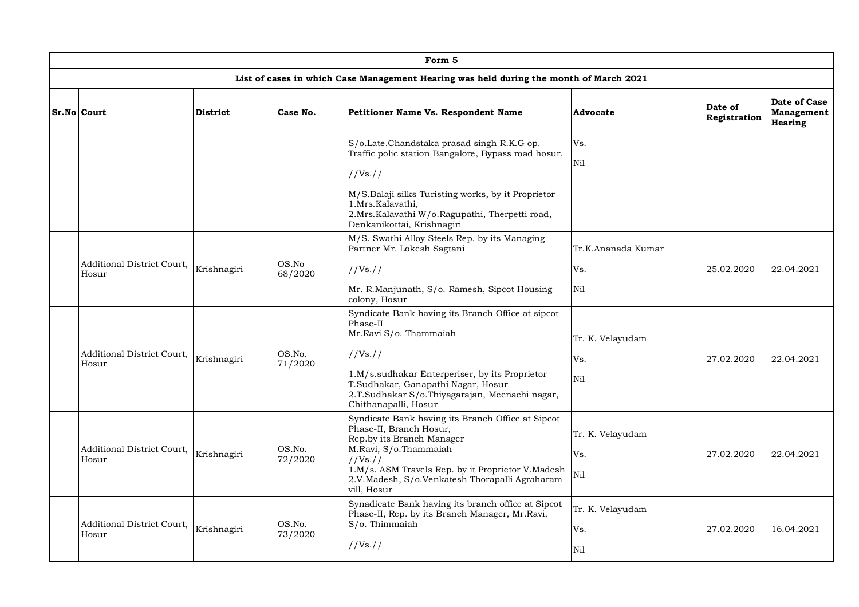|                                     |                 |                   | Form 5                                                                                                                                                                                                                                                                 |                                  |                         |                                                     |
|-------------------------------------|-----------------|-------------------|------------------------------------------------------------------------------------------------------------------------------------------------------------------------------------------------------------------------------------------------------------------------|----------------------------------|-------------------------|-----------------------------------------------------|
|                                     |                 |                   | List of cases in which Case Management Hearing was held during the month of March 2021                                                                                                                                                                                 |                                  |                         |                                                     |
| Sr.No Court                         | <b>District</b> | Case No.          | <b>Petitioner Name Vs. Respondent Name</b>                                                                                                                                                                                                                             | Advocate                         | Date of<br>Registration | Date of Case<br><b>Management</b><br><b>Hearing</b> |
|                                     |                 |                   | S/o.Late.Chandstaka prasad singh R.K.G op.<br>Traffic polic station Bangalore, Bypass road hosur.<br>//Vs://<br>M/S.Balaji silks Turisting works, by it Proprietor<br>1.Mrs.Kalavathi,<br>2.Mrs.Kalavathi W/o.Ragupathi, Therpetti road,<br>Denkanikottai, Krishnagiri | Vs.<br>Nil                       |                         |                                                     |
| Additional District Court,<br>Hosur | Krishnagiri     | OS.No<br>68/2020  | M/S. Swathi Alloy Steels Rep. by its Managing<br>Partner Mr. Lokesh Sagtani<br>//Vs. //<br>Mr. R.Manjunath, S/o. Ramesh, Sipcot Housing<br>colony, Hosur                                                                                                               | Tr.K.Ananada Kumar<br>Vs.<br>Nil | 25.02.2020              | 22.04.2021                                          |
| Additional District Court,<br>Hosur | Krishnagiri     | OS.No.<br>71/2020 | Syndicate Bank having its Branch Office at sipcot<br>Phase-II<br>Mr.Ravi S/o. Thammaiah<br>//Vs. //<br>1.M/s.sudhakar Enterperiser, by its Proprietor<br>T.Sudhakar, Ganapathi Nagar, Hosur<br>2.T.Sudhakar S/o.Thiyagarajan, Meenachi nagar,<br>Chithanapalli, Hosur  | Tr. K. Velayudam<br>Vs.<br>Nil   | 27.02.2020              | 22.04.2021                                          |
| Additional District Court,<br>Hosur | Krishnagiri     | OS.No.<br>72/2020 | Syndicate Bank having its Branch Office at Sipcot<br>Phase-II, Branch Hosur,<br>Rep.by its Branch Manager<br>M.Ravi, S/o.Thammaiah<br>//Vs. //<br>1.M/s. ASM Travels Rep. by it Proprietor V.Madesh<br>2.V.Madesh, S/o.Venkatesh Thorapalli Agraharam<br>vill, Hosur   | Tr. K. Velayudam<br>Vs.<br>Ni1   | 27.02.2020              | 22.04.2021                                          |
| Additional District Court,<br>Hosur | Krishnagiri     | OS.No.<br>73/2020 | Synadicate Bank having its branch office at Sipcot<br>Phase-II, Rep. by its Branch Manager, Mr.Ravi,<br>S/o. Thimmaiah<br>//Vs. //                                                                                                                                     | Tr. K. Velayudam<br>Vs.<br>Nil   | 27.02.2020              | 16.04.2021                                          |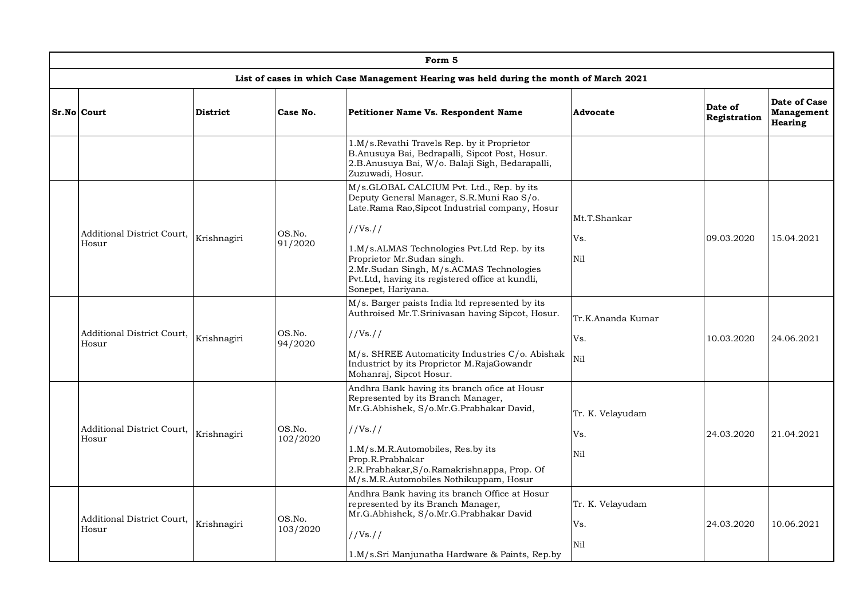| Form 5                              |                 |                    |                                                                                                                                                                                                                                                                                                                                                          |                                 |                         |                                                     |  |  |  |  |
|-------------------------------------|-----------------|--------------------|----------------------------------------------------------------------------------------------------------------------------------------------------------------------------------------------------------------------------------------------------------------------------------------------------------------------------------------------------------|---------------------------------|-------------------------|-----------------------------------------------------|--|--|--|--|
|                                     |                 |                    | List of cases in which Case Management Hearing was held during the month of March 2021                                                                                                                                                                                                                                                                   |                                 |                         |                                                     |  |  |  |  |
| Sr.No Court                         | <b>District</b> | Case No.           | <b>Petitioner Name Vs. Respondent Name</b>                                                                                                                                                                                                                                                                                                               | Advocate                        | Date of<br>Registration | Date of Case<br><b>Management</b><br><b>Hearing</b> |  |  |  |  |
|                                     |                 |                    | 1.M/s.Revathi Travels Rep. by it Proprietor<br>B.Anusuya Bai, Bedrapalli, Sipcot Post, Hosur.<br>2.B.Anusuya Bai, W/o. Balaji Sigh, Bedarapalli,<br>Zuzuwadi, Hosur.                                                                                                                                                                                     |                                 |                         |                                                     |  |  |  |  |
| Additional District Court,<br>Hosur | Krishnagiri     | OS.No.<br>91/2020  | M/s.GLOBAL CALCIUM Pvt. Ltd., Rep. by its<br>Deputy General Manager, S.R.Muni Rao S/o.<br>Late.Rama Rao,Sipcot Industrial company, Hosur<br>//Vs. //<br>1.M/s.ALMAS Technologies Pvt.Ltd Rep. by its<br>Proprietor Mr.Sudan singh.<br>2.Mr.Sudan Singh, M/s.ACMAS Technologies<br>Pvt.Ltd, having its registered office at kundli,<br>Sonepet, Hariyana. | Mt.T.Shankar<br>Vs.<br>Nil      | 09.03.2020              | 15.04.2021                                          |  |  |  |  |
| Additional District Court,<br>Hosur | Krishnagiri     | OS.No.<br>94/2020  | M/s. Barger paists India ltd represented by its<br>Authroised Mr.T.Srinivasan having Sipcot, Hosur.<br>//Vs. //<br>M/s. SHREE Automaticity Industries C/o. Abishak<br>Industrict by its Proprietor M.RajaGowandr<br>Mohanraj, Sipcot Hosur.                                                                                                              | Tr.K.Ananda Kumar<br>Vs.<br>Nil | 10.03.2020              | 24.06.2021                                          |  |  |  |  |
| Additional District Court,<br>Hosur | Krishnagiri     | OS.No.<br>102/2020 | Andhra Bank having its branch ofice at Housr<br>Represented by its Branch Manager,<br>Mr.G.Abhishek, S/o.Mr.G.Prabhakar David,<br>//Vs. //<br>1.M/s.M.R.Automobiles, Res.by its<br>Prop.R.Prabhakar<br>2.R.Prabhakar, S/o.Ramakrishnappa, Prop. Of<br>M/s.M.R.Automobiles Nothikuppam, Hosur                                                             | Tr. K. Velayudam<br>Vs.<br>Nil  | 24.03.2020              | 21.04.2021                                          |  |  |  |  |
| Additional District Court,<br>Hosur | Krishnagiri     | OS.No.<br>103/2020 | Andhra Bank having its branch Office at Hosur<br>represented by its Branch Manager,<br>Mr.G.Abhishek, S/o.Mr.G.Prabhakar David<br>//Vs. //<br>1.M/s.Sri Manjunatha Hardware & Paints, Rep.by                                                                                                                                                             | Tr. K. Velayudam<br>Vs.<br>Nil  | 24.03.2020              | 10.06.2021                                          |  |  |  |  |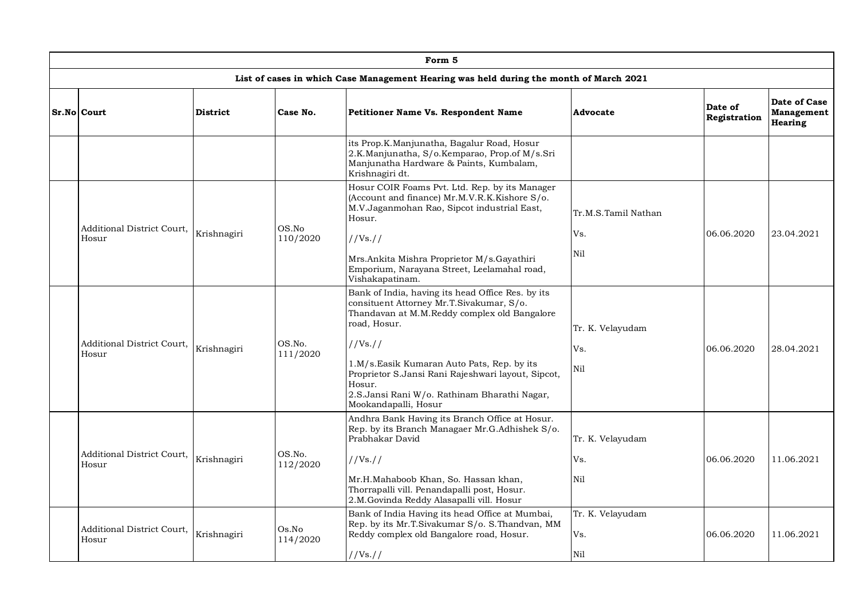| Form 5                                                                                 |                 |                                                                                                              |                                                                                                                                                                                    |                         |                         |                                       |  |  |  |  |
|----------------------------------------------------------------------------------------|-----------------|--------------------------------------------------------------------------------------------------------------|------------------------------------------------------------------------------------------------------------------------------------------------------------------------------------|-------------------------|-------------------------|---------------------------------------|--|--|--|--|
| List of cases in which Case Management Hearing was held during the month of March 2021 |                 |                                                                                                              |                                                                                                                                                                                    |                         |                         |                                       |  |  |  |  |
| Sr.No Court                                                                            | <b>District</b> | Case No.                                                                                                     | <b>Petitioner Name Vs. Respondent Name</b>                                                                                                                                         | Advocate                | Date of<br>Registration | Date of Case<br>Management<br>Hearing |  |  |  |  |
|                                                                                        |                 |                                                                                                              | its Prop.K.Manjunatha, Bagalur Road, Hosur<br>2.K.Manjunatha, S/o.Kemparao, Prop.of M/s.Sri<br>Manjunatha Hardware & Paints, Kumbalam,<br>Krishnagiri dt.                          |                         |                         |                                       |  |  |  |  |
| Additional District Court,                                                             |                 | OS.No                                                                                                        | Hosur COIR Foams Pvt. Ltd. Rep. by its Manager<br>(Account and finance) Mr.M.V.R.K.Kishore S/o.<br>M.V.Jaganmohan Rao, Sipcot industrial East,<br>Hosur.                           | Tr.M.S.Tamil Nathan     |                         |                                       |  |  |  |  |
| Hosur                                                                                  | Krishnagiri     | 110/2020                                                                                                     | //Vs. //                                                                                                                                                                           | Vs.                     | 06.06.2020              | 23.04.2021                            |  |  |  |  |
|                                                                                        |                 | Mrs.Ankita Mishra Proprietor M/s.Gayathiri<br>Emporium, Narayana Street, Leelamahal road,<br>Vishakapatinam. | Ni1                                                                                                                                                                                |                         |                         |                                       |  |  |  |  |
|                                                                                        |                 |                                                                                                              | Bank of India, having its head Office Res. by its<br>consituent Attorney Mr.T.Sivakumar, S/o.<br>Thandavan at M.M.Reddy complex old Bangalore<br>road, Hosur.                      | Tr. K. Velayudam        |                         |                                       |  |  |  |  |
| Additional District Court,<br>Hosur                                                    | Krishnagiri     | OS.No.<br>111/2020                                                                                           | //Vs. //                                                                                                                                                                           | Vs.                     | 06.06.2020              | 28.04.2021                            |  |  |  |  |
|                                                                                        |                 |                                                                                                              | 1.M/s.Easik Kumaran Auto Pats, Rep. by its<br>Proprietor S.Jansi Rani Rajeshwari layout, Sipcot,<br>Hosur.<br>2.S.Jansi Rani W/o. Rathinam Bharathi Nagar,<br>Mookandapalli, Hosur | Nil                     |                         |                                       |  |  |  |  |
|                                                                                        |                 |                                                                                                              | Andhra Bank Having its Branch Office at Hosur.<br>Rep. by its Branch Managaer Mr.G.Adhishek S/o.<br>Prabhakar David                                                                | Tr. K. Velayudam        |                         |                                       |  |  |  |  |
| Additional District Court,<br>Hosur                                                    | Krishnagiri     | OS.No.<br>112/2020                                                                                           | //Vs. //                                                                                                                                                                           | Vs.                     | 06.06.2020              | 11.06.2021                            |  |  |  |  |
|                                                                                        |                 |                                                                                                              | Mr.H.Mahaboob Khan, So. Hassan khan,<br>Thorrapalli vill. Penandapalli post, Hosur.<br>2.M.Govinda Reddy Alasapalli vill. Hosur                                                    | Nil                     |                         |                                       |  |  |  |  |
| Additional District Court,<br>Hosur                                                    | Krishnagiri     | Os.No<br>114/2020                                                                                            | Bank of India Having its head Office at Mumbai,<br>Rep. by its Mr.T.Sivakumar S/o. S.Thandvan, MM<br>Reddy complex old Bangalore road, Hosur.                                      | Tr. K. Velayudam<br>Vs. | 06.06.2020              | 11.06.2021                            |  |  |  |  |
|                                                                                        |                 |                                                                                                              | //Vs. //                                                                                                                                                                           | Nil                     |                         |                                       |  |  |  |  |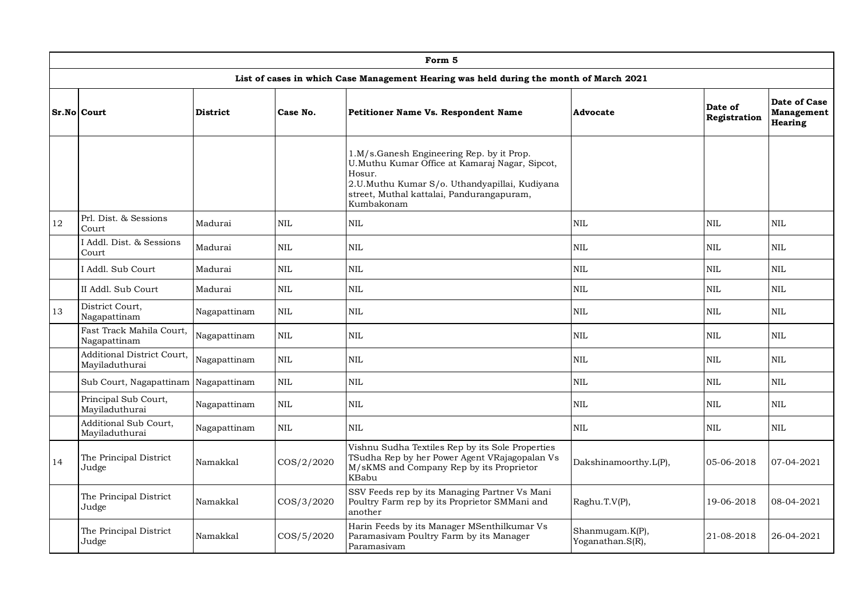|    | Form 5                                              |                 |              |                                                                                                                                                                                                                   |                                     |                         |                                              |  |  |  |  |
|----|-----------------------------------------------------|-----------------|--------------|-------------------------------------------------------------------------------------------------------------------------------------------------------------------------------------------------------------------|-------------------------------------|-------------------------|----------------------------------------------|--|--|--|--|
|    |                                                     |                 |              | List of cases in which Case Management Hearing was held during the month of March 2021                                                                                                                            |                                     |                         |                                              |  |  |  |  |
|    | Sr.No Court                                         | <b>District</b> | Case No.     | <b>Petitioner Name Vs. Respondent Name</b>                                                                                                                                                                        | Advocate                            | Date of<br>Registration | Date of Case<br>Management<br><b>Hearing</b> |  |  |  |  |
|    |                                                     |                 |              | 1.M/s.Ganesh Engineering Rep. by it Prop.<br>U.Muthu Kumar Office at Kamaraj Nagar, Sipcot,<br>Hosur.<br>2.U.Muthu Kumar S/o. Uthandyapillai, Kudiyana<br>street, Muthal kattalai, Pandurangapuram,<br>Kumbakonam |                                     |                         |                                              |  |  |  |  |
| 12 | Prl. Dist. & Sessions<br>Court                      | Madurai         | <b>NIL</b>   | <b>NIL</b>                                                                                                                                                                                                        | <b>NIL</b>                          | <b>NIL</b>              | <b>NIL</b>                                   |  |  |  |  |
|    | I Addl. Dist. & Sessions<br>Court                   | Madurai         | <b>NIL</b>   | <b>NIL</b>                                                                                                                                                                                                        | <b>NIL</b>                          | <b>NIL</b>              | <b>NIL</b>                                   |  |  |  |  |
|    | I Addl. Sub Court                                   | Madurai         | <b>NIL</b>   | <b>NIL</b>                                                                                                                                                                                                        | <b>NIL</b>                          | <b>NIL</b>              | $\mbox{NIL}$                                 |  |  |  |  |
|    | II Addl. Sub Court                                  | Madurai         | <b>NIL</b>   | <b>NIL</b>                                                                                                                                                                                                        | <b>NIL</b>                          | <b>NIL</b>              | <b>NIL</b>                                   |  |  |  |  |
| 13 | District Court,<br>Nagapattinam                     | Nagapattinam    | <b>NIL</b>   | <b>NIL</b>                                                                                                                                                                                                        | $\mbox{NIL}$                        | <b>NIL</b>              | NIL                                          |  |  |  |  |
|    | Fast Track Mahila Court,<br>Nagapattinam            | Nagapattinam    | $\mbox{NIL}$ | <b>NIL</b>                                                                                                                                                                                                        | $\mbox{NIL}$                        | <b>NIL</b>              | $\mbox{NIL}$                                 |  |  |  |  |
|    | <b>Additional District Court,</b><br>Mayiladuthurai | Nagapattinam    | <b>NIL</b>   | <b>NIL</b>                                                                                                                                                                                                        | <b>NIL</b>                          | <b>NIL</b>              | <b>NIL</b>                                   |  |  |  |  |
|    | Sub Court, Nagapattinam Nagapattinam                |                 | <b>NIL</b>   | <b>NIL</b>                                                                                                                                                                                                        | <b>NIL</b>                          | <b>NIL</b>              | <b>NIL</b>                                   |  |  |  |  |
|    | Principal Sub Court,<br>Mayiladuthurai              | Nagapattinam    | <b>NIL</b>   | <b>NIL</b>                                                                                                                                                                                                        | <b>NIL</b>                          | <b>NIL</b>              | $\mbox{NIL}$                                 |  |  |  |  |
|    | Additional Sub Court,<br>Mayiladuthurai             | Nagapattinam    | <b>NIL</b>   | <b>NIL</b>                                                                                                                                                                                                        | $\mbox{NIL}$                        | <b>NIL</b>              | <b>NIL</b>                                   |  |  |  |  |
| 14 | The Principal District<br>Judge                     | Namakkal        | COS/2/2020   | Vishnu Sudha Textiles Rep by its Sole Properties<br>TSudha Rep by her Power Agent VRajagopalan Vs<br>M/sKMS and Company Rep by its Proprietor<br>KBabu                                                            | Dakshinamoorthy.L(P),               | 05-06-2018              | 07-04-2021                                   |  |  |  |  |
|    | The Principal District<br>Judge                     | Namakkal        | COS/3/2020   | SSV Feeds rep by its Managing Partner Vs Mani<br>Poultry Farm rep by its Proprietor SMMani and<br>another                                                                                                         | Raghu.T.V(P),                       | 19-06-2018              | 08-04-2021                                   |  |  |  |  |
|    | The Principal District<br>Judge                     | Namakkal        | COS/5/2020   | Harin Feeds by its Manager MSenthilkumar Vs<br>Paramasivam Poultry Farm by its Manager<br>Paramasivam                                                                                                             | Shanmugam.K(P),<br>Yoganathan.S(R), | 21-08-2018              | 26-04-2021                                   |  |  |  |  |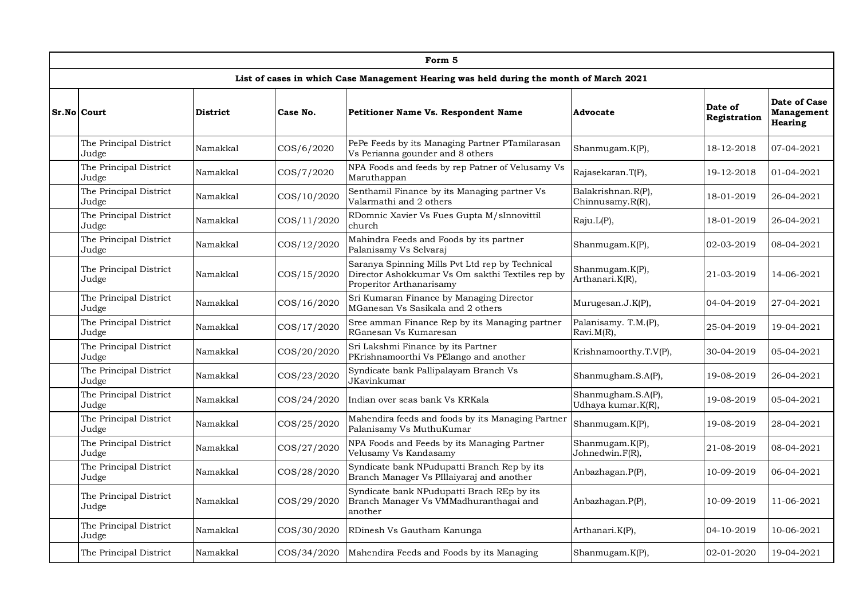|                                 |                 |             | Form 5                                                                                                                          |                                          |                         |                                              |
|---------------------------------|-----------------|-------------|---------------------------------------------------------------------------------------------------------------------------------|------------------------------------------|-------------------------|----------------------------------------------|
|                                 |                 |             | List of cases in which Case Management Hearing was held during the month of March 2021                                          |                                          |                         |                                              |
| Sr.No Court                     | <b>District</b> | Case No.    | Petitioner Name Vs. Respondent Name                                                                                             | Advocate                                 | Date of<br>Registration | Date of Case<br>Management<br><b>Hearing</b> |
| The Principal District<br>Judge | Namakkal        | COS/6/2020  | PePe Feeds by its Managing Partner PTamilarasan<br>Vs Perianna gounder and 8 others                                             | Shanmugam.K(P),                          | 18-12-2018              | 07-04-2021                                   |
| The Principal District<br>Judge | Namakkal        | COS/7/2020  | NPA Foods and feeds by rep Patner of Velusamy Vs<br>Maruthappan                                                                 | Rajasekaran.T(P),                        | 19-12-2018              | 01-04-2021                                   |
| The Principal District<br>Judge | Namakkal        | COS/10/2020 | Senthamil Finance by its Managing partner Vs<br>Valarmathi and 2 others                                                         | Balakrishnan.R(P),<br>Chinnusamy.R(R),   | 18-01-2019              | 26-04-2021                                   |
| The Principal District<br>Judge | Namakkal        | COS/11/2020 | RDomnic Xavier Vs Fues Gupta M/sInnovittil<br>church                                                                            | Raju.L(P),                               | 18-01-2019              | 26-04-2021                                   |
| The Principal District<br>Judge | Namakkal        | COS/12/2020 | Mahindra Feeds and Foods by its partner<br>Palanisamy Vs Selvaraj                                                               | Shanmugam.K(P),                          | 02-03-2019              | 08-04-2021                                   |
| The Principal District<br>Judge | Namakkal        | COS/15/2020 | Saranya Spinning Mills Pvt Ltd rep by Technical<br>Director Ashokkumar Vs Om sakthi Textiles rep by<br>Properitor Arthanarisamy | Shanmugam.K(P),<br>Arthanari.K(R),       | 21-03-2019              | 14-06-2021                                   |
| The Principal District<br>Judge | Namakkal        | COS/16/2020 | Sri Kumaran Finance by Managing Director<br>MGanesan Vs Sasikala and 2 others                                                   | Murugesan.J.K(P),                        | 04-04-2019              | 27-04-2021                                   |
| The Principal District<br>Judge | Namakkal        | COS/17/2020 | Sree amman Finance Rep by its Managing partner<br>RGanesan Vs Kumaresan                                                         | Palanisamy. T.M.(P),<br>Ravi.M(R),       | 25-04-2019              | 19-04-2021                                   |
| The Principal District<br>Judge | Namakkal        | COS/20/2020 | Sri Lakshmi Finance by its Partner<br>PKrishnamoorthi Vs PElango and another                                                    | Krishnamoorthy.T.V(P),                   | 30-04-2019              | 05-04-2021                                   |
| The Principal District<br>Judge | Namakkal        | COS/23/2020 | Syndicate bank Pallipalayam Branch Vs<br>JKavinkumar                                                                            | Shanmugham.S.A(P),                       | 19-08-2019              | 26-04-2021                                   |
| The Principal District<br>Judge | Namakkal        | COS/24/2020 | Indian over seas bank Vs KRKala                                                                                                 | Shanmugham.S.A(P),<br>Udhaya kumar.K(R), | 19-08-2019              | 05-04-2021                                   |
| The Principal District<br>Judge | Namakkal        | COS/25/2020 | Mahendira feeds and foods by its Managing Partner<br>Palanisamy Vs MuthuKumar                                                   | Shanmugam.K(P),                          | 19-08-2019              | 28-04-2021                                   |
| The Principal District<br>Judge | Namakkal        | COS/27/2020 | NPA Foods and Feeds by its Managing Partner<br>Velusamy Vs Kandasamy                                                            | Shanmugam.K(P),<br>Johnedwin.F(R),       | 21-08-2019              | 08-04-2021                                   |
| The Principal District<br>Judge | Namakkal        | COS/28/2020 | Syndicate bank NPudupatti Branch Rep by its<br>Branch Manager Vs PIllaiyaraj and another                                        | Anbazhagan.P(P),                         | 10-09-2019              | 06-04-2021                                   |
| The Principal District<br>Judge | Namakkal        | COS/29/2020 | Syndicate bank NPudupatti Brach REp by its<br>Branch Manager Vs VMMadhuranthagai and<br>another                                 | Anbazhagan.P(P),                         | 10-09-2019              | 11-06-2021                                   |
| The Principal District<br>Judge | Namakkal        | COS/30/2020 | RDinesh Vs Gautham Kanunga                                                                                                      | Arthanari.K(P),                          | 04-10-2019              | 10-06-2021                                   |
| The Principal District          | Namakkal        | COS/34/2020 | Mahendira Feeds and Foods by its Managing                                                                                       | Shanmugam.K(P),                          | 02-01-2020              | 19-04-2021                                   |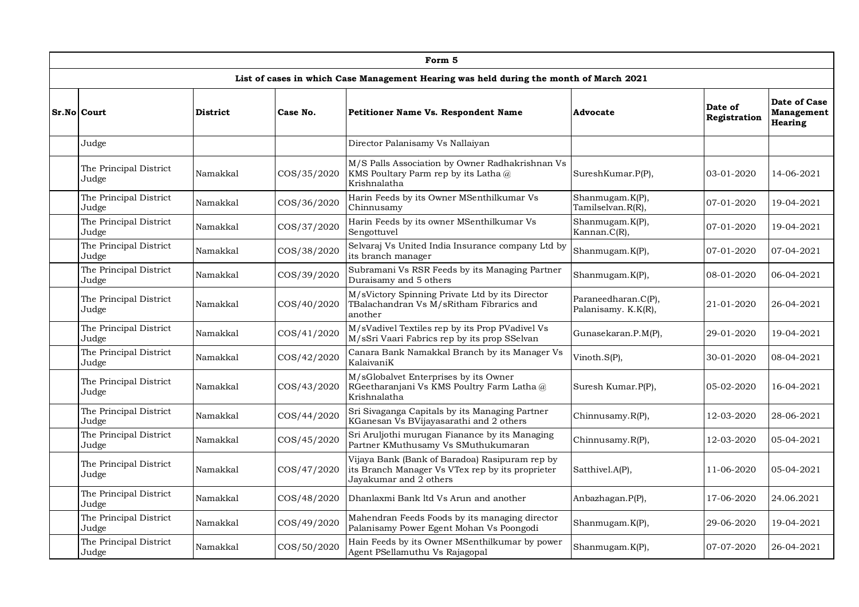|                                 |                 |             | Form 5                                                                                                                       |                                            |                         |                                                     |
|---------------------------------|-----------------|-------------|------------------------------------------------------------------------------------------------------------------------------|--------------------------------------------|-------------------------|-----------------------------------------------------|
|                                 |                 |             | List of cases in which Case Management Hearing was held during the month of March 2021                                       |                                            |                         |                                                     |
| Sr.No Court                     | <b>District</b> | Case No.    | <b>Petitioner Name Vs. Respondent Name</b>                                                                                   | Advocate                                   | Date of<br>Registration | Date of Case<br><b>Management</b><br><b>Hearing</b> |
| Judge                           |                 |             | Director Palanisamy Vs Nallaiyan                                                                                             |                                            |                         |                                                     |
| The Principal District<br>Judge | Namakkal        | COS/35/2020 | M/S Palls Association by Owner Radhakrishnan Vs<br>KMS Poultary Parm rep by its Latha @<br>Krishnalatha                      | SureshKumar.P(P),                          | 03-01-2020              | 14-06-2021                                          |
| The Principal District<br>Judge | Namakkal        | COS/36/2020 | Harin Feeds by its Owner MSenthilkumar Vs<br>Chinnusamy                                                                      | Shanmugam.K(P),<br>Tamilselvan.R(R),       | 07-01-2020              | 19-04-2021                                          |
| The Principal District<br>Judge | Namakkal        | COS/37/2020 | Harin Feeds by its owner MSenthilkumar Vs<br>Sengottuvel                                                                     | Shanmugam.K(P),<br>Kannan.C(R),            | 07-01-2020              | 19-04-2021                                          |
| The Principal District<br>Judge | Namakkal        | COS/38/2020 | Selvaraj Vs United India Insurance company Ltd by<br>its branch manager                                                      | Shanmugam.K(P),                            | 07-01-2020              | 07-04-2021                                          |
| The Principal District<br>Judge | Namakkal        | COS/39/2020 | Subramani Vs RSR Feeds by its Managing Partner<br>Duraisamy and 5 others                                                     | Shanmugam.K(P),                            | 08-01-2020              | 06-04-2021                                          |
| The Principal District<br>Judge | Namakkal        | COS/40/2020 | M/sVictory Spinning Private Ltd by its Director<br>TBalachandran Vs M/sRitham Fibrarics and<br>another                       | Paraneedharan.C(P),<br>Palanisamy. K.K(R), | 21-01-2020              | 26-04-2021                                          |
| The Principal District<br>Judge | Namakkal        | COS/41/2020 | M/sVadivel Textiles rep by its Prop PVadivel Vs<br>M/sSri Vaari Fabrics rep by its prop SSelvan                              | Gunasekaran.P.M(P),                        | 29-01-2020              | 19-04-2021                                          |
| The Principal District<br>Judge | Namakkal        | COS/42/2020 | Canara Bank Namakkal Branch by its Manager Vs<br>KalaivaniK                                                                  | Vinoth.S(P),                               | 30-01-2020              | 08-04-2021                                          |
| The Principal District<br>Judge | Namakkal        | COS/43/2020 | M/sGlobalvet Enterprises by its Owner<br>RGeetharanjani Vs KMS Poultry Farm Latha@<br>Krishnalatha                           | Suresh Kumar.P(P),                         | 05-02-2020              | 16-04-2021                                          |
| The Principal District<br>Judge | Namakkal        | COS/44/2020 | Sri Sivaganga Capitals by its Managing Partner<br>KGanesan Vs BVijayasarathi and 2 others                                    | Chinnusamy.R(P),                           | 12-03-2020              | 28-06-2021                                          |
| The Principal District<br>Judge | Namakkal        | COS/45/2020 | Sri Aruljothi murugan Fianance by its Managing<br>Partner KMuthusamy Vs SMuthukumaran                                        | Chinnusamy.R(P),                           | 12-03-2020              | 05-04-2021                                          |
| The Principal District<br>Judge | Namakkal        | COS/47/2020 | Vijaya Bank (Bank of Baradoa) Rasipuram rep by<br>its Branch Manager Vs VTex rep by its proprieter<br>Jayakumar and 2 others | Satthivel.A(P),                            | 11-06-2020              | 05-04-2021                                          |
| The Principal District<br>Judge | Namakkal        | COS/48/2020 | Dhanlaxmi Bank ltd Vs Arun and another                                                                                       | Anbazhagan.P(P),                           | 17-06-2020              | 24.06.2021                                          |
| The Principal District<br>Judge | Namakkal        | COS/49/2020 | Mahendran Feeds Foods by its managing director<br>Palanisamy Power Egent Mohan Vs Poongodi                                   | Shanmugam.K(P),                            | 29-06-2020              | 19-04-2021                                          |
| The Principal District<br>Judge | Namakkal        | COS/50/2020 | Hain Feeds by its Owner MSenthilkumar by power<br>Agent PSellamuthu Vs Rajagopal                                             | Shanmugam.K(P),                            | 07-07-2020              | 26-04-2021                                          |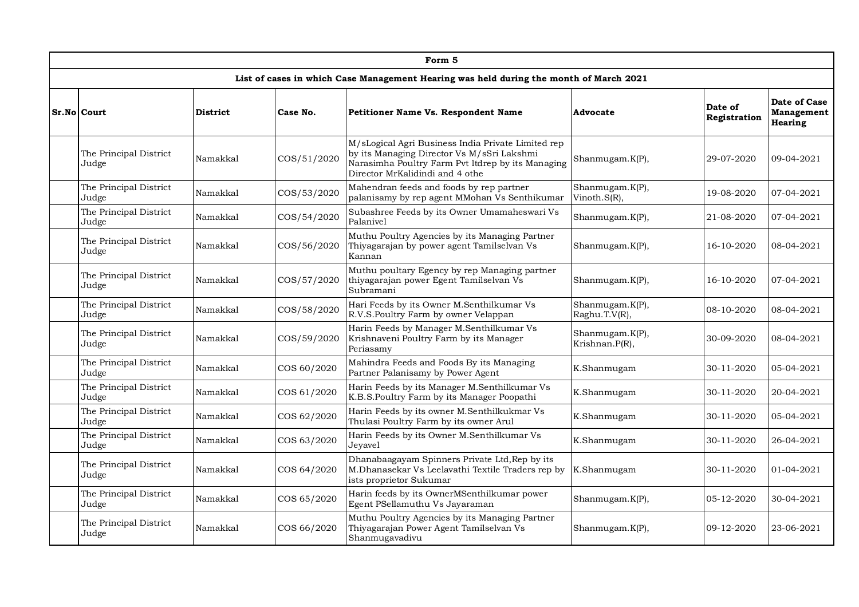| Form 5                          |                 |             |                                                                                                                                                                                          |                                   |                         |                                                     |  |  |  |  |
|---------------------------------|-----------------|-------------|------------------------------------------------------------------------------------------------------------------------------------------------------------------------------------------|-----------------------------------|-------------------------|-----------------------------------------------------|--|--|--|--|
|                                 |                 |             | List of cases in which Case Management Hearing was held during the month of March 2021                                                                                                   |                                   |                         |                                                     |  |  |  |  |
| Sr.No Court                     | <b>District</b> | Case No.    | <b>Petitioner Name Vs. Respondent Name</b>                                                                                                                                               | Advocate                          | Date of<br>Registration | Date of Case<br><b>Management</b><br><b>Hearing</b> |  |  |  |  |
| The Principal District<br>Judge | Namakkal        | COS/51/2020 | M/sLogical Agri Business India Private Limited rep<br>by its Managing Director Vs M/sSri Lakshmi<br>Narasimha Poultry Farm Pvt ltdrep by its Managing<br>Director MrKalidindi and 4 othe | Shanmugam.K(P),                   | 29-07-2020              | 09-04-2021                                          |  |  |  |  |
| The Principal District<br>Judge | Namakkal        | COS/53/2020 | Mahendran feeds and foods by rep partner<br>palanisamy by rep agent MMohan Vs Senthikumar                                                                                                | Shanmugam.K(P),<br>Vinoth.S(R),   | 19-08-2020              | 07-04-2021                                          |  |  |  |  |
| The Principal District<br>Judge | Namakkal        | COS/54/2020 | Subashree Feeds by its Owner Umamaheswari Vs<br>Palanivel                                                                                                                                | Shanmugam.K(P),                   | 21-08-2020              | 07-04-2021                                          |  |  |  |  |
| The Principal District<br>Judge | Namakkal        | COS/56/2020 | Muthu Poultry Agencies by its Managing Partner<br>Thiyagarajan by power agent Tamilselvan Vs<br>Kannan                                                                                   | Shanmugam.K(P),                   | 16-10-2020              | 08-04-2021                                          |  |  |  |  |
| The Principal District<br>Judge | Namakkal        | COS/57/2020 | Muthu poultary Egency by rep Managing partner<br>thiyagarajan power Egent Tamilselvan Vs<br>Subramani                                                                                    | Shanmugam.K(P),                   | 16-10-2020              | 07-04-2021                                          |  |  |  |  |
| The Principal District<br>Judge | Namakkal        | COS/58/2020 | Hari Feeds by its Owner M.Senthilkumar Vs<br>R.V.S.Poultry Farm by owner Velappan                                                                                                        | Shanmugam.K(P),<br>Raghu.T.V(R),  | 08-10-2020              | 08-04-2021                                          |  |  |  |  |
| The Principal District<br>Judge | Namakkal        | COS/59/2020 | Harin Feeds by Manager M.Senthilkumar Vs<br>Krishnaveni Poultry Farm by its Manager<br>Periasamy                                                                                         | Shanmugam.K(P),<br>Krishnan.P(R), | 30-09-2020              | 08-04-2021                                          |  |  |  |  |
| The Principal District<br>Judge | Namakkal        | COS 60/2020 | Mahindra Feeds and Foods By its Managing<br>Partner Palanisamy by Power Agent                                                                                                            | K.Shanmugam                       | 30-11-2020              | 05-04-2021                                          |  |  |  |  |
| The Principal District<br>Judge | Namakkal        | COS 61/2020 | Harin Feeds by its Manager M.Senthilkumar Vs<br>K.B.S.Poultry Farm by its Manager Poopathi                                                                                               | K.Shanmugam                       | 30-11-2020              | 20-04-2021                                          |  |  |  |  |
| The Principal District<br>Judge | Namakkal        | COS 62/2020 | Harin Feeds by its owner M.Senthilkukmar Vs<br>Thulasi Poultry Farm by its owner Arul                                                                                                    | K.Shanmugam                       | 30-11-2020              | 05-04-2021                                          |  |  |  |  |
| The Principal District<br>Judge | Namakkal        | COS 63/2020 | Harin Feeds by its Owner M.Senthilkumar Vs<br>Jeyavel                                                                                                                                    | K.Shanmugam                       | 30-11-2020              | 26-04-2021                                          |  |  |  |  |
| The Principal District<br>Judge | Namakkal        | COS 64/2020 | Dhanabaagayam Spinners Private Ltd, Rep by its<br>M.Dhanasekar Vs Leelavathi Textile Traders rep by<br>ists proprietor Sukumar                                                           | K.Shanmugam                       | 30-11-2020              | $01 - 04 - 2021$                                    |  |  |  |  |
| The Principal District<br>Judge | Namakkal        | COS 65/2020 | Harin feeds by its OwnerMSenthilkumar power<br>Egent PSellamuthu Vs Jayaraman                                                                                                            | Shanmugam.K(P),                   | 05-12-2020              | 30-04-2021                                          |  |  |  |  |
| The Principal District<br>Judge | Namakkal        | COS 66/2020 | Muthu Poultry Agencies by its Managing Partner<br>Thiyagarajan Power Agent Tamilselvan Vs<br>Shanmugavadivu                                                                              | Shanmugam.K(P),                   | 09-12-2020              | 23-06-2021                                          |  |  |  |  |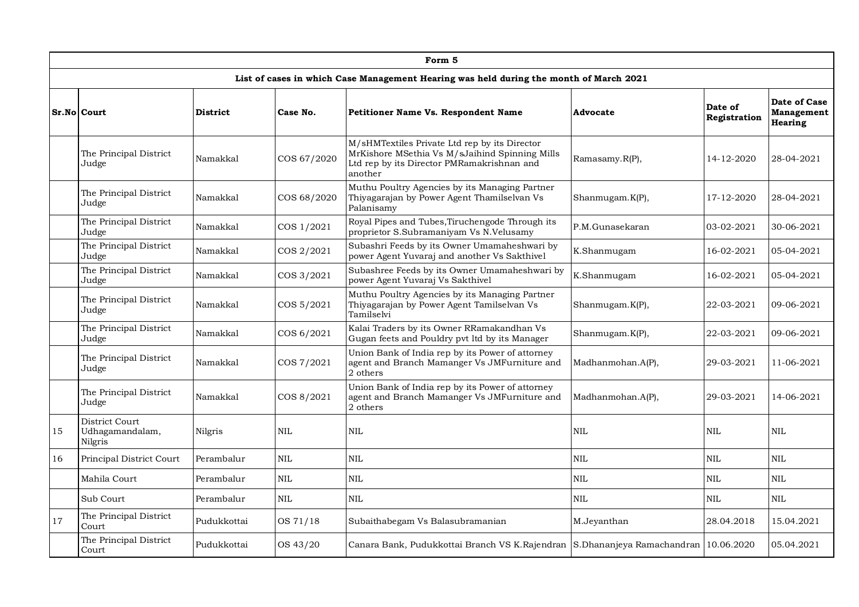|    | Form 5                                       |                 |             |                                                                                                                                                          |                   |                         |                                                     |  |  |  |  |
|----|----------------------------------------------|-----------------|-------------|----------------------------------------------------------------------------------------------------------------------------------------------------------|-------------------|-------------------------|-----------------------------------------------------|--|--|--|--|
|    |                                              |                 |             | List of cases in which Case Management Hearing was held during the month of March 2021                                                                   |                   |                         |                                                     |  |  |  |  |
|    | Sr.No Court                                  | <b>District</b> | Case No.    | <b>Petitioner Name Vs. Respondent Name</b>                                                                                                               | Advocate          | Date of<br>Registration | Date of Case<br><b>Management</b><br><b>Hearing</b> |  |  |  |  |
|    | The Principal District<br>Judge              | Namakkal        | COS 67/2020 | M/sHMTextiles Private Ltd rep by its Director<br>MrKishore MSethia Vs M/sJaihind Spinning Mills<br>Ltd rep by its Director PMRamakrishnan and<br>another | Ramasamy.R(P),    | 14-12-2020              | 28-04-2021                                          |  |  |  |  |
|    | The Principal District<br>Judge              | Namakkal        | COS 68/2020 | Muthu Poultry Agencies by its Managing Partner<br>Thiyagarajan by Power Agent Thamilselvan Vs<br>Palanisamy                                              | Shanmugam.K(P),   | 17-12-2020              | 28-04-2021                                          |  |  |  |  |
|    | The Principal District<br>Judge              | Namakkal        | COS 1/2021  | Royal Pipes and Tubes, Tiruchengode Through its<br>proprietor S.Subramaniyam Vs N.Velusamy                                                               | P.M.Gunasekaran   | 03-02-2021              | 30-06-2021                                          |  |  |  |  |
|    | The Principal District<br>Judge              | Namakkal        | COS 2/2021  | Subashri Feeds by its Owner Umamaheshwari by<br>power Agent Yuvaraj and another Vs Sakthivel                                                             | K.Shanmugam       | 16-02-2021              | 05-04-2021                                          |  |  |  |  |
|    | The Principal District<br>Judge              | Namakkal        | COS 3/2021  | Subashree Feeds by its Owner Umamaheshwari by<br>power Agent Yuvaraj Vs Sakthivel                                                                        | K.Shanmugam       | 16-02-2021              | 05-04-2021                                          |  |  |  |  |
|    | The Principal District<br>Judge              | Namakkal        | COS 5/2021  | Muthu Poultry Agencies by its Managing Partner<br>Thiyagarajan by Power Agent Tamilselvan Vs<br>Tamilselvi                                               | Shanmugam.K(P),   | 22-03-2021              | 09-06-2021                                          |  |  |  |  |
|    | The Principal District<br>Judge              | Namakkal        | COS 6/2021  | Kalai Traders by its Owner RRamakandhan Vs<br>Gugan feets and Pouldry pvt ltd by its Manager                                                             | Shanmugam.K(P),   | 22-03-2021              | 09-06-2021                                          |  |  |  |  |
|    | The Principal District<br>Judge              | Namakkal        | COS 7/2021  | Union Bank of India rep by its Power of attorney<br>agent and Branch Mamanger Vs JMFurniture and<br>2 others                                             | Madhanmohan.A(P), | 29-03-2021              | 11-06-2021                                          |  |  |  |  |
|    | The Principal District<br>Judge              | Namakkal        | COS 8/2021  | Union Bank of India rep by its Power of attorney<br>agent and Branch Mamanger Vs JMFurniture and<br>2 others                                             | Madhanmohan.A(P), | 29-03-2021              | 14-06-2021                                          |  |  |  |  |
| 15 | District Court<br>Udhagamandalam,<br>Nilgris | Nilgris         | NIL         | <b>NIL</b>                                                                                                                                               | <b>NIL</b>        | <b>NIL</b>              | <b>NIL</b>                                          |  |  |  |  |
| 16 | Principal District Court                     | Perambalur      | <b>NIL</b>  | <b>NIL</b>                                                                                                                                               | <b>NIL</b>        | <b>NIL</b>              | NIL                                                 |  |  |  |  |
|    | Mahila Court                                 | Perambalur      | <b>NIL</b>  | <b>NIL</b>                                                                                                                                               | <b>NIL</b>        | <b>NIL</b>              | NIL                                                 |  |  |  |  |
|    | Sub Court                                    | Perambalur      | <b>NIL</b>  | <b>NIL</b>                                                                                                                                               | <b>NIL</b>        | <b>NIL</b>              | <b>NIL</b>                                          |  |  |  |  |
| 17 | The Principal District<br>Court              | Pudukkottai     | OS 71/18    | Subaithabegam Vs Balasubramanian                                                                                                                         | M.Jeyanthan       | 28.04.2018              | 15.04.2021                                          |  |  |  |  |
|    | The Principal District<br>Court              | Pudukkottai     | OS 43/20    | Canara Bank, Pudukkottai Branch VS K.Rajendran S.Dhananjeya Ramachandran 10.06.2020                                                                      |                   |                         | 05.04.2021                                          |  |  |  |  |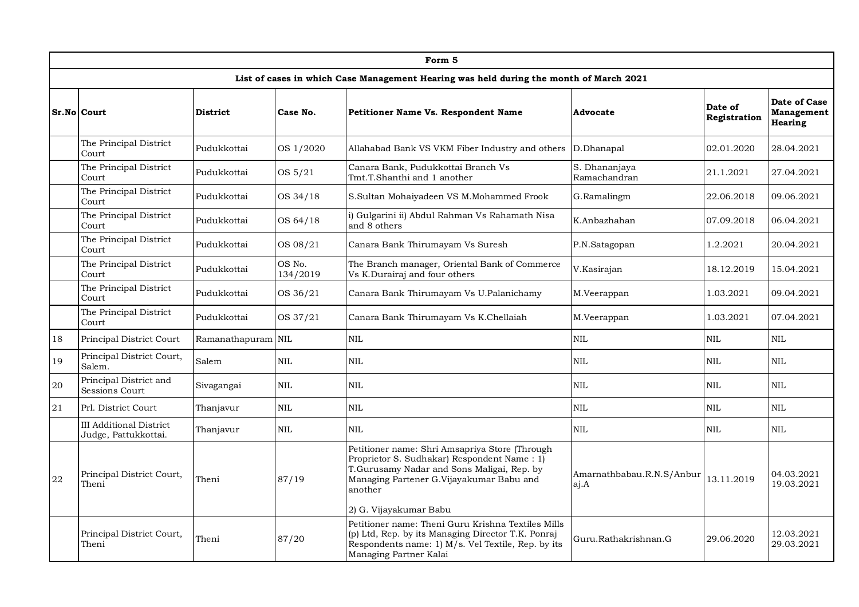|    | Form 5                                                 |                    |                    |                                                                                                                                                                                                                              |                                   |                         |                                                     |  |  |  |  |
|----|--------------------------------------------------------|--------------------|--------------------|------------------------------------------------------------------------------------------------------------------------------------------------------------------------------------------------------------------------------|-----------------------------------|-------------------------|-----------------------------------------------------|--|--|--|--|
|    |                                                        |                    |                    | List of cases in which Case Management Hearing was held during the month of March 2021                                                                                                                                       |                                   |                         |                                                     |  |  |  |  |
|    | Sr.No Court                                            | <b>District</b>    | Case No.           | <b>Petitioner Name Vs. Respondent Name</b>                                                                                                                                                                                   | Advocate                          | Date of<br>Registration | Date of Case<br><b>Management</b><br><b>Hearing</b> |  |  |  |  |
|    | The Principal District<br>Court                        | Pudukkottai        | OS 1/2020          | Allahabad Bank VS VKM Fiber Industry and others                                                                                                                                                                              | D.Dhanapal                        | 02.01.2020              | 28.04.2021                                          |  |  |  |  |
|    | The Principal District<br>Court                        | Pudukkottai        | OS 5/21            | Canara Bank, Pudukkottai Branch Vs<br>Tmt.T.Shanthi and 1 another                                                                                                                                                            | S. Dhananjava<br>Ramachandran     | 21.1.2021               | 27.04.2021                                          |  |  |  |  |
|    | The Principal District<br>Court                        | Pudukkottai        | OS 34/18           | S.Sultan Mohaiyadeen VS M.Mohammed Frook                                                                                                                                                                                     | G.Ramalingm                       | 22.06.2018              | 09.06.2021                                          |  |  |  |  |
|    | The Principal District<br>Court                        | Pudukkottai        | OS 64/18           | i) Gulgarini ii) Abdul Rahman Vs Rahamath Nisa<br>and 8 others                                                                                                                                                               | K.Anbazhahan                      | 07.09.2018              | 06.04.2021                                          |  |  |  |  |
|    | The Principal District<br>Court                        | Pudukkottai        | OS 08/21           | Canara Bank Thirumayam Vs Suresh                                                                                                                                                                                             | P.N.Satagopan                     | 1.2.2021                | 20.04.2021                                          |  |  |  |  |
|    | The Principal District<br>Court                        | Pudukkottai        | OS No.<br>134/2019 | The Branch manager, Oriental Bank of Commerce<br>Vs K.Durairaj and four others                                                                                                                                               | V.Kasirajan                       | 18.12.2019              | 15.04.2021                                          |  |  |  |  |
|    | The Principal District<br>Court                        | Pudukkottai        | OS 36/21           | Canara Bank Thirumayam Vs U.Palanichamy                                                                                                                                                                                      | M.Veerappan                       | 1.03.2021               | 09.04.2021                                          |  |  |  |  |
|    | The Principal District<br>Court                        | Pudukkottai        | OS 37/21           | Canara Bank Thirumayam Vs K.Chellaiah                                                                                                                                                                                        | M.Veerappan                       | 1.03.2021               | 07.04.2021                                          |  |  |  |  |
| 18 | Principal District Court                               | Ramanathapuram NIL |                    | NIL                                                                                                                                                                                                                          | NIL                               | <b>NIL</b>              | NIL                                                 |  |  |  |  |
| 19 | Principal District Court,<br>Salem.                    | Salem              | <b>NIL</b>         | NIL                                                                                                                                                                                                                          | <b>NIL</b>                        | <b>NIL</b>              | NIL                                                 |  |  |  |  |
| 20 | Principal District and<br>Sessions Court               | Sivagangai         | <b>NIL</b>         | NIL                                                                                                                                                                                                                          | <b>NIL</b>                        | <b>NIL</b>              | <b>NIL</b>                                          |  |  |  |  |
| 21 | Prl. District Court                                    | Thanjavur          | <b>NIL</b>         | NIL                                                                                                                                                                                                                          | NIL                               | <b>NIL</b>              | NIL                                                 |  |  |  |  |
|    | <b>III Additional District</b><br>Judge, Pattukkottai. | Thanjavur          | <b>NIL</b>         | NIL                                                                                                                                                                                                                          | NIL                               | <b>NIL</b>              | $\mbox{NIL}$                                        |  |  |  |  |
| 22 | Principal District Court,<br>Theni                     | Theni              | 87/19              | Petitioner name: Shri Amsapriya Store (Through<br>Proprietor S. Sudhakar) Respondent Name: 1)<br>T.Gurusamy Nadar and Sons Maligai, Rep. by<br>Managing Partener G.Vijayakumar Babu and<br>another<br>2) G. Vijayakumar Babu | Amarnathbabau.R.N.S/Anbur<br>aj.A | 13.11.2019              | 04.03.2021<br>19.03.2021                            |  |  |  |  |
|    | Principal District Court,<br>Theni                     | Theni              | 87/20              | Petitioner name: Theni Guru Krishna Textiles Mills<br>(p) Ltd, Rep. by its Managing Director T.K. Ponraj<br>Respondents name: 1) $M/s$ . Vel Textile, Rep. by its<br>Managing Partner Kalai                                  | Guru.Rathakrishnan.G              | 29.06.2020              | 12.03.2021<br>29.03.2021                            |  |  |  |  |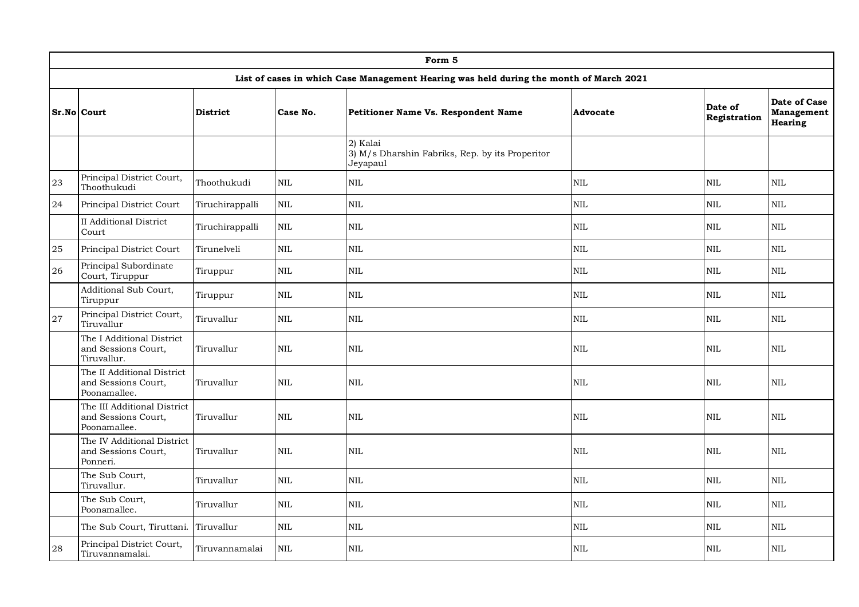|    | Form 5                                                             |                 |              |                                                                                        |              |                         |                                                     |  |  |  |  |
|----|--------------------------------------------------------------------|-----------------|--------------|----------------------------------------------------------------------------------------|--------------|-------------------------|-----------------------------------------------------|--|--|--|--|
|    |                                                                    |                 |              | List of cases in which Case Management Hearing was held during the month of March 2021 |              |                         |                                                     |  |  |  |  |
|    | Sr.No Court                                                        | <b>District</b> | Case No.     | Petitioner Name Vs. Respondent Name                                                    | Advocate     | Date of<br>Registration | Date of Case<br><b>Management</b><br><b>Hearing</b> |  |  |  |  |
|    |                                                                    |                 |              | 2) Kalai<br>3) M/s Dharshin Fabriks, Rep. by its Properitor<br>Jeyapaul                |              |                         |                                                     |  |  |  |  |
| 23 | Principal District Court,<br>Thoothukudi                           | Thoothukudi     | <b>NIL</b>   | <b>NIL</b>                                                                             | <b>NIL</b>   | <b>NIL</b>              | NIL.                                                |  |  |  |  |
| 24 | Principal District Court                                           | Tiruchirappalli | <b>NIL</b>   | NIL                                                                                    | NIL          | <b>NIL</b>              | <b>NIL</b>                                          |  |  |  |  |
|    | <b>II</b> Additional District<br>Court                             | Tiruchirappalli | <b>NIL</b>   | <b>NIL</b>                                                                             | NIL          | NIL                     | <b>NIL</b>                                          |  |  |  |  |
| 25 | Principal District Court                                           | Tirunelveli     | <b>NIL</b>   | <b>NIL</b>                                                                             | <b>NIL</b>   | NIL                     | <b>NIL</b>                                          |  |  |  |  |
| 26 | Principal Subordinate<br>Court, Tiruppur                           | Tiruppur        | NIL          | NIL                                                                                    | NIL          | NIL                     | NIL                                                 |  |  |  |  |
|    | Additional Sub Court,<br>Tiruppur                                  | Tiruppur        | <b>NIL</b>   | <b>NIL</b>                                                                             | <b>NIL</b>   | <b>NIL</b>              | NIL.                                                |  |  |  |  |
| 27 | Principal District Court,<br>Tiruvallur                            | Tiruvallur      | <b>NIL</b>   | NIL                                                                                    | <b>NIL</b>   | NIL                     | <b>NIL</b>                                          |  |  |  |  |
|    | The I Additional District<br>and Sessions Court,<br>Tiruvallur.    | Tiruvallur      | <b>NIL</b>   | <b>NIL</b>                                                                             | <b>NIL</b>   | <b>NIL</b>              | <b>NIL</b>                                          |  |  |  |  |
|    | The II Additional District<br>and Sessions Court,<br>Poonamallee.  | Tiruvallur      | <b>NIL</b>   | <b>NIL</b>                                                                             | <b>NIL</b>   | NIL                     | <b>NIL</b>                                          |  |  |  |  |
|    | The III Additional District<br>and Sessions Court,<br>Poonamallee. | Tiruvallur      | <b>NIL</b>   | $\mbox{NIL}$                                                                           | <b>NIL</b>   | <b>NIL</b>              | NIL.                                                |  |  |  |  |
|    | The IV Additional District<br>and Sessions Court,<br>Ponneri.      | Tiruvallur      | <b>NIL</b>   | <b>NIL</b>                                                                             | <b>NIL</b>   | NIL                     | <b>NIL</b>                                          |  |  |  |  |
|    | The Sub Court,<br>Tiruvallur.                                      | Tiruvallur      | <b>NIL</b>   | $\rm NIL$                                                                              | $\rm NIL$    | <b>NIL</b>              | <b>NIL</b>                                          |  |  |  |  |
|    | The Sub Court,<br>Poonamallee.                                     | Tiruvallur      | $\mbox{NIL}$ | <b>NIL</b>                                                                             | $\mbox{NIL}$ | NIL                     | NIL                                                 |  |  |  |  |
|    | The Sub Court, Tiruttani.                                          | Tiruvallur      | $\rm NIL$    | <b>NIL</b>                                                                             | NIL          | NIL                     | <b>NIL</b>                                          |  |  |  |  |
| 28 | Principal District Court,<br>Tiruvannamalai.                       | Tiruvannamalai  | <b>NIL</b>   | <b>NIL</b>                                                                             | <b>NIL</b>   | <b>NIL</b>              | <b>NIL</b>                                          |  |  |  |  |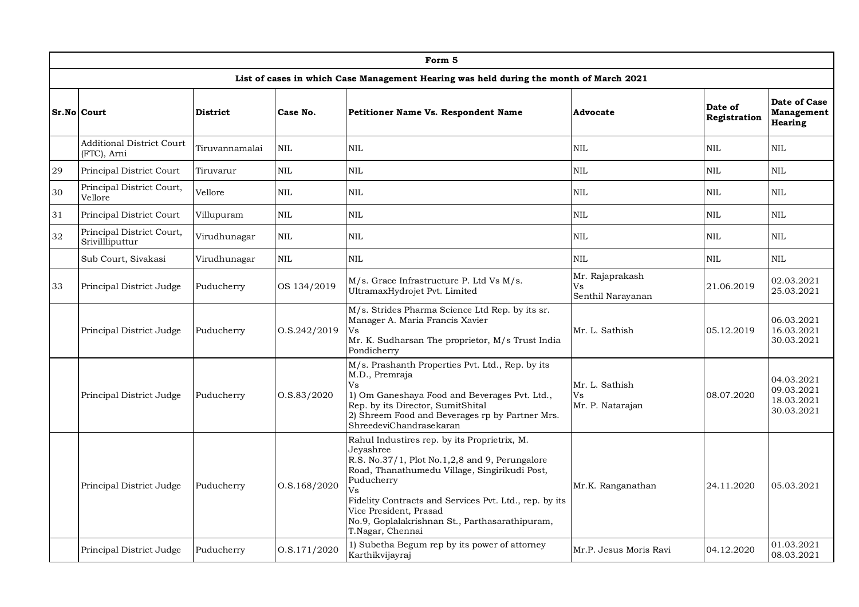|    | Form 5                                          |                 |                 |                                                                                                                                                                                                                                                                                                                                            |                                            |                         |                                                      |  |  |  |  |
|----|-------------------------------------------------|-----------------|-----------------|--------------------------------------------------------------------------------------------------------------------------------------------------------------------------------------------------------------------------------------------------------------------------------------------------------------------------------------------|--------------------------------------------|-------------------------|------------------------------------------------------|--|--|--|--|
|    |                                                 |                 |                 | List of cases in which Case Management Hearing was held during the month of March 2021                                                                                                                                                                                                                                                     |                                            |                         |                                                      |  |  |  |  |
|    | Sr.No Court                                     | <b>District</b> | Case No.        | <b>Petitioner Name Vs. Respondent Name</b>                                                                                                                                                                                                                                                                                                 | Advocate                                   | Date of<br>Registration | Date of Case<br><b>Management</b><br><b>Hearing</b>  |  |  |  |  |
|    | <b>Additional District Court</b><br>(FTC), Arni | Tiruvannamalai  | <b>NIL</b>      | <b>NIL</b>                                                                                                                                                                                                                                                                                                                                 | <b>NIL</b>                                 | <b>NIL</b>              | NIL.                                                 |  |  |  |  |
| 29 | Principal District Court                        | Tiruvarur       | <b>NIL</b>      | <b>NIL</b>                                                                                                                                                                                                                                                                                                                                 | <b>NIL</b>                                 | <b>NIL</b>              | NIL.                                                 |  |  |  |  |
| 30 | Principal District Court,<br>Vellore            | Vellore         | <b>NIL</b>      | <b>NIL</b>                                                                                                                                                                                                                                                                                                                                 | <b>NIL</b>                                 | <b>NIL</b>              | NIL.                                                 |  |  |  |  |
| 31 | Principal District Court                        | Villupuram      | <b>NIL</b>      | <b>NIL</b>                                                                                                                                                                                                                                                                                                                                 | <b>NIL</b>                                 | <b>NIL</b>              | NIL                                                  |  |  |  |  |
| 32 | Principal District Court,<br>Srivillliputtur    | Virudhunagar    | <b>NIL</b>      | <b>NIL</b>                                                                                                                                                                                                                                                                                                                                 | <b>NIL</b>                                 | <b>NIL</b>              | <b>NIL</b>                                           |  |  |  |  |
|    | Sub Court, Sivakasi                             | Virudhunagar    | <b>NIL</b>      | NIL                                                                                                                                                                                                                                                                                                                                        | <b>NIL</b>                                 | <b>NIL</b>              | NIL.                                                 |  |  |  |  |
| 33 | Principal District Judge                        | Puducherry      | OS 134/2019     | M/s. Grace Infrastructure P. Ltd Vs M/s.<br>UltramaxHydrojet Pvt. Limited                                                                                                                                                                                                                                                                  | Mr. Rajaprakash<br>Vs<br>Senthil Narayanan | 21.06.2019              | 02.03.2021<br>25.03.2021                             |  |  |  |  |
|    | Principal District Judge                        | Puducherry      | O.S.242/2019    | M/s. Strides Pharma Science Ltd Rep. by its sr.<br>Manager A. Maria Francis Xavier<br>Vs<br>Mr. K. Sudharsan The proprietor, M/s Trust India<br>Pondicherry                                                                                                                                                                                | Mr. L. Sathish                             | 05.12.2019              | 06.03.2021<br>16.03.2021<br>30.03.2021               |  |  |  |  |
|    | Principal District Judge                        | Puducherry      | 0. S. 83 / 2020 | M/s. Prashanth Properties Pvt. Ltd., Rep. by its<br>M.D., Premraja<br>Vs<br>1) Om Ganeshaya Food and Beverages Pvt. Ltd.,<br>Rep. by its Director, SumitShital<br>2) Shreem Food and Beverages rp by Partner Mrs.<br>ShreedeviChandrasekaran                                                                                               | Mr. L. Sathish<br>Vs<br>Mr. P. Natarajan   | 08.07.2020              | 04.03.2021<br>09.03.2021<br>18.03.2021<br>30.03.2021 |  |  |  |  |
|    | Principal District Judge                        | Puducherry      | O.S.168/2020    | Rahul Industires rep. by its Proprietrix, M.<br>Jeyashree<br>R.S. No.37/1, Plot No.1,2,8 and 9, Perungalore<br>Road, Thanathumedu Village, Singirikudi Post,<br>Puducherry<br>Vs<br>Fidelity Contracts and Services Pvt. Ltd., rep. by its<br>Vice President, Prasad<br>No.9, Goplalakrishnan St., Parthasarathipuram,<br>T.Nagar, Chennai | Mr.K. Ranganathan                          | 24.11.2020              | 05.03.2021                                           |  |  |  |  |
|    | Principal District Judge                        | Puducherry      | O.S.171/2020    | 1) Subetha Begum rep by its power of attorney<br>Karthikvijayraj                                                                                                                                                                                                                                                                           | Mr.P. Jesus Moris Ravi                     | 04.12.2020              | 01.03.2021<br>08.03.2021                             |  |  |  |  |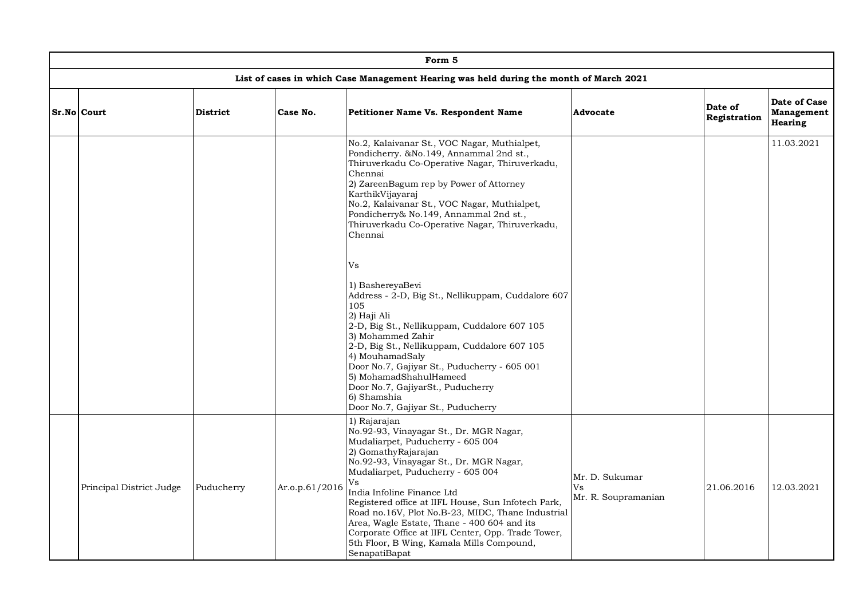| Form 5                   |                 |                |                                                                                                                                                                                                                                                                                                                                                                                                                                                                                                                                                                                                                                                                                                                                                                                                |                                             |                         |                                              |  |  |  |  |
|--------------------------|-----------------|----------------|------------------------------------------------------------------------------------------------------------------------------------------------------------------------------------------------------------------------------------------------------------------------------------------------------------------------------------------------------------------------------------------------------------------------------------------------------------------------------------------------------------------------------------------------------------------------------------------------------------------------------------------------------------------------------------------------------------------------------------------------------------------------------------------------|---------------------------------------------|-------------------------|----------------------------------------------|--|--|--|--|
|                          |                 |                | List of cases in which Case Management Hearing was held during the month of March 2021                                                                                                                                                                                                                                                                                                                                                                                                                                                                                                                                                                                                                                                                                                         |                                             |                         |                                              |  |  |  |  |
| Sr.No Court              | <b>District</b> | Case No.       | Petitioner Name Vs. Respondent Name                                                                                                                                                                                                                                                                                                                                                                                                                                                                                                                                                                                                                                                                                                                                                            | <b>Advocate</b>                             | Date of<br>Registration | Date of Case<br>Management<br><b>Hearing</b> |  |  |  |  |
|                          |                 |                | No.2, Kalaivanar St., VOC Nagar, Muthialpet,<br>Pondicherry. & No. 149, Annammal 2nd st.,<br>Thiruverkadu Co-Operative Nagar, Thiruverkadu,<br>Chennai<br>2) ZareenBagum rep by Power of Attorney<br>KarthikVijayaraj<br>No.2, Kalaivanar St., VOC Nagar, Muthialpet,<br>Pondicherry& No.149, Annammal 2nd st.,<br>Thiruverkadu Co-Operative Nagar, Thiruverkadu,<br>Chennai<br>Vs<br>1) BashereyaBevi<br>Address - 2-D, Big St., Nellikuppam, Cuddalore 607<br>105<br>2) Haji Ali<br>2-D, Big St., Nellikuppam, Cuddalore 607 105<br>3) Mohammed Zahir<br>2-D, Big St., Nellikuppam, Cuddalore 607 105<br>4) MouhamadSaly<br>Door No.7, Gajiyar St., Puducherry - 605 001<br>5) MohamadShahulHameed<br>Door No.7, GajiyarSt., Puducherry<br>6) Shamshia<br>Door No.7, Gajiyar St., Puducherry |                                             |                         | 11.03.2021                                   |  |  |  |  |
| Principal District Judge | Puducherry      | Ar.o.p.61/2016 | 1) Rajarajan<br>No.92-93, Vinayagar St., Dr. MGR Nagar,<br>Mudaliarpet, Puducherry - 605 004<br>2) GomathyRajarajan<br>No.92-93, Vinayagar St., Dr. MGR Nagar,<br>Mudaliarpet, Puducherry - 605 004<br>Vs<br>India Infoline Finance Ltd<br>Registered office at IIFL House, Sun Infotech Park,<br>Road no.16V, Plot No.B-23, MIDC, Thane Industrial<br>Area, Wagle Estate, Thane - 400 604 and its<br>Corporate Office at IIFL Center, Opp. Trade Tower,<br>5th Floor, B Wing, Kamala Mills Compound,<br>SenapatiBapat                                                                                                                                                                                                                                                                         | Mr. D. Sukumar<br>Vs<br>Mr. R. Soupramanian | 21.06.2016              | 12.03.2021                                   |  |  |  |  |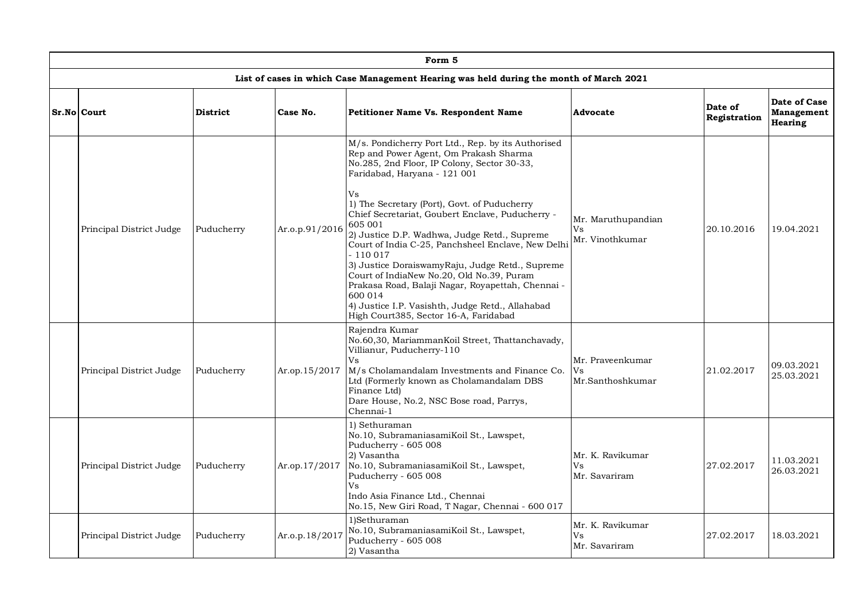| Form 5                   |                 |                |                                                                                                                                                                                                                                                                                                                                                                                                                                                                                                                                                                                                                                                                                  |                                             |                         |                                              |  |  |  |  |
|--------------------------|-----------------|----------------|----------------------------------------------------------------------------------------------------------------------------------------------------------------------------------------------------------------------------------------------------------------------------------------------------------------------------------------------------------------------------------------------------------------------------------------------------------------------------------------------------------------------------------------------------------------------------------------------------------------------------------------------------------------------------------|---------------------------------------------|-------------------------|----------------------------------------------|--|--|--|--|
|                          |                 |                | List of cases in which Case Management Hearing was held during the month of March 2021                                                                                                                                                                                                                                                                                                                                                                                                                                                                                                                                                                                           |                                             |                         |                                              |  |  |  |  |
| Sr.No Court              | <b>District</b> | Case No.       | <b>Petitioner Name Vs. Respondent Name</b>                                                                                                                                                                                                                                                                                                                                                                                                                                                                                                                                                                                                                                       | <b>Advocate</b>                             | Date of<br>Registration | Date of Case<br>Management<br><b>Hearing</b> |  |  |  |  |
| Principal District Judge | Puducherry      | Ar.o.p.91/2016 | M/s. Pondicherry Port Ltd., Rep. by its Authorised<br>Rep and Power Agent, Om Prakash Sharma<br>No.285, 2nd Floor, IP Colony, Sector 30-33,<br>Faridabad, Haryana - 121 001<br>Vs<br>1) The Secretary (Port), Govt. of Puducherry<br>Chief Secretariat, Goubert Enclave, Puducherry -<br>605 001<br>2) Justice D.P. Wadhwa, Judge Retd., Supreme<br>Court of India C-25, Panchsheel Enclave, New Delhi<br>$-110017$<br>3) Justice DoraiswamyRaju, Judge Retd., Supreme<br>Court of IndiaNew No.20, Old No.39, Puram<br>Prakasa Road, Balaji Nagar, Royapettah, Chennai -<br>600 014<br>4) Justice I.P. Vasishth, Judge Retd., Allahabad<br>High Court385, Sector 16-A, Faridabad | Mr. Maruthupandian<br>Vs<br>Mr. Vinothkumar | 20.10.2016              | 19.04.2021                                   |  |  |  |  |
| Principal District Judge | Puducherry      | Ar.op.15/2017  | Rajendra Kumar<br>No.60,30, MariammanKoil Street, Thattanchavady,<br>Villianur, Puducherry-110<br>Vs<br>M/s Cholamandalam Investments and Finance Co.<br>Ltd (Formerly known as Cholamandalam DBS<br>Finance Ltd)<br>Dare House, No.2, NSC Bose road, Parrys,<br>Chennai-1                                                                                                                                                                                                                                                                                                                                                                                                       | Mr. Praveenkumar<br>Vs<br>Mr.Santhoshkumar  | 21.02.2017              | 09.03.2021<br>25.03.2021                     |  |  |  |  |
| Principal District Judge | Puducherry      | Ar.op.17/2017  | 1) Sethuraman<br>No.10, SubramaniasamiKoil St., Lawspet,<br>Puducherry - 605 008<br>2) Vasantha<br>No.10, SubramaniasamiKoil St., Lawspet,<br>Puducherry - 605 008<br>Vs<br>Indo Asia Finance Ltd., Chennai<br>No.15, New Giri Road, T Nagar, Chennai - 600 017                                                                                                                                                                                                                                                                                                                                                                                                                  | Mr. K. Ravikumar<br>Vs<br>Mr. Savariram     | 27.02.2017              | 11.03.2021<br>26.03.2021                     |  |  |  |  |
| Principal District Judge | Puducherry      | Ar.o.p.18/2017 | 1)Sethuraman<br>No.10, SubramaniasamiKoil St., Lawspet,<br>Puducherry - 605 008<br>2) Vasantha                                                                                                                                                                                                                                                                                                                                                                                                                                                                                                                                                                                   | Mr. K. Ravikumar<br>Vs<br>Mr. Savariram     | 27.02.2017              | 18.03.2021                                   |  |  |  |  |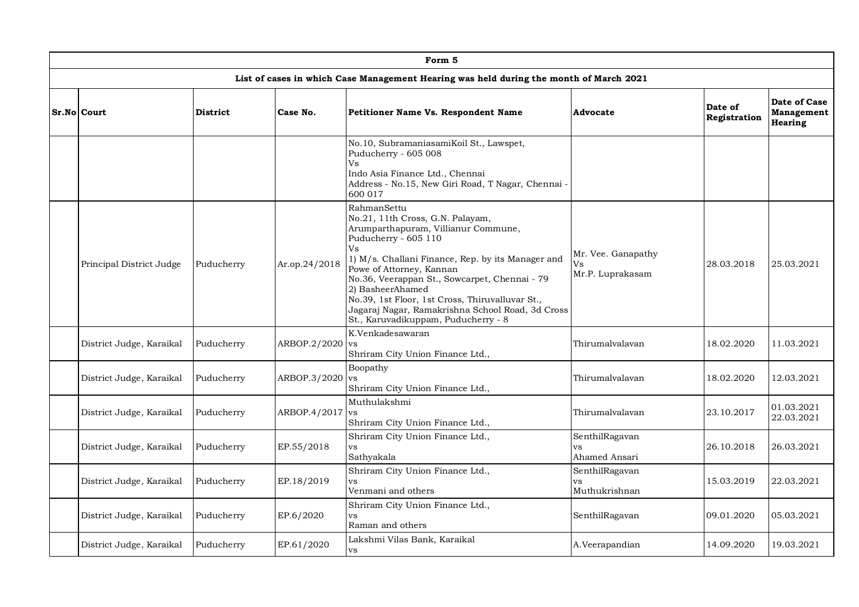| Form 5                   |                 |               |                                                                                                                                                                                                                                                                                                                                                                                                                          |                                              |                         |                                              |  |  |  |  |
|--------------------------|-----------------|---------------|--------------------------------------------------------------------------------------------------------------------------------------------------------------------------------------------------------------------------------------------------------------------------------------------------------------------------------------------------------------------------------------------------------------------------|----------------------------------------------|-------------------------|----------------------------------------------|--|--|--|--|
|                          |                 |               | List of cases in which Case Management Hearing was held during the month of March 2021                                                                                                                                                                                                                                                                                                                                   |                                              |                         |                                              |  |  |  |  |
| Sr.No Court              | <b>District</b> | Case No.      | Petitioner Name Vs. Respondent Name                                                                                                                                                                                                                                                                                                                                                                                      | Advocate                                     | Date of<br>Registration | Date of Case<br>Management<br><b>Hearing</b> |  |  |  |  |
|                          |                 |               | No.10, SubramaniasamiKoil St., Lawspet,<br>Puducherry - 605 008<br>Vs<br>Indo Asia Finance Ltd., Chennai<br>Address - No.15, New Giri Road, T Nagar, Chennai -<br>600 017                                                                                                                                                                                                                                                |                                              |                         |                                              |  |  |  |  |
| Principal District Judge | Puducherry      | Ar.op.24/2018 | RahmanSettu<br>No.21, 11th Cross, G.N. Palayam,<br>Arumparthapuram, Villianur Commune,<br>Puducherry - 605 110<br>Vs<br>1) M/s. Challani Finance, Rep. by its Manager and<br>Powe of Attorney, Kannan<br>No.36, Veerappan St., Sowcarpet, Chennai - 79<br>2) BasheerAhamed<br>No.39, 1st Floor, 1st Cross, Thiruvalluvar St.,<br>Jagaraj Nagar, Ramakrishna School Road, 3d Cross<br>St., Karuvadikuppam, Puducherry - 8 | Mr. Vee. Ganapathy<br>Vs<br>Mr.P. Luprakasam | 28.03.2018              | 25.03.2021                                   |  |  |  |  |
| District Judge, Karaikal | Puducherry      | ARBOP.2/2020  | K.Venkadesawaran<br><b>vs</b><br>Shriram City Union Finance Ltd.,                                                                                                                                                                                                                                                                                                                                                        | Thirumalvalavan                              | 18.02.2020              | 11.03.2021                                   |  |  |  |  |
| District Judge, Karaikal | Puducherry      | ARBOP.3/2020  | Boopathy<br><b>VS</b><br>Shriram City Union Finance Ltd.,                                                                                                                                                                                                                                                                                                                                                                | Thirumalvalavan                              | 18.02.2020              | 12.03.2021                                   |  |  |  |  |
| District Judge, Karaikal | Puducherry      | ARBOP.4/2017  | Muthulakshmi<br><b>vs</b><br>Shriram City Union Finance Ltd.,                                                                                                                                                                                                                                                                                                                                                            | Thirumalvalavan                              | 23.10.2017              | 01.03.2021<br>22.03.2021                     |  |  |  |  |
| District Judge, Karaikal | Puducherry      | EP.55/2018    | Shriram City Union Finance Ltd.,<br>vs<br>Sathyakala                                                                                                                                                                                                                                                                                                                                                                     | SenthilRagavan<br><b>vs</b><br>Ahamed Ansari | 26.10.2018              | 26.03.2021                                   |  |  |  |  |
| District Judge, Karaikal | Puducherry      | EP.18/2019    | Shriram City Union Finance Ltd.,<br><b>VS</b><br>Venmani and others                                                                                                                                                                                                                                                                                                                                                      | SenthilRagavan<br><b>vs</b><br>Muthukrishnan | 15.03.2019              | 22.03.2021                                   |  |  |  |  |
| District Judge, Karaikal | Puducherry      | EP.6/2020     | Shriram City Union Finance Ltd.,<br><b>VS</b><br>Raman and others                                                                                                                                                                                                                                                                                                                                                        | SenthilRagavan                               | 09.01.2020              | 05.03.2021                                   |  |  |  |  |
| District Judge, Karaikal | Puducherry      | EP.61/2020    | Lakshmi Vilas Bank, Karaikal<br><b>vs</b>                                                                                                                                                                                                                                                                                                                                                                                | A.Veerapandian                               | 14.09.2020              | 19.03.2021                                   |  |  |  |  |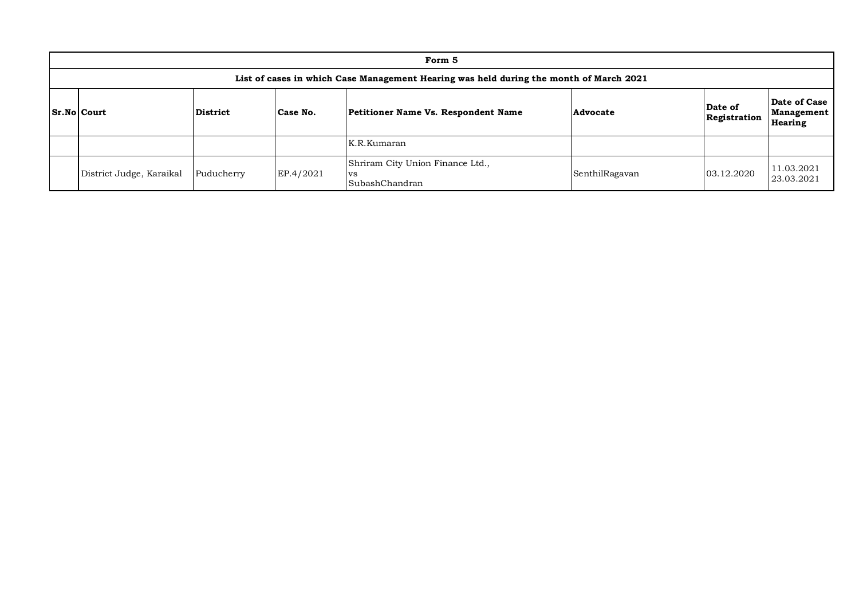| Form 5                                                                                 |                 |           |                                                                 |                |                         |                                              |  |  |  |  |  |  |
|----------------------------------------------------------------------------------------|-----------------|-----------|-----------------------------------------------------------------|----------------|-------------------------|----------------------------------------------|--|--|--|--|--|--|
| List of cases in which Case Management Hearing was held during the month of March 2021 |                 |           |                                                                 |                |                         |                                              |  |  |  |  |  |  |
| Sr.No Court                                                                            | <b>District</b> | Case No.  | Petitioner Name Vs. Respondent Name                             | Advocate       | Date of<br>Registration | Date of Case<br>Management<br><b>Hearing</b> |  |  |  |  |  |  |
|                                                                                        |                 |           | K.R.Kumaran                                                     |                |                         |                                              |  |  |  |  |  |  |
| District Judge, Karaikal                                                               | Puducherry      | EP.4/2021 | Shriram City Union Finance Ltd.,<br><b>VS</b><br>SubashChandran | SenthilRagavan | 03.12.2020              | 11.03.2021<br>23.03.2021                     |  |  |  |  |  |  |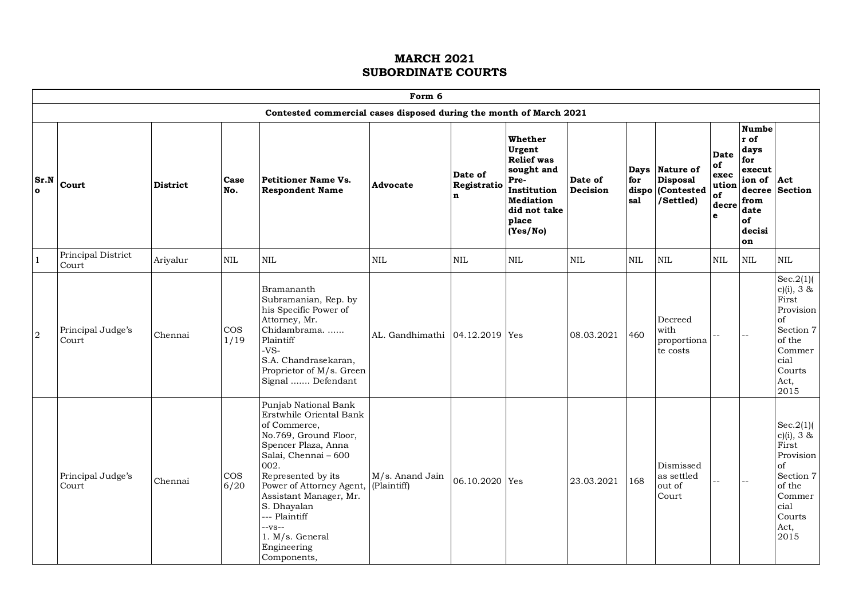|                      | Form 6                      |                 |                |                                                                                                                                                                                                                                                                                                                                   |                                |                                       |                                                                                                                               |                     |                     |                                                              |                                                        |                                                                                                             |                                                                                                                              |
|----------------------|-----------------------------|-----------------|----------------|-----------------------------------------------------------------------------------------------------------------------------------------------------------------------------------------------------------------------------------------------------------------------------------------------------------------------------------|--------------------------------|---------------------------------------|-------------------------------------------------------------------------------------------------------------------------------|---------------------|---------------------|--------------------------------------------------------------|--------------------------------------------------------|-------------------------------------------------------------------------------------------------------------|------------------------------------------------------------------------------------------------------------------------------|
|                      |                             |                 |                | Contested commercial cases disposed during the month of March 2021                                                                                                                                                                                                                                                                |                                |                                       |                                                                                                                               |                     |                     |                                                              |                                                        |                                                                                                             |                                                                                                                              |
| Sr.N<br>$\mathbf{o}$ | Court                       | <b>District</b> | Case<br>No.    | <b>Petitioner Name Vs.</b><br><b>Respondent Name</b>                                                                                                                                                                                                                                                                              | Advocate                       | Date of<br>Registratio<br>$\mathbf n$ | Whether<br>Urgent<br><b>Relief</b> was<br>sought and<br>Pre-<br>Institution<br>Mediation<br>did not take<br>place<br>(Yes/No) | Date of<br>Decision | for<br>dispo<br>sal | Days Nature of<br><b>Disposal</b><br>(Contested<br>/Settled) | <b>Date</b><br>of<br>exec<br>ution<br>of<br>decre<br>e | <b>Numbe</b><br>r of<br>days<br>for<br>execut<br>ion of Act<br>decree<br>from<br>date<br>of<br>decisi<br>on | <b>Section</b>                                                                                                               |
| $\mathbf{1}$         | Principal District<br>Court | Ariyalur        | NIL            | <b>NIL</b>                                                                                                                                                                                                                                                                                                                        | <b>NIL</b>                     | <b>NIL</b>                            | <b>NIL</b>                                                                                                                    | <b>NIL</b>          | <b>NIL</b>          | $\mbox{NIL}$                                                 | <b>NIL</b>                                             | $\mbox{NIL}$                                                                                                | NIL                                                                                                                          |
| 2                    | Principal Judge's<br>Court  | Chennai         | $\cos$<br>1/19 | Bramananth<br>Subramanian, Rep. by<br>his Specific Power of<br>Attorney, Mr.<br>Chidambrama.<br>Plaintiff<br>$-VS-$<br>S.A. Chandrasekaran,<br>Proprietor of M/s. Green<br>Signal  Defendant                                                                                                                                      | AL. Gandhimathi 04.12.2019 Yes |                                       |                                                                                                                               | 08.03.2021          | 460                 | Decreed<br>with<br>proportiona<br>te costs                   |                                                        |                                                                                                             | $Sec.2(1)$ (<br>$c)(i)$ , 3 &<br>First<br>Provision<br>of<br>Section 7<br>of the<br>Commer<br>cial<br>Courts<br>Act,<br>2015 |
|                      | Principal Judge's<br>Court  | Chennai         | $\cos$<br>6/20 | Punjab National Bank<br>Erstwhile Oriental Bank<br>of Commerce,<br>No.769, Ground Floor,<br>Spencer Plaza, Anna<br>Salai, Chennai - 600<br>002.<br>Represented by its<br>Power of Attorney Agent, (Plaintiff)<br>Assistant Manager, Mr.<br>S. Dhayalan<br>--- Plaintiff<br>$-VS$<br>1. M/s. General<br>Engineering<br>Components, | M/s. Anand Jain                | 06.10.2020 Yes                        |                                                                                                                               | 23.03.2021          | 168                 | Dismissed<br>as settled<br>out of<br>Court                   | $\overline{a}$                                         | $\overline{a}$                                                                                              | Sec.2(1)<br>$c)(i)$ , 3 &<br>First<br>Provision<br>of<br>Section 7<br>of the<br>Commer<br>cial<br>Courts<br>Act,<br>2015     |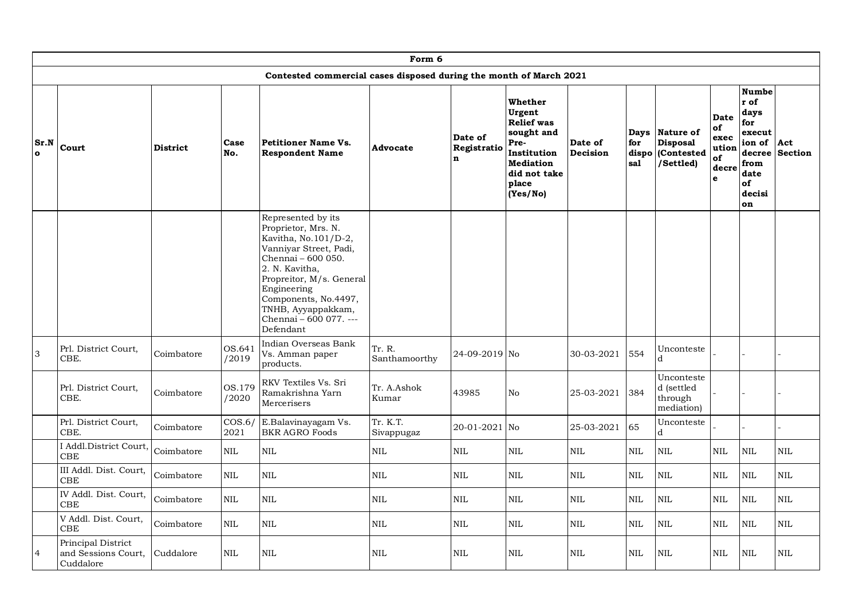|                      | Form 6                                                 |                 |                 |                                                                                                                                                                                                                                                                     |                         |                                       |                                                                                                                                      |                     |                               |                                                                |                                                 |                                                                                                         |                       |
|----------------------|--------------------------------------------------------|-----------------|-----------------|---------------------------------------------------------------------------------------------------------------------------------------------------------------------------------------------------------------------------------------------------------------------|-------------------------|---------------------------------------|--------------------------------------------------------------------------------------------------------------------------------------|---------------------|-------------------------------|----------------------------------------------------------------|-------------------------------------------------|---------------------------------------------------------------------------------------------------------|-----------------------|
|                      |                                                        |                 |                 | Contested commercial cases disposed during the month of March 2021                                                                                                                                                                                                  |                         |                                       |                                                                                                                                      |                     |                               |                                                                |                                                 |                                                                                                         |                       |
| Sr.N<br>$\mathbf{o}$ | Court                                                  | <b>District</b> | Case<br>No.     | <b>Petitioner Name Vs.</b><br><b>Respondent Name</b>                                                                                                                                                                                                                | Advocate                | Date of<br>Registratio<br>$\mathbf n$ | Whether<br>Urgent<br><b>Relief</b> was<br>sought and<br>Pre-<br>Institution<br><b>Mediation</b><br>did not take<br>place<br>(Yes/No) | Date of<br>Decision | Days  <br>for<br>dispo<br>sal | <b>Nature of</b><br><b>Disposal</b><br>(Contested<br>/Settled) | Date<br>of<br>exec<br>ution<br>of<br>decre<br>e | <b>Numbe</b><br>r of<br>days<br>for<br>execut<br>ion of<br>decree<br>from<br>date<br>of<br>decisi<br>on | Act<br><b>Section</b> |
|                      |                                                        |                 |                 | Represented by its<br>Proprietor, Mrs. N.<br>Kavitha, No.101/D-2,<br>Vanniyar Street, Padi,<br>Chennai - 600 050.<br>2. N. Kavitha,<br>Propreitor, M/s. General<br>Engineering<br>Components, No.4497,<br>TNHB, Ayyappakkam,<br>Chennai - 600 077. ---<br>Defendant |                         |                                       |                                                                                                                                      |                     |                               |                                                                |                                                 |                                                                                                         |                       |
| 3                    | Prl. District Court,<br>CBE.                           | Coimbatore      | OS.641<br>/2019 | Indian Overseas Bank<br>Vs. Amman paper<br>products.                                                                                                                                                                                                                | Tr. R.<br>Santhamoorthy | 24-09-2019 No                         |                                                                                                                                      | 30-03-2021          | 554                           | Unconteste<br>d                                                |                                                 |                                                                                                         |                       |
|                      | Prl. District Court,<br>CBE.                           | Coimbatore      | OS.179<br>/2020 | RKV Textiles Vs. Sri<br>Ramakrishna Yarn<br>Mercerisers                                                                                                                                                                                                             | Tr. A.Ashok<br>Kumar    | 43985                                 | N <sub>o</sub>                                                                                                                       | 25-03-2021          | 384                           | Unconteste<br>d (settled<br>through<br>mediation)              |                                                 |                                                                                                         |                       |
|                      | Prl. District Court,<br>CBE.                           | Coimbatore      | COS.6/<br>2021  | E.Balavinayagam Vs.<br><b>BKR AGRO Foods</b>                                                                                                                                                                                                                        | Tr. K.T.<br>Sivappugaz  | 20-01-2021 No                         |                                                                                                                                      | 25-03-2021          | 65                            | Unconteste<br>d                                                |                                                 |                                                                                                         |                       |
|                      | I Addl.District Court,<br>CBE                          | Coimbatore      | $\mbox{NIL}$    | <b>NIL</b>                                                                                                                                                                                                                                                          | <b>NIL</b>              | $\mbox{NIL}$                          | $\mbox{NIL}$                                                                                                                         | $\mbox{NIL}$        | <b>NIL</b>                    | <b>NIL</b>                                                     | <b>NIL</b>                                      | <b>NIL</b>                                                                                              | $\textsc{nil}$        |
|                      | III Addl. Dist. Court,<br>CBE                          | Coimbatore      | $\mbox{NIL}$    | <b>NIL</b>                                                                                                                                                                                                                                                          | <b>NIL</b>              | NIL                                   | <b>NIL</b>                                                                                                                           | <b>NIL</b>          | <b>NIL</b>                    | <b>NIL</b>                                                     | <b>NIL</b>                                      | <b>NIL</b>                                                                                              | <b>NIL</b>            |
|                      | IV Addl. Dist. Court,<br>CBE                           | Coimbatore      | <b>NIL</b>      | <b>NIL</b>                                                                                                                                                                                                                                                          | <b>NIL</b>              | <b>NIL</b>                            | <b>NIL</b>                                                                                                                           | <b>NIL</b>          | <b>NIL</b>                    | <b>NIL</b>                                                     | <b>NIL</b>                                      | <b>NIL</b>                                                                                              | <b>NIL</b>            |
|                      | V Addl. Dist. Court.<br>CBE                            | Coimbatore      | <b>NIL</b>      | <b>NIL</b>                                                                                                                                                                                                                                                          | <b>NIL</b>              | <b>NIL</b>                            | <b>NIL</b>                                                                                                                           | <b>NIL</b>          | <b>NIL</b>                    | <b>NIL</b>                                                     | <b>NIL</b>                                      | <b>NIL</b>                                                                                              | <b>NIL</b>            |
| 4                    | Principal District<br>and Sessions Court,<br>Cuddalore | Cuddalore       | NIL             | <b>NIL</b>                                                                                                                                                                                                                                                          | <b>NIL</b>              | <b>NIL</b>                            | <b>NIL</b>                                                                                                                           | <b>NIL</b>          | <b>NIL</b>                    | NIL                                                            | NIL                                             | NIL                                                                                                     | <b>NIL</b>            |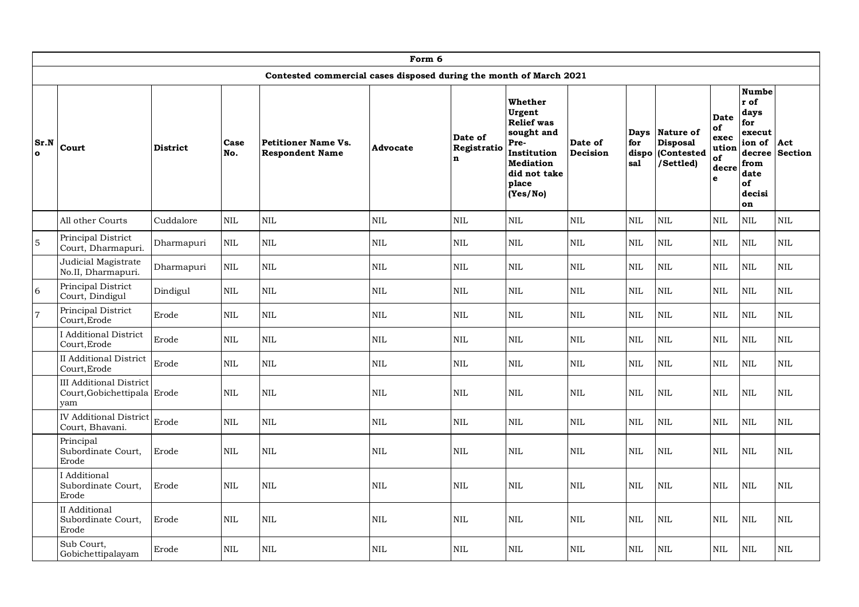|                  | Form 6                                                               |                 |              |                                                                    |              |                                       |                                                                                                                                      |                     |                                    |                                                         |                                                        |                                                                                                         |                       |
|------------------|----------------------------------------------------------------------|-----------------|--------------|--------------------------------------------------------------------|--------------|---------------------------------------|--------------------------------------------------------------------------------------------------------------------------------------|---------------------|------------------------------------|---------------------------------------------------------|--------------------------------------------------------|---------------------------------------------------------------------------------------------------------|-----------------------|
|                  |                                                                      |                 |              | Contested commercial cases disposed during the month of March 2021 |              |                                       |                                                                                                                                      |                     |                                    |                                                         |                                                        |                                                                                                         |                       |
| Sr.N<br>$\Omega$ | Court                                                                | <b>District</b> | Case<br>No.  | <b>Petitioner Name Vs.</b><br><b>Respondent Name</b>               | Advocate     | Date of<br>Registratio<br>$\mathbf n$ | Whether<br>Urgent<br><b>Relief</b> was<br>sought and<br>Pre-<br>Institution<br><b>Mediation</b><br>did not take<br>place<br>(Yes/No) | Date of<br>Decision | <b>Days</b><br>for<br>dispo<br>sal | Nature of<br><b>Disposal</b><br>(Contested<br>/Settled) | <b>Date</b><br>of<br>exec<br>ution<br>of<br>decre<br>e | <b>Numbe</b><br>r of<br>days<br>for<br>execut<br>ion of<br>decree<br>from<br>date<br>of<br>decisi<br>on | Act<br><b>Section</b> |
|                  | All other Courts                                                     | Cuddalore       | NIL          | NIL                                                                | <b>NIL</b>   | NIL                                   | <b>NIL</b>                                                                                                                           | $\mbox{NIL}$        | <b>NIL</b>                         | <b>NIL</b>                                              | $\rm NIL$                                              | $\mbox{NIL}$                                                                                            | $\rm NIL$             |
| $\mathbf 5$      | Principal District<br>Court, Dharmapuri.                             | Dharmapuri      | $\mbox{NIL}$ | <b>NIL</b>                                                         | $\rm NIL$    | $\mbox{NIL}$                          | <b>NIL</b>                                                                                                                           | <b>NIL</b>          | $\mbox{NIL}$                       | $\mbox{NIL}$                                            | $\rm NIL$                                              | $\mbox{NIL}$                                                                                            | $\rm NIL$             |
|                  | Judicial Magistrate<br>No.II, Dharmapuri.                            | Dharmapuri      | $\mbox{NIL}$ | $\mbox{NIL}$                                                       | $\mbox{NIL}$ | $\mbox{NIL}$                          | <b>NIL</b>                                                                                                                           | <b>NIL</b>          | <b>NIL</b>                         | <b>NIL</b>                                              | $\mbox{NIL}$                                           | $\mbox{NIL}$                                                                                            | $\mbox{NIL}$          |
| 6                | Principal District<br>Court, Dindigul                                | Dindigul        | <b>NIL</b>   | <b>NIL</b>                                                         | NIL          | <b>NIL</b>                            | <b>NIL</b>                                                                                                                           | <b>NIL</b>          | <b>NIL</b>                         | <b>NIL</b>                                              | <b>NIL</b>                                             | <b>NIL</b>                                                                                              | <b>NIL</b>            |
| $\overline{7}$   | Principal District<br>Court, Erode                                   | Erode           | <b>NIL</b>   | <b>NIL</b>                                                         | NIL          | <b>NIL</b>                            | <b>NIL</b>                                                                                                                           | <b>NIL</b>          | <b>NIL</b>                         | <b>NIL</b>                                              | <b>NIL</b>                                             | $\mbox{NIL}$                                                                                            | NIL                   |
|                  | I Additional District<br>Court, Erode                                | Erode           | <b>NIL</b>   | <b>NIL</b>                                                         | NIL          | <b>NIL</b>                            | <b>NIL</b>                                                                                                                           | <b>NIL</b>          | <b>NIL</b>                         | <b>NIL</b>                                              | <b>NIL</b>                                             | <b>NIL</b>                                                                                              | <b>NIL</b>            |
|                  | <b>II</b> Additional District<br>Court.Erode                         | Erode           | <b>NIL</b>   | <b>NIL</b>                                                         | <b>NIL</b>   | <b>NIL</b>                            | <b>NIL</b>                                                                                                                           | <b>NIL</b>          | <b>NIL</b>                         | <b>NIL</b>                                              | <b>NIL</b>                                             | <b>NIL</b>                                                                                              | <b>NIL</b>            |
|                  | <b>III</b> Additional District<br>Court, Gobichettipala Erode<br>yam |                 | <b>NIL</b>   | <b>NIL</b>                                                         | $\mbox{NIL}$ | <b>NIL</b>                            | <b>NIL</b>                                                                                                                           | <b>NIL</b>          | <b>NIL</b>                         | <b>NIL</b>                                              | <b>NIL</b>                                             | $\mbox{NIL}$                                                                                            | <b>NIL</b>            |
|                  | <b>IV</b> Additional District<br>Court, Bhavani.                     | Erode           | <b>NIL</b>   | <b>NIL</b>                                                         | NIL          | <b>NIL</b>                            | <b>NIL</b>                                                                                                                           | <b>NIL</b>          | <b>NIL</b>                         | <b>NIL</b>                                              | <b>NIL</b>                                             | <b>NIL</b>                                                                                              | <b>NIL</b>            |
|                  | Principal<br>Subordinate Court,<br>Erode                             | Erode           | <b>NIL</b>   | $\mbox{NIL}$                                                       | $\mbox{NIL}$ | $\mbox{NIL}$                          | <b>NIL</b>                                                                                                                           | <b>NIL</b>          | <b>NIL</b>                         | <b>NIL</b>                                              | NIL                                                    | $\mbox{NIL}$                                                                                            | $\mbox{NIL}$          |
|                  | I Additional<br>Subordinate Court,<br>Erode                          | Erode           | <b>NIL</b>   | <b>NIL</b>                                                         | NIL          | <b>NIL</b>                            | <b>NIL</b>                                                                                                                           | <b>NIL</b>          | <b>NIL</b>                         | <b>NIL</b>                                              | <b>NIL</b>                                             | $\mbox{NIL}$                                                                                            | $\mbox{NIL}$          |
|                  | II Additional<br>Subordinate Court,<br>Erode                         | Erode           | <b>NIL</b>   | $\mbox{NIL}$                                                       | $\rm NIL$    | $\mbox{NIL}$                          | NIL                                                                                                                                  | <b>NIL</b>          | NIL                                | $\mbox{NIL}$                                            | $\mbox{NIL}$                                           | $\mbox{NIL}$                                                                                            | $\mbox{NIL}$          |
|                  | Sub Court,<br>Gobichettipalayam                                      | Erode           | <b>NIL</b>   | <b>NIL</b>                                                         | NIL          | <b>NIL</b>                            | <b>NIL</b>                                                                                                                           | <b>NIL</b>          | <b>NIL</b>                         | <b>NIL</b>                                              | <b>NIL</b>                                             | $\mbox{NIL}$                                                                                            | <b>NIL</b>            |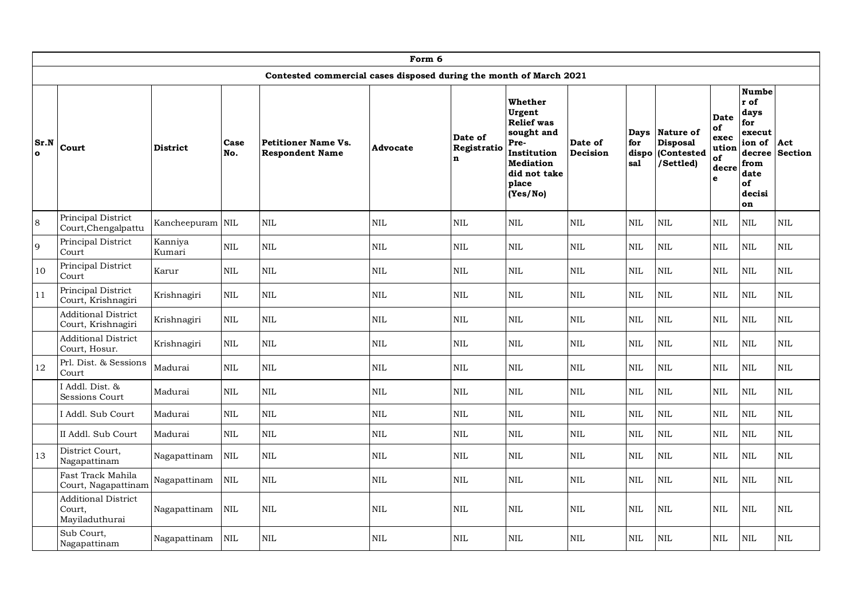|                      | Form 6                                                 |                   |              |                                                                    |              |                                       |                                                                                                                                      |                     |                     |                                                              |                                                        |                                                                                                         |                       |
|----------------------|--------------------------------------------------------|-------------------|--------------|--------------------------------------------------------------------|--------------|---------------------------------------|--------------------------------------------------------------------------------------------------------------------------------------|---------------------|---------------------|--------------------------------------------------------------|--------------------------------------------------------|---------------------------------------------------------------------------------------------------------|-----------------------|
|                      |                                                        |                   |              | Contested commercial cases disposed during the month of March 2021 |              |                                       |                                                                                                                                      |                     |                     |                                                              |                                                        |                                                                                                         |                       |
| Sr.N<br>$\mathbf{o}$ | Court                                                  | <b>District</b>   | Case<br>No.  | <b>Petitioner Name Vs.</b><br><b>Respondent Name</b>               | Advocate     | Date of<br>Registratio<br>$\mathbf n$ | Whether<br>Urgent<br><b>Relief</b> was<br>sought and<br>Pre-<br>Institution<br><b>Mediation</b><br>did not take<br>place<br>(Yes/No) | Date of<br>Decision | for<br>dispo<br>sal | Days Nature of<br><b>Disposal</b><br>(Contested<br>/Settled) | <b>Date</b><br>of<br>exec<br>ution<br>of<br>decre<br>e | <b>Numbe</b><br>r of<br>days<br>for<br>execut<br>ion of<br>decree<br>from<br>date<br>of<br>decisi<br>on | Act<br><b>Section</b> |
| 8                    | Principal District<br>Court, Chengalpattu              | Kancheepuram NIL  |              | <b>NIL</b>                                                         | <b>NIL</b>   | <b>NIL</b>                            | <b>NIL</b>                                                                                                                           | <b>NIL</b>          | <b>NIL</b>          | <b>NIL</b>                                                   | <b>NIL</b>                                             | <b>NIL</b>                                                                                              | $\mbox{NIL}$          |
| 9                    | Principal District<br>Court                            | Kanniya<br>Kumari | $\mbox{NIL}$ | <b>NIL</b>                                                         | $\rm NIL$    | $\mbox{NIL}$                          | NIL                                                                                                                                  | <b>NIL</b>          | NIL                 | $\mbox{NIL}$                                                 | $\mbox{NIL}$                                           | $\mbox{NIL}$                                                                                            | <b>NIL</b>            |
| 10                   | Principal District<br>Court                            | Karur             | $\mbox{NIL}$ | $\mbox{NIL}$                                                       | $\rm NIL$    | $\mbox{NIL}$                          | NIL                                                                                                                                  | $\mbox{NIL}$        | NIL                 | <b>NIL</b>                                                   | $\mbox{NIL}$                                           | $\mbox{NIL}$                                                                                            | <b>NIL</b>            |
| 11                   | Principal District<br>Court, Krishnagiri               | Krishnagiri       | $\mbox{NIL}$ | <b>NIL</b>                                                         | $\mbox{NIL}$ | $\mbox{NIL}$                          | NIL                                                                                                                                  | <b>NIL</b>          | NIL                 | <b>NIL</b>                                                   | <b>NIL</b>                                             | $\mbox{NIL}$                                                                                            | $\mbox{NIL}$          |
|                      | <b>Additional District</b><br>Court, Krishnagiri       | Krishnagiri       | $\mbox{NIL}$ | <b>NIL</b>                                                         | NIL          | <b>NIL</b>                            | <b>NIL</b>                                                                                                                           | <b>NIL</b>          | <b>NIL</b>          | $\text{NIL}$                                                 | <b>NIL</b>                                             | $\mbox{NIL}$                                                                                            | NIL                   |
|                      | <b>Additional District</b><br>Court, Hosur.            | Krishnagiri       | $\mbox{NIL}$ | $\mbox{NIL}$                                                       | NIL          | $\mbox{NIL}$                          | <b>NIL</b>                                                                                                                           | $\mbox{NIL}$        | $\mbox{NIL}$        | $\mbox{NIL}$                                                 | $\mbox{NIL}$                                           | $\mbox{NIL}$                                                                                            | $\mbox{NIL}$          |
| 12                   | Prl. Dist. & Sessions<br>Court                         | Madurai           | <b>NIL</b>   | <b>NIL</b>                                                         | NIL          | <b>NIL</b>                            | <b>NIL</b>                                                                                                                           | <b>NIL</b>          | <b>NIL</b>          | <b>NIL</b>                                                   | $\mbox{NIL}$                                           | <b>NIL</b>                                                                                              | <b>NIL</b>            |
|                      | I Addl. Dist. &<br>Sessions Court                      | Madurai           | <b>NIL</b>   | <b>NIL</b>                                                         | NIL          | $\mbox{NIL}$                          | <b>NIL</b>                                                                                                                           | <b>NIL</b>          | NIL                 | <b>NIL</b>                                                   | $\mbox{NIL}$                                           | $\mbox{NIL}$                                                                                            | $\rm NIL$             |
|                      | I Addl. Sub Court                                      | Madurai           | $\mbox{NIL}$ | $\mbox{NIL}$                                                       | NIL          | <b>NIL</b>                            | NIL                                                                                                                                  | $\rm NIL$           | NIL                 | $\mbox{NIL}$                                                 | $\mbox{NIL}$                                           | $\mbox{NIL}$                                                                                            | NIL                   |
|                      | II Addl. Sub Court                                     | Madurai           | $\mbox{NIL}$ | $\mbox{NIL}$                                                       | $\rm NIL$    | <b>NIL</b>                            | NIL                                                                                                                                  | <b>NIL</b>          | NIL                 | $\mbox{NIL}$                                                 | $\mbox{NIL}$                                           | $\mbox{NIL}$                                                                                            | <b>NIL</b>            |
| 13                   | District Court,<br>Nagapattinam                        | Nagapattinam      | $\mbox{NIL}$ | $\mbox{NIL}$                                                       | $\rm NIL$    | $\mbox{NIL}$                          | NIL                                                                                                                                  | <b>NIL</b>          | NIL                 | $\mbox{NIL}$                                                 | $\mbox{NIL}$                                           | $\mbox{NIL}$                                                                                            | <b>NIL</b>            |
|                      | Fast Track Mahila<br>Court, Nagapattinam               | Nagapattinam      | NIL          | <b>NIL</b>                                                         | NIL          | <b>NIL</b>                            | NIL                                                                                                                                  | <b>NIL</b>          | <b>NIL</b>          | <b>NIL</b>                                                   | <b>NIL</b>                                             | $\mbox{NIL}$                                                                                            | <b>NIL</b>            |
|                      | <b>Additional District</b><br>Court,<br>Mayiladuthurai | Nagapattinam      | <b>NIL</b>   | <b>NIL</b>                                                         | $\rm NIL$    | <b>NIL</b>                            | <b>NIL</b>                                                                                                                           | <b>NIL</b>          | NIL                 | <b>NIL</b>                                                   | $\mbox{NIL}$                                           | $\mbox{NIL}$                                                                                            | $\mbox{NIL}$          |
|                      | Sub Court,<br>Nagapattinam                             | Nagapattinam      | <b>NIL</b>   | $\mbox{NIL}$                                                       | NIL          | NIL                                   | <b>NIL</b>                                                                                                                           | $\rm NIL$           | <b>NIL</b>          | <b>NIL</b>                                                   | $\mbox{NIL}$                                           | $\mbox{NIL}$                                                                                            | NIL                   |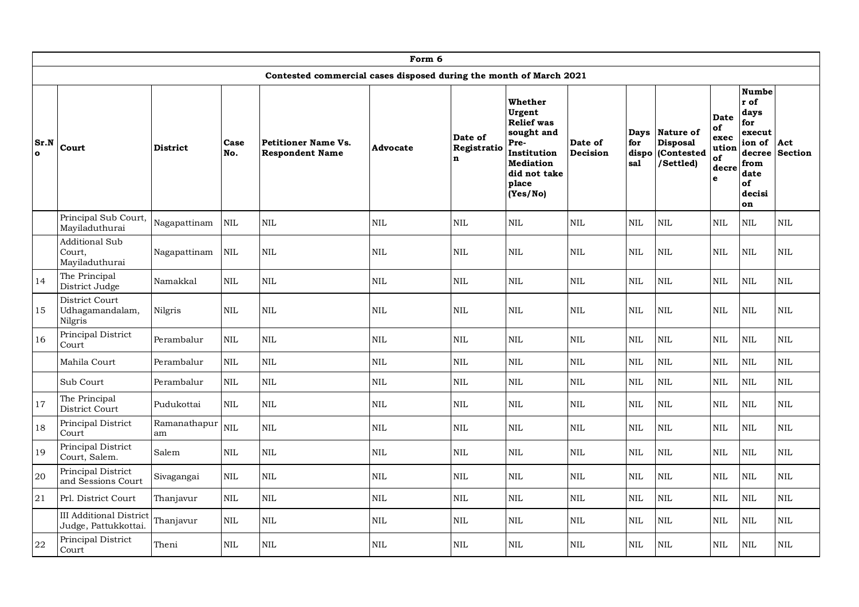|                      | Form 6                                                                                                                                                                                                                           |                    |             |                                                                    |              |                             |                                                                                                                                      |                     |                                    |                                                         |                                                 |                                                                                                         |                       |
|----------------------|----------------------------------------------------------------------------------------------------------------------------------------------------------------------------------------------------------------------------------|--------------------|-------------|--------------------------------------------------------------------|--------------|-----------------------------|--------------------------------------------------------------------------------------------------------------------------------------|---------------------|------------------------------------|---------------------------------------------------------|-------------------------------------------------|---------------------------------------------------------------------------------------------------------|-----------------------|
|                      |                                                                                                                                                                                                                                  |                    |             | Contested commercial cases disposed during the month of March 2021 |              |                             |                                                                                                                                      |                     |                                    |                                                         |                                                 |                                                                                                         |                       |
| Sr.N<br>$\mathbf{o}$ | Court                                                                                                                                                                                                                            | <b>District</b>    | Case<br>No. | <b>Petitioner Name Vs.</b><br><b>Respondent Name</b>               | Advocate     | Date of<br>Registratio<br>n | Whether<br>Urgent<br><b>Relief</b> was<br>sought and<br>Pre-<br>Institution<br><b>Mediation</b><br>did not take<br>place<br>(Yes/No) | Date of<br>Decision | <b>Days</b><br>for<br>dispo<br>sal | Nature of<br><b>Disposal</b><br>(Contested<br>/Settled) | Date<br>of<br>exec<br>ution<br>of<br>decre<br>e | <b>Numbe</b><br>r of<br>days<br>for<br>execut<br>ion of<br>decree<br>from<br>date<br>of<br>decisi<br>on | Act<br><b>Section</b> |
|                      | Principal Sub Court,<br>Mayiladuthurai                                                                                                                                                                                           | Nagapattinam       | <b>NIL</b>  | <b>NIL</b>                                                         | <b>NIL</b>   | $\mbox{NIL}$                | <b>NIL</b>                                                                                                                           | <b>NIL</b>          | <b>NIL</b>                         | NIL                                                     | $\rm NIL$                                       | <b>NIL</b>                                                                                              | <b>NIL</b>            |
|                      | <b>Additional Sub</b><br>$\mbox{NIL}$<br>$\rm NIL$<br><b>NIL</b><br>$\mbox{NIL}$<br>$\mbox{NIL}$<br><b>NIL</b><br><b>NIL</b><br><b>NIL</b><br><b>NIL</b><br><b>NIL</b><br><b>NIL</b><br>Court,<br>Nagapattinam<br>Mayiladuthurai |                    |             |                                                                    |              |                             |                                                                                                                                      |                     |                                    |                                                         |                                                 |                                                                                                         |                       |
| 14                   | The Principal<br>District Judge                                                                                                                                                                                                  | Namakkal           | <b>NIL</b>  | <b>NIL</b>                                                         | <b>NIL</b>   | <b>NIL</b>                  | <b>NIL</b>                                                                                                                           | <b>NIL</b>          | <b>NIL</b>                         | NIL                                                     | NIL                                             | NIL                                                                                                     | NIL                   |
| 15                   | District Court<br>Udhagamandalam,<br>Nilgris                                                                                                                                                                                     | Nilgris            | <b>NIL</b>  | <b>NIL</b>                                                         | <b>NIL</b>   | <b>NIL</b>                  | <b>NIL</b>                                                                                                                           | <b>NIL</b>          | <b>NIL</b>                         | NIL                                                     | <b>NIL</b>                                      | <b>NIL</b>                                                                                              | <b>NIL</b>            |
| 16                   | Principal District<br>Court                                                                                                                                                                                                      | Perambalur         | <b>NIL</b>  | $\mbox{NIL}$                                                       | $\mbox{NIL}$ | $\mbox{NIL}$                | <b>NIL</b>                                                                                                                           | $\mbox{NIL}$        | $\mbox{NIL}$                       | <b>NIL</b>                                              | $\mbox{NIL}$                                    | $\mbox{NIL}$                                                                                            | <b>NIL</b>            |
|                      | Mahila Court                                                                                                                                                                                                                     | Perambalur         | <b>NIL</b>  | $\mbox{NIL}$                                                       | <b>NIL</b>   | $\mbox{NIL}$                | <b>NIL</b>                                                                                                                           | NIL                 | <b>NIL</b>                         | NIL                                                     | <b>NIL</b>                                      | NIL                                                                                                     | NIL.                  |
|                      | Sub Court                                                                                                                                                                                                                        | Perambalur         | <b>NIL</b>  | <b>NIL</b>                                                         | <b>NIL</b>   | <b>NIL</b>                  | $\mbox{NIL}$                                                                                                                         | $\mbox{NIL}$        | <b>NIL</b>                         | NIL                                                     | <b>NIL</b>                                      | NIL                                                                                                     | NIL                   |
| 17                   | The Principal<br>District Court                                                                                                                                                                                                  | Pudukottai         | <b>NIL</b>  | $\mbox{NIL}$                                                       | <b>NIL</b>   | <b>NIL</b>                  | <b>NIL</b>                                                                                                                           | NIL                 | <b>NIL</b>                         | <b>NIL</b>                                              | <b>NIL</b>                                      | NIL                                                                                                     | NIL                   |
| 18                   | Principal District<br>Court                                                                                                                                                                                                      | Ramanathapur<br>am | <b>NIL</b>  | $\mbox{NIL}$                                                       | $\mbox{NIL}$ | $\mbox{NIL}$                | <b>NIL</b>                                                                                                                           | $\mbox{NIL}$        | $\mbox{NIL}$                       | <b>NIL</b>                                              | $\textsc{nil}$                                  | $\mbox{NIL}$                                                                                            | <b>NIL</b>            |
| 19                   | Principal District<br>Court, Salem.                                                                                                                                                                                              | Salem              | <b>NIL</b>  | $\mbox{NIL}$                                                       | $\rm NIL$    | $\mbox{NIL}$                | $\mbox{NIL}$                                                                                                                         | $\rm NIL$           | $\mbox{NIL}$                       | <b>NIL</b>                                              | NIL                                             | <b>NIL</b>                                                                                              | <b>NIL</b>            |
| 20                   | Principal District<br>and Sessions Court                                                                                                                                                                                         | Sivagangai         | <b>NIL</b>  | $\mbox{NIL}$                                                       | $\rm NIL$    | $\rm NIL$                   | <b>NIL</b>                                                                                                                           | $\mbox{NIL}$        | $\mbox{NIL}$                       | <b>NIL</b>                                              | NIL                                             | $\rm NIL$                                                                                               | NIL                   |
| 21                   | Prl. District Court                                                                                                                                                                                                              | Thanjavur          | <b>NIL</b>  | $\mbox{NIL}$                                                       | $\rm NIL$    | $\rm NIL$                   | <b>NIL</b>                                                                                                                           | $\rm NIL$           | <b>NIL</b>                         | <b>NIL</b>                                              | <b>NIL</b>                                      | <b>NIL</b>                                                                                              | $\rm NIL$             |
|                      | <b>III</b> Additional District<br>Judge, Pattukkottai.                                                                                                                                                                           | Thanjavur          | <b>NIL</b>  | $\mbox{NIL}$                                                       | NIL          | $\mbox{NIL}$                | $\mbox{NIL}$                                                                                                                         | <b>NIL</b>          | <b>NIL</b>                         | NIL                                                     | <b>NIL</b>                                      | <b>NIL</b>                                                                                              | NIL                   |
| 22                   | Principal District<br>Court                                                                                                                                                                                                      | Theni              | <b>NIL</b>  | $\mbox{NIL}$                                                       | <b>NIL</b>   | <b>NIL</b>                  | <b>NIL</b>                                                                                                                           | <b>NIL</b>          | <b>NIL</b>                         | NIL                                                     | NIL                                             | $\mbox{NIL}$                                                                                            | <b>NIL</b>            |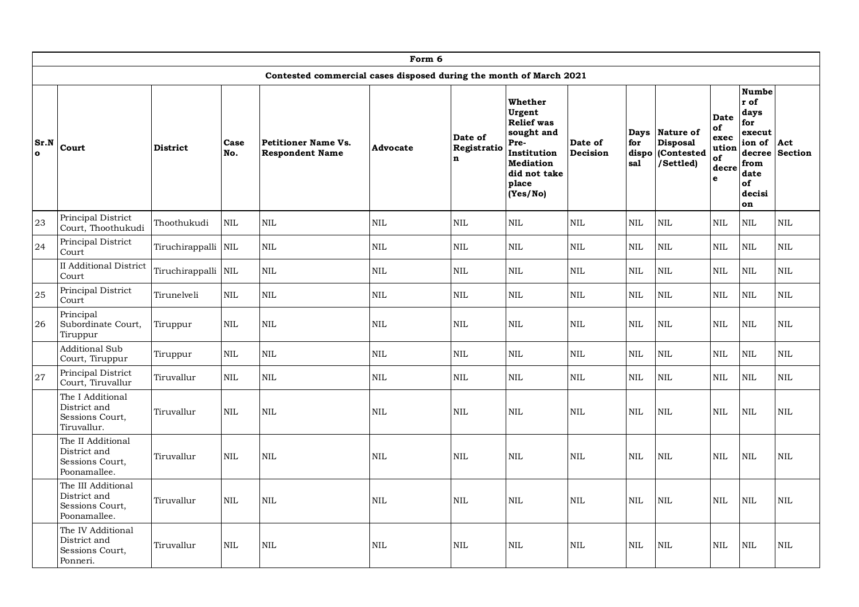|                  | Form 6                                                                |                     |              |                                                                    |              |                                       |                                                                                                                                      |                     |                     |                                                              |                                                        |                                                                                                         |                       |
|------------------|-----------------------------------------------------------------------|---------------------|--------------|--------------------------------------------------------------------|--------------|---------------------------------------|--------------------------------------------------------------------------------------------------------------------------------------|---------------------|---------------------|--------------------------------------------------------------|--------------------------------------------------------|---------------------------------------------------------------------------------------------------------|-----------------------|
|                  |                                                                       |                     |              | Contested commercial cases disposed during the month of March 2021 |              |                                       |                                                                                                                                      |                     |                     |                                                              |                                                        |                                                                                                         |                       |
| Sr.N<br>$\Omega$ | Court                                                                 | <b>District</b>     | Case<br>No.  | <b>Petitioner Name Vs.</b><br><b>Respondent Name</b>               | Advocate     | Date of<br>Registratio<br>$\mathbf n$ | Whether<br>Urgent<br><b>Relief</b> was<br>sought and<br>Pre-<br>Institution<br><b>Mediation</b><br>did not take<br>place<br>(Yes/No) | Date of<br>Decision | for<br>dispo<br>sal | Days Nature of<br><b>Disposal</b><br>(Contested<br>/Settled) | <b>Date</b><br>of<br>exec<br>ution<br>of<br>decre<br>e | <b>Numbe</b><br>r of<br>days<br>for<br>execut<br>ion of<br>decree<br>from<br>date<br>of<br>decisi<br>on | Act<br><b>Section</b> |
| 23               | Principal District<br>Court, Thoothukudi                              | Thoothukudi         | <b>NIL</b>   | <b>NIL</b>                                                         | $\rm NIL$    | <b>NIL</b>                            | <b>NIL</b>                                                                                                                           | <b>NIL</b>          | <b>NIL</b>          | <b>NIL</b>                                                   | <b>NIL</b>                                             | NIL                                                                                                     | NIL                   |
| 24               | Principal District<br>Court                                           | Tiruchirappalli NIL |              | <b>NIL</b>                                                         | $\rm NIL$    | $\mbox{NIL}$                          | NIL                                                                                                                                  | <b>NIL</b>          | $\mbox{NIL}$        | $\mbox{NIL}$                                                 | $\mbox{NIL}$                                           | $\mbox{NIL}$                                                                                            | <b>NIL</b>            |
|                  | <b>II</b> Additional District<br>Court                                | Tiruchirappalli NIL |              | <b>NIL</b>                                                         | NIL          | <b>NIL</b>                            | <b>NIL</b>                                                                                                                           | <b>NIL</b>          | <b>NIL</b>          | <b>NIL</b>                                                   | <b>NIL</b>                                             | <b>NIL</b>                                                                                              | NIL                   |
| 25               | Principal District<br>Court                                           | Tirunelveli         | <b>NIL</b>   | <b>NIL</b>                                                         | NIL          | <b>NIL</b>                            | <b>NIL</b>                                                                                                                           | <b>NIL</b>          | <b>NIL</b>          | <b>NIL</b>                                                   | <b>NIL</b>                                             | $\text{NIL}$                                                                                            | <b>NIL</b>            |
| 26               | Principal<br>Subordinate Court,<br>Tiruppur                           | Tiruppur            | <b>NIL</b>   | <b>NIL</b>                                                         | <b>NIL</b>   | <b>NIL</b>                            | <b>NIL</b>                                                                                                                           | <b>NIL</b>          | <b>NIL</b>          | <b>NIL</b>                                                   | <b>NIL</b>                                             | <b>NIL</b>                                                                                              | <b>NIL</b>            |
|                  | Additional Sub<br>Court, Tiruppur                                     | Tiruppur            | <b>NIL</b>   | <b>NIL</b>                                                         | <b>NIL</b>   | <b>NIL</b>                            | <b>NIL</b>                                                                                                                           | <b>NIL</b>          | <b>NIL</b>          | <b>NIL</b>                                                   | <b>NIL</b>                                             | <b>NIL</b>                                                                                              | $\mbox{NIL}$          |
| 27               | Principal District<br>Court, Tiruvallur                               | Tiruvallur          | $\mbox{NIL}$ | <b>NIL</b>                                                         | NIL          | <b>NIL</b>                            | <b>NIL</b>                                                                                                                           | <b>NIL</b>          | <b>NIL</b>          | <b>NIL</b>                                                   | $\mbox{NIL}$                                           | $\mbox{NIL}$                                                                                            | NIL                   |
|                  | The I Additional<br>District and<br>Sessions Court,<br>Tiruvallur.    | Tiruvallur          | <b>NIL</b>   | <b>NIL</b>                                                         | $\mbox{NIL}$ | <b>NIL</b>                            | <b>NIL</b>                                                                                                                           | <b>NIL</b>          | <b>NIL</b>          | <b>NIL</b>                                                   | <b>NIL</b>                                             | $\mbox{NIL}$                                                                                            | <b>NIL</b>            |
|                  | The II Additional<br>District and<br>Sessions Court,<br>Poonamallee.  | Tiruvallur          | <b>NIL</b>   | <b>NIL</b>                                                         | <b>NIL</b>   | <b>NIL</b>                            | <b>NIL</b>                                                                                                                           | <b>NIL</b>          | <b>NIL</b>          | <b>NIL</b>                                                   | <b>NIL</b>                                             | <b>NIL</b>                                                                                              | <b>NIL</b>            |
|                  | The III Additional<br>District and<br>Sessions Court,<br>Poonamallee. | Tiruvallur          | <b>NIL</b>   | <b>NIL</b>                                                         | NIL          | <b>NIL</b>                            | <b>NIL</b>                                                                                                                           | <b>NIL</b>          | <b>NIL</b>          | <b>NIL</b>                                                   | <b>NIL</b>                                             | <b>NIL</b>                                                                                              | NIL                   |
|                  | The IV Additional<br>District and<br>Sessions Court,<br>Ponneri.      | Tiruvallur          | $\rm NIL$    | $\rm NIL$                                                          | NIL          | <b>NIL</b>                            | <b>NIL</b>                                                                                                                           | <b>NIL</b>          | <b>NIL</b>          | $\rm NIL$                                                    | <b>NIL</b>                                             | <b>NIL</b>                                                                                              | $\rm NIL$             |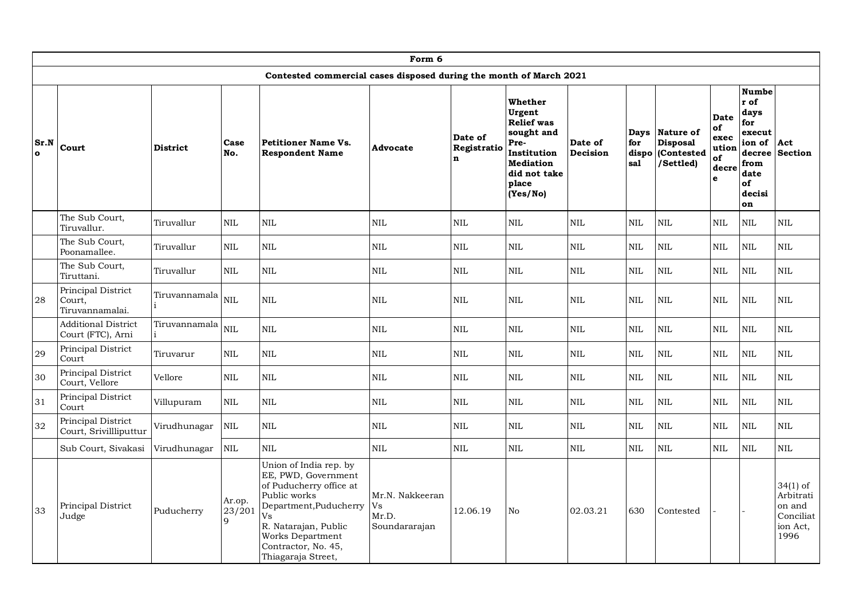|                  | Form 6                                          |                 |                       |                                                                                                                                                                                                                   |                                                 |                                       |                                                                                                                                      |                     |                             |                                                                |                                                        |                                                                                                         |                                                                  |
|------------------|-------------------------------------------------|-----------------|-----------------------|-------------------------------------------------------------------------------------------------------------------------------------------------------------------------------------------------------------------|-------------------------------------------------|---------------------------------------|--------------------------------------------------------------------------------------------------------------------------------------|---------------------|-----------------------------|----------------------------------------------------------------|--------------------------------------------------------|---------------------------------------------------------------------------------------------------------|------------------------------------------------------------------|
|                  |                                                 |                 |                       | Contested commercial cases disposed during the month of March 2021                                                                                                                                                |                                                 |                                       |                                                                                                                                      |                     |                             |                                                                |                                                        |                                                                                                         |                                                                  |
| Sr.N<br>$\Omega$ | Court                                           | <b>District</b> | Case<br>No.           | <b>Petitioner Name Vs.</b><br><b>Respondent Name</b>                                                                                                                                                              | Advocate                                        | Date of<br>Registratio<br>$\mathbf n$ | Whether<br>Urgent<br><b>Relief</b> was<br>sought and<br>Pre-<br>Institution<br><b>Mediation</b><br>did not take<br>place<br>(Yes/No) | Date of<br>Decision | Days<br>for<br>dispo<br>sal | <b>Nature of</b><br><b>Disposal</b><br>(Contested<br>/Settled) | <b>Date</b><br>of<br>exec<br>ution<br>of<br>decre<br>e | <b>Numbe</b><br>r of<br>days<br>for<br>execut<br>ion of<br>decree<br>from<br>date<br>of<br>decisi<br>on | Act<br><b>Section</b>                                            |
|                  | The Sub Court,<br>Tiruvallur.                   | Tiruvallur      | <b>NIL</b>            | <b>NIL</b>                                                                                                                                                                                                        | <b>NIL</b>                                      | <b>NIL</b>                            | <b>NIL</b>                                                                                                                           | <b>NIL</b>          | <b>NIL</b>                  | NIL                                                            | NIL                                                    | NIL                                                                                                     | <b>NIL</b>                                                       |
|                  | The Sub Court,<br>Poonamallee.                  | Tiruvallur      | <b>NIL</b>            | $\mbox{NIL}$                                                                                                                                                                                                      | $\mbox{NIL}$                                    | $\mbox{NIL}$                          | $\mbox{NIL}$                                                                                                                         | $\mbox{NIL}$        | $\mbox{NIL}$                | <b>NIL</b>                                                     | $\mbox{NIL}$                                           | $\mbox{NIL}$                                                                                            | <b>NIL</b>                                                       |
|                  | The Sub Court,<br>Tiruttani.                    | Tiruvallur      | <b>NIL</b>            | $\mbox{NIL}$                                                                                                                                                                                                      | $\mbox{NIL}$                                    | <b>NIL</b>                            | <b>NIL</b>                                                                                                                           | <b>NIL</b>          | $\mbox{NIL}$                | NIL                                                            | NIL                                                    | NIL                                                                                                     | <b>NIL</b>                                                       |
| 28               | Principal District<br>Court,<br>Tiruvannamalai. | Tiruvannamala   | <b>NIL</b>            | <b>NIL</b>                                                                                                                                                                                                        | <b>NIL</b>                                      | <b>NIL</b>                            | <b>NIL</b>                                                                                                                           | <b>NIL</b>          | <b>NIL</b>                  | NIL                                                            | <b>NIL</b>                                             | <b>NIL</b>                                                                                              | <b>NIL</b>                                                       |
|                  | <b>Additional District</b><br>Court (FTC), Arni | Tiruvannamala   | <b>NIL</b>            | <b>NIL</b>                                                                                                                                                                                                        | $\mbox{NIL}$                                    | $\mbox{NIL}$                          | $\mbox{NIL}$                                                                                                                         | $\mbox{NIL}$        | $\mbox{NIL}$                | <b>NIL</b>                                                     | $\rm NIL$                                              | $\mbox{NIL}$                                                                                            | <b>NIL</b>                                                       |
| 29               | Principal District<br>Court                     | Tiruvarur       | $\mbox{NIL}$          | $\mbox{NIL}$                                                                                                                                                                                                      | $\mbox{NIL}$                                    | <b>NIL</b>                            | <b>NIL</b>                                                                                                                           | <b>NIL</b>          | $\mbox{NIL}$                | <b>NIL</b>                                                     | $\textsc{nil}$                                         | <b>NIL</b>                                                                                              | <b>NIL</b>                                                       |
| 30               | Principal District<br>Court, Vellore            | Vellore         | <b>NIL</b>            | <b>NIL</b>                                                                                                                                                                                                        | <b>NIL</b>                                      | <b>NIL</b>                            | <b>NIL</b>                                                                                                                           | <b>NIL</b>          | <b>NIL</b>                  | <b>NIL</b>                                                     | <b>NIL</b>                                             | <b>NIL</b>                                                                                              | <b>NIL</b>                                                       |
| 31               | Principal District<br>Court                     | Villupuram      | $\mbox{NIL}$          | <b>NIL</b>                                                                                                                                                                                                        | $\mbox{NIL}$                                    | <b>NIL</b>                            | $\mbox{NIL}$                                                                                                                         | <b>NIL</b>          | <b>NIL</b>                  | NIL                                                            | NIL                                                    | NIL                                                                                                     | <b>NIL</b>                                                       |
| 32               | Principal District<br>Court, Srivillliputtur    | Virudhunagar    | <b>NIL</b>            | <b>NIL</b>                                                                                                                                                                                                        | <b>NIL</b>                                      | <b>NIL</b>                            | $\mbox{NIL}$                                                                                                                         | <b>NIL</b>          | $\mbox{NIL}$                | <b>NIL</b>                                                     | $\textsc{nil}$                                         | <b>NIL</b>                                                                                              | <b>NIL</b>                                                       |
|                  | Sub Court, Sivakasi                             | Virudhunagar    | NIL                   | <b>NIL</b>                                                                                                                                                                                                        | NIL                                             | NIL                                   | $\mbox{NIL}$                                                                                                                         | $\mbox{NIL}$        | <b>NIL</b>                  | <b>NIL</b>                                                     | <b>NIL</b>                                             | <b>NIL</b>                                                                                              | <b>NIL</b>                                                       |
| 33               | Principal District<br>Judge                     | Puducherry      | Ar.op.<br>23/201<br>Q | Union of India rep. by<br>EE, PWD, Government<br>of Puducherry office at<br>Public works<br>Department, Puducherry<br>Vs<br>R. Natarajan, Public<br>Works Department<br>Contractor, No. 45,<br>Thiagaraja Street, | Mr.N. Nakkeeran<br>Vs<br>Mr.D.<br>Soundararajan | 12.06.19                              | N <sub>o</sub>                                                                                                                       | 02.03.21            | 630                         | Contested                                                      |                                                        |                                                                                                         | 34(1) of<br>Arbitrati<br>on and<br>Conciliat<br>ion Act,<br>1996 |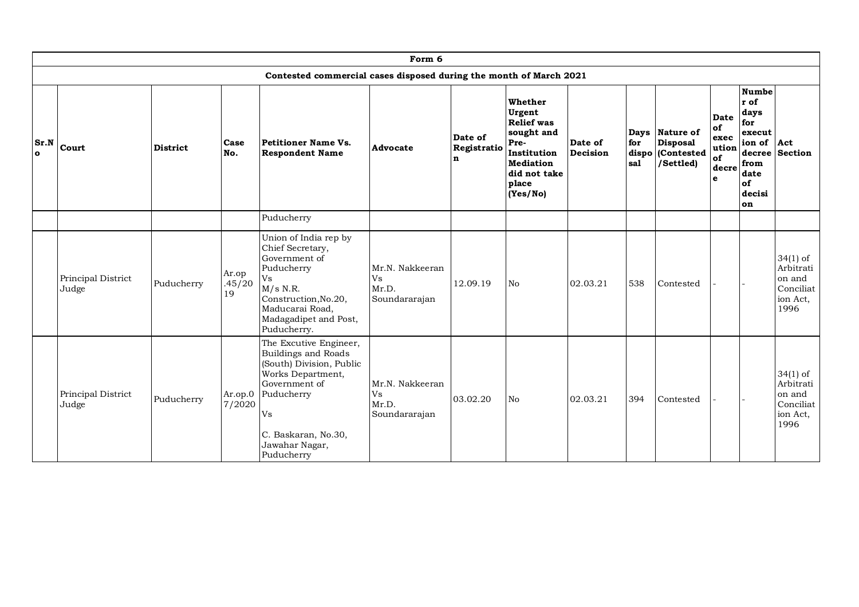|                      | Form 6                      |                 |                         |                                                                                                                                                                                             |                                                 |                                       |                                                                                                                                             |                     |                     |                                                              |                                                        |                                                                                                   |                                                                      |
|----------------------|-----------------------------|-----------------|-------------------------|---------------------------------------------------------------------------------------------------------------------------------------------------------------------------------------------|-------------------------------------------------|---------------------------------------|---------------------------------------------------------------------------------------------------------------------------------------------|---------------------|---------------------|--------------------------------------------------------------|--------------------------------------------------------|---------------------------------------------------------------------------------------------------|----------------------------------------------------------------------|
|                      |                             |                 |                         | Contested commercial cases disposed during the month of March 2021                                                                                                                          |                                                 |                                       |                                                                                                                                             |                     |                     |                                                              |                                                        |                                                                                                   |                                                                      |
| Sr.N<br>$\mathbf{o}$ | Court                       | <b>District</b> | Case<br>No.             | <b>Petitioner Name Vs.</b><br><b>Respondent Name</b>                                                                                                                                        | Advocate                                        | Date of<br>Registratio<br>$\mathbf n$ | <b>Whether</b><br>Urgent<br><b>Relief</b> was<br>sought and<br>Pre-<br>Institution<br><b>Mediation</b><br>did not take<br>place<br>(Yes/No) | Date of<br>Decision | for<br>dispo<br>sal | Days Nature of<br><b>Disposal</b><br>(Contested<br>/Settled) | <b>Date</b><br>of<br>exec<br>ution<br>of<br>decre<br>e | <b>Numbe</b><br>r of<br>days<br>for<br>execut<br>ion of Act<br>from<br>date<br>of<br>decisi<br>on | decree Section                                                       |
|                      |                             |                 |                         | Puducherry                                                                                                                                                                                  |                                                 |                                       |                                                                                                                                             |                     |                     |                                                              |                                                        |                                                                                                   |                                                                      |
|                      | Principal District<br>Judge | Puducherry      | Ar.op<br>.45/20<br>19   | Union of India rep by<br>Chief Secretary,<br>Government of<br>Puducherry<br>V <sub>S</sub><br>$M/s$ N.R.<br>Construction, No.20,<br>Maducarai Road,<br>Madagadipet and Post,<br>Puducherry. | Mr.N. Nakkeeran<br>Vs<br>Mr.D.<br>Soundararajan | 12.09.19                              | N <sub>o</sub>                                                                                                                              | 02.03.21            | 538                 | Contested                                                    |                                                        |                                                                                                   | $34(1)$ of<br>Arbitrati<br>on and<br>Conciliat  <br>ion Act,<br>1996 |
|                      | Principal District<br>Judge | Puducherry      | $Ar.$ op. $0$<br>7/2020 | The Excutive Engineer,<br>Buildings and Roads<br>(South) Division, Public<br>Works Department,<br>Government of<br>Puducherry<br>Vs<br>C. Baskaran, No.30,<br>Jawahar Nagar,<br>Puducherry  | Mr.N. Nakkeeran<br>Vs<br>Mr.D.<br>Soundararajan | 03.02.20                              | <b>No</b>                                                                                                                                   | 02.03.21            | 394                 | Contested                                                    |                                                        |                                                                                                   | $34(1)$ of<br>Arbitrati<br>on and<br>Conciliat<br>ion Act,<br>1996   |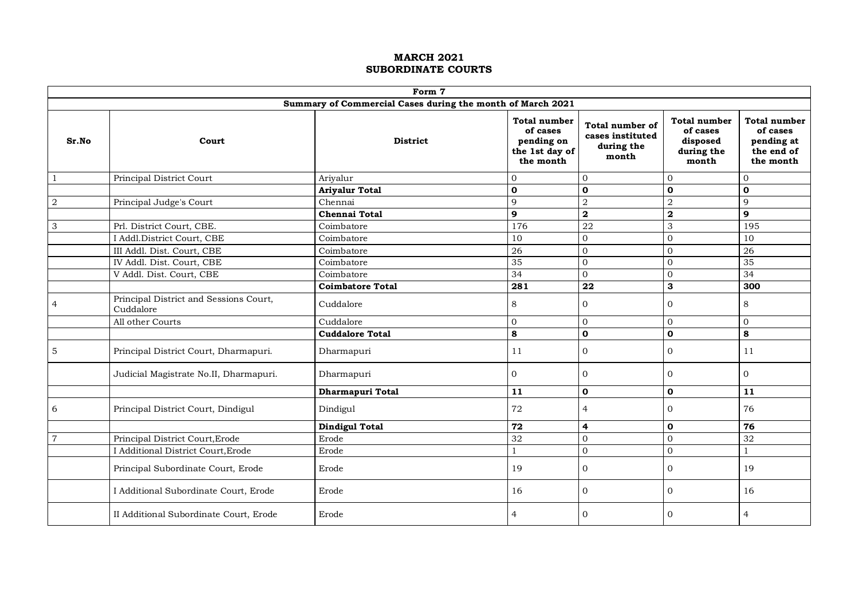|                           | Form 7<br>Summary of Commercial Cases during the month of March 2021 |                         |                                                                              |                                                            |                                                                    |                                                                   |  |  |  |  |  |  |  |
|---------------------------|----------------------------------------------------------------------|-------------------------|------------------------------------------------------------------------------|------------------------------------------------------------|--------------------------------------------------------------------|-------------------------------------------------------------------|--|--|--|--|--|--|--|
|                           |                                                                      |                         |                                                                              |                                                            |                                                                    |                                                                   |  |  |  |  |  |  |  |
| Sr.No                     | Court                                                                | <b>District</b>         | <b>Total number</b><br>of cases<br>pending on<br>the 1st day of<br>the month | Total number of<br>cases instituted<br>during the<br>month | <b>Total number</b><br>of cases<br>disposed<br>during the<br>month | Total number<br>of cases<br>pending at<br>the end of<br>the month |  |  |  |  |  |  |  |
| $\mathbf{1}$              | Principal District Court                                             | Arivalur                | $\overline{0}$                                                               | $\overline{0}$                                             | $\overline{0}$                                                     | $\overline{0}$                                                    |  |  |  |  |  |  |  |
|                           |                                                                      | <b>Ariyalur Total</b>   | $\mathbf 0$                                                                  | $\mathbf 0$                                                | $\mathbf 0$                                                        | $\mathbf{o}$                                                      |  |  |  |  |  |  |  |
| $\boldsymbol{2}$          | Principal Judge's Court                                              | Chennai                 | 9                                                                            | $\overline{a}$                                             | $\overline{a}$                                                     | $\mathbf{Q}$                                                      |  |  |  |  |  |  |  |
|                           |                                                                      | <b>Chennai Total</b>    | 9                                                                            | $\overline{\mathbf{2}}$                                    | $\overline{\mathbf{2}}$                                            | $\mathbf{9}$                                                      |  |  |  |  |  |  |  |
| $\ensuremath{\mathsf{3}}$ | Prl. District Court, CBE.                                            | Coimbatore              | 176                                                                          | 22                                                         | 3                                                                  | 195                                                               |  |  |  |  |  |  |  |
|                           | I Addl.District Court, CBE                                           | Coimbatore              | 10                                                                           | $\mathbf 0$                                                | $\overline{0}$                                                     | 10                                                                |  |  |  |  |  |  |  |
|                           | III Addl. Dist. Court, CBE                                           | Coimbatore              | 26                                                                           | $\mathbf 0$                                                | $\overline{0}$                                                     | 26                                                                |  |  |  |  |  |  |  |
|                           | IV Addl. Dist. Court, CBE                                            | Coimbatore              | 35                                                                           | $\mathbf 0$                                                | $\mathbf{0}$                                                       | 35                                                                |  |  |  |  |  |  |  |
|                           | V Addl. Dist. Court, CBE                                             | Coimbatore              | $\overline{34}$                                                              | $\mathbf 0$                                                | $\overline{0}$                                                     | $\overline{34}$                                                   |  |  |  |  |  |  |  |
|                           |                                                                      | <b>Coimbatore Total</b> | 281                                                                          | $\overline{22}$                                            | 3                                                                  | 300                                                               |  |  |  |  |  |  |  |
| 4                         | Principal District and Sessions Court,<br>Cuddalore                  | Cuddalore               | 8                                                                            | $\mathbf{0}$                                               | $\Omega$                                                           | 8                                                                 |  |  |  |  |  |  |  |
|                           | All other Courts                                                     | Cuddalore               | $\mathbf{0}$                                                                 | $\mathbf 0$                                                | $\overline{0}$                                                     | $\overline{0}$                                                    |  |  |  |  |  |  |  |
|                           |                                                                      | <b>Cuddalore Total</b>  | 8                                                                            | $\mathbf{o}$                                               | $\mathbf{o}$                                                       | 8                                                                 |  |  |  |  |  |  |  |
| 5                         | Principal District Court, Dharmapuri.                                | Dharmapuri              | 11                                                                           | $\mathbf{0}$                                               | $\mathbf{0}$                                                       | 11                                                                |  |  |  |  |  |  |  |
|                           | Judicial Magistrate No.II, Dharmapuri.                               | Dharmapuri              | $\Omega$                                                                     | $\Omega$                                                   | $\Omega$                                                           | $\Omega$                                                          |  |  |  |  |  |  |  |
|                           |                                                                      | Dharmapuri Total        | 11                                                                           | $\mathbf{o}$                                               | $\mathbf 0$                                                        | 11                                                                |  |  |  |  |  |  |  |
| 6                         | Principal District Court, Dindigul                                   | Dindigul                | 72                                                                           | $\overline{4}$                                             | $\mathbf{0}$                                                       | 76                                                                |  |  |  |  |  |  |  |
|                           |                                                                      | <b>Dindigul Total</b>   | 72                                                                           | 4                                                          | $\mathbf{0}$                                                       | 76                                                                |  |  |  |  |  |  |  |
| $\overline{7}$            | Principal District Court, Erode                                      | Erode                   | 32                                                                           | $\mathbf 0$                                                | $\mathbf{0}$                                                       | 32                                                                |  |  |  |  |  |  |  |
|                           | I Additional District Court, Erode                                   | Erode                   | 1                                                                            | $\boldsymbol{0}$                                           | $\mathbf{O}$                                                       | 1                                                                 |  |  |  |  |  |  |  |
|                           | Principal Subordinate Court, Erode                                   | Erode                   | 19                                                                           | $\mathbf{0}$                                               | $\mathbf{0}$                                                       | 19                                                                |  |  |  |  |  |  |  |
|                           | I Additional Subordinate Court, Erode                                | Erode                   | 16                                                                           | $\mathbf{0}$                                               | $\mathbf{0}$                                                       | 16                                                                |  |  |  |  |  |  |  |
|                           | II Additional Subordinate Court, Erode                               | Erode                   | $\overline{4}$                                                               | $\Omega$                                                   | $\Omega$                                                           | $\overline{4}$                                                    |  |  |  |  |  |  |  |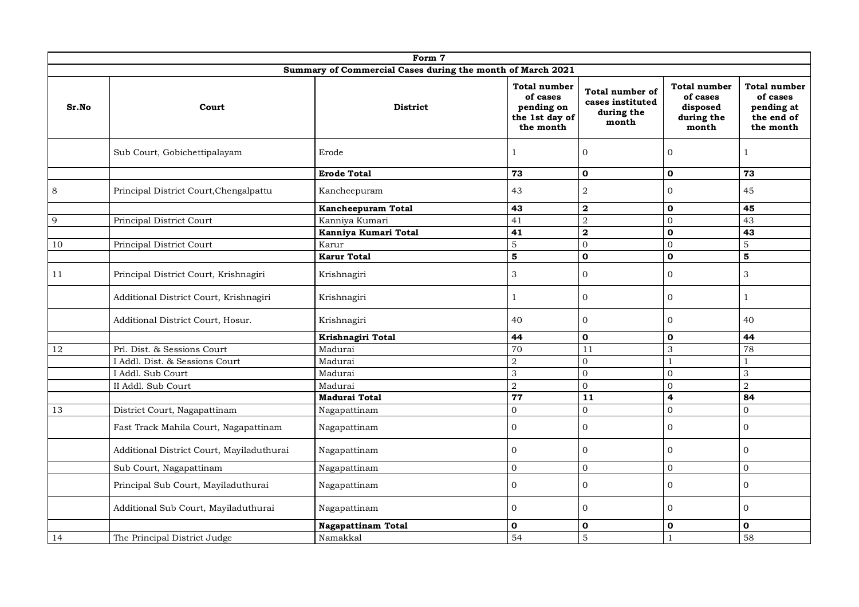|                                                            |                                           | Form 7                    |                                                                              |                                                            |                                                                    |                                                                          |  |  |  |  |  |  |  |
|------------------------------------------------------------|-------------------------------------------|---------------------------|------------------------------------------------------------------------------|------------------------------------------------------------|--------------------------------------------------------------------|--------------------------------------------------------------------------|--|--|--|--|--|--|--|
| Summary of Commercial Cases during the month of March 2021 |                                           |                           |                                                                              |                                                            |                                                                    |                                                                          |  |  |  |  |  |  |  |
| Sr.No                                                      | Court                                     | <b>District</b>           | <b>Total number</b><br>of cases<br>pending on<br>the 1st day of<br>the month | Total number of<br>cases instituted<br>during the<br>month | <b>Total number</b><br>of cases<br>disposed<br>during the<br>month | <b>Total number</b><br>of cases<br>pending at<br>the end of<br>the month |  |  |  |  |  |  |  |
|                                                            | Sub Court, Gobichettipalayam              | Erode                     | $\mathbf{1}$                                                                 | $\Omega$                                                   | $\mathbf{0}$                                                       | $\mathbf{1}$                                                             |  |  |  |  |  |  |  |
|                                                            |                                           | <b>Erode Total</b>        | 73                                                                           | $\mathbf{o}$                                               | $\mathbf{o}$                                                       | 73                                                                       |  |  |  |  |  |  |  |
| 8                                                          | Principal District Court, Chengalpattu    | Kancheepuram              | 43                                                                           | $\sqrt{2}$                                                 | $\Omega$                                                           | 45                                                                       |  |  |  |  |  |  |  |
|                                                            |                                           | Kancheepuram Total        | 43                                                                           | $\mathbf{2}$                                               | $\mathbf{0}$                                                       | 45                                                                       |  |  |  |  |  |  |  |
| 9                                                          | Principal District Court                  | Kanniya Kumari            | 41                                                                           | $\overline{2}$                                             | $\Omega$                                                           | 43                                                                       |  |  |  |  |  |  |  |
|                                                            |                                           | Kanniya Kumari Total      | 41                                                                           | $\overline{\mathbf{2}}$                                    | $\mathbf{o}$                                                       | 43                                                                       |  |  |  |  |  |  |  |
| 10                                                         | Principal District Court                  | Karur                     | 5                                                                            | $\mathbf{0}$                                               | $\Omega$                                                           | 5                                                                        |  |  |  |  |  |  |  |
|                                                            |                                           | <b>Karur Total</b>        | $\overline{5}$                                                               | $\mathbf 0$                                                | $\mathbf{o}$                                                       | 5                                                                        |  |  |  |  |  |  |  |
| 11                                                         | Principal District Court, Krishnagiri     | Krishnagiri               | $\ensuremath{\mathsf{3}}$                                                    | $\mathbf{0}$                                               | $\overline{0}$                                                     | $\ensuremath{\mathsf{3}}$                                                |  |  |  |  |  |  |  |
|                                                            | Additional District Court, Krishnagiri    | Krishnagiri               | $\mathbf{1}$                                                                 | $\mathbf{0}$                                               | $\mathbf{0}$                                                       | $\mathbf{1}$                                                             |  |  |  |  |  |  |  |
|                                                            | Additional District Court, Hosur.         | Krishnagiri               | 40                                                                           | $\mathbf{0}$                                               | $\overline{0}$                                                     | 40                                                                       |  |  |  |  |  |  |  |
|                                                            |                                           | Krishnagiri Total         | 44                                                                           | $\mathbf 0$                                                | $\mathbf 0$                                                        | 44                                                                       |  |  |  |  |  |  |  |
| 12                                                         | Prl. Dist. & Sessions Court               | Madurai                   | 70                                                                           | 11                                                         | 3                                                                  | 78                                                                       |  |  |  |  |  |  |  |
|                                                            | I Addl. Dist. & Sessions Court            | Madurai                   | $\overline{2}$                                                               | $\mathbf{0}$                                               | $\mathbf{1}$                                                       | $\mathbf{1}$                                                             |  |  |  |  |  |  |  |
|                                                            | I Addl. Sub Court                         | Madurai                   | $\mathfrak{Z}$                                                               | $\mathbf 0$                                                | $\Omega$                                                           | 3                                                                        |  |  |  |  |  |  |  |
|                                                            | II Addl. Sub Court                        | Madurai                   | $\overline{2}$                                                               | $\boldsymbol{0}$                                           | $\Omega$                                                           | $\overline{a}$                                                           |  |  |  |  |  |  |  |
|                                                            |                                           | <b>Madurai Total</b>      | 77                                                                           | 11                                                         | $\overline{4}$                                                     | 84                                                                       |  |  |  |  |  |  |  |
| 13                                                         | District Court, Nagapattinam              | Nagapattinam              | $\overline{0}$                                                               | $\mathbf{0}$                                               | $\Omega$                                                           | $\overline{0}$                                                           |  |  |  |  |  |  |  |
|                                                            | Fast Track Mahila Court, Nagapattinam     | Nagapattinam              | $\boldsymbol{0}$                                                             | $\Omega$                                                   | $\overline{0}$                                                     | $\Omega$                                                                 |  |  |  |  |  |  |  |
|                                                            | Additional District Court, Mayiladuthurai | Nagapattinam              | $\mathbf{0}$                                                                 | $\Omega$                                                   | $\mathbf{0}$                                                       | $\mathbf{0}$                                                             |  |  |  |  |  |  |  |
|                                                            | Sub Court, Nagapattinam                   | Nagapattinam              | $\overline{0}$                                                               | $\Omega$                                                   | $\Omega$                                                           | $\Omega$                                                                 |  |  |  |  |  |  |  |
|                                                            | Principal Sub Court, Mayiladuthurai       | Nagapattinam              | $\mathbf 0$                                                                  | $\mathbf 0$                                                | $\mathbf{O}$                                                       | $\boldsymbol{0}$                                                         |  |  |  |  |  |  |  |
|                                                            | Additional Sub Court, Mayiladuthurai      | Nagapattinam              | $\mathbf{0}$                                                                 | $\Omega$                                                   | $\Omega$                                                           | $\Omega$                                                                 |  |  |  |  |  |  |  |
|                                                            |                                           | <b>Nagapattinam Total</b> | 0                                                                            | $\mathbf 0$                                                | $\mathbf 0$                                                        | $\mathbf{0}$                                                             |  |  |  |  |  |  |  |
| 14                                                         | The Principal District Judge              | Namakkal                  | 54                                                                           | $\overline{5}$                                             |                                                                    | 58                                                                       |  |  |  |  |  |  |  |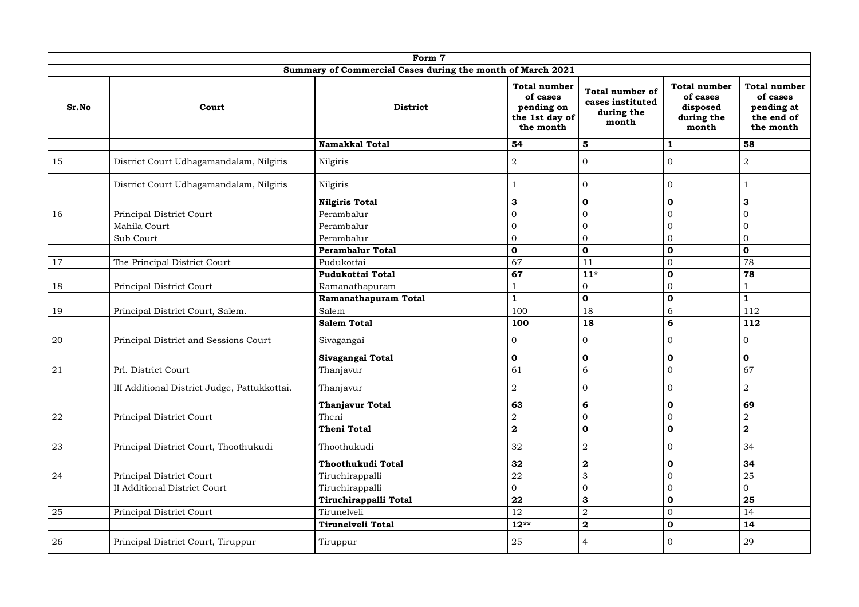|       | Form 7                                       |                                                            |                                                                       |                                                                   |                                                                    |                                                                          |  |  |  |  |  |  |  |
|-------|----------------------------------------------|------------------------------------------------------------|-----------------------------------------------------------------------|-------------------------------------------------------------------|--------------------------------------------------------------------|--------------------------------------------------------------------------|--|--|--|--|--|--|--|
|       |                                              | Summary of Commercial Cases during the month of March 2021 |                                                                       |                                                                   |                                                                    |                                                                          |  |  |  |  |  |  |  |
| Sr.No | Court                                        | <b>District</b>                                            | Total number<br>of cases<br>pending on<br>the 1st day of<br>the month | <b>Total number of</b><br>cases instituted<br>during the<br>month | <b>Total number</b><br>of cases<br>disposed<br>during the<br>month | <b>Total number</b><br>of cases<br>pending at<br>the end of<br>the month |  |  |  |  |  |  |  |
|       |                                              | Namakkal Total                                             | 54                                                                    | 5                                                                 | $\mathbf{1}$                                                       | 58                                                                       |  |  |  |  |  |  |  |
| 15    | District Court Udhagamandalam, Nilgiris      | Nilgiris                                                   | $\overline{2}$                                                        | $\Omega$                                                          | $\Omega$                                                           | $\overline{2}$                                                           |  |  |  |  |  |  |  |
|       | District Court Udhagamandalam, Nilgiris      | Nilgiris                                                   | $\mathbf{1}$                                                          | $\mathbf{0}$                                                      | $\overline{0}$                                                     | 1                                                                        |  |  |  |  |  |  |  |
|       |                                              | <b>Nilgiris Total</b>                                      | 3                                                                     | $\mathbf 0$                                                       | $\mathbf 0$                                                        | 3                                                                        |  |  |  |  |  |  |  |
| 16    | Principal District Court                     | Perambalur                                                 | $\mathbf 0$                                                           | $\mathbf{0}$                                                      | $\Omega$                                                           | $\mathbf{0}$                                                             |  |  |  |  |  |  |  |
|       | Mahila Court                                 | Perambalur                                                 | $\Omega$                                                              | $\Omega$                                                          | $\Omega$                                                           | $\Omega$                                                                 |  |  |  |  |  |  |  |
|       | Sub Court                                    | Perambalur                                                 | $\Omega$                                                              | $\Omega$                                                          | $\Omega$                                                           | $\Omega$                                                                 |  |  |  |  |  |  |  |
|       |                                              | <b>Perambalur Total</b>                                    | $\overline{\mathbf{0}}$                                               | $\overline{\mathbf{0}}$                                           | $\mathbf 0$                                                        | $\mathbf{o}$                                                             |  |  |  |  |  |  |  |
| 17    | The Principal District Court                 | Pudukottai                                                 | 67                                                                    | 11                                                                | $\Omega$                                                           | 78                                                                       |  |  |  |  |  |  |  |
|       |                                              | Pudukottai Total                                           | 67                                                                    | $\overline{11^*}$                                                 | $\mathbf{0}$                                                       | 78                                                                       |  |  |  |  |  |  |  |
| 18    | Principal District Court                     | Ramanathapuram                                             | $\mathbf{1}$                                                          | $\overline{0}$                                                    | $\Omega$                                                           | $\mathbf{1}$                                                             |  |  |  |  |  |  |  |
|       |                                              | Ramanathapuram Total                                       | $\mathbf{1}$                                                          | $\mathbf 0$                                                       | $\mathbf 0$                                                        | $\mathbf{1}$                                                             |  |  |  |  |  |  |  |
| 19    | Principal District Court, Salem.             | Salem                                                      | 100                                                                   | 18                                                                | 6                                                                  | 112                                                                      |  |  |  |  |  |  |  |
|       |                                              | <b>Salem Total</b>                                         | 100                                                                   | 18                                                                | 6                                                                  | 112                                                                      |  |  |  |  |  |  |  |
| 20    | Principal District and Sessions Court        | Sivagangai                                                 | $\mathbf{0}$                                                          | $\mathbf{0}$                                                      | $\Omega$                                                           | $\overline{0}$                                                           |  |  |  |  |  |  |  |
|       |                                              | Sivagangai Total                                           | $\mathbf 0$                                                           | $\mathbf 0$                                                       | $\mathbf 0$                                                        | $\mathbf 0$                                                              |  |  |  |  |  |  |  |
| 21    | Prl. District Court                          | Thanjavur                                                  | 61                                                                    | 6                                                                 | $\mathbf{0}$                                                       | 67                                                                       |  |  |  |  |  |  |  |
|       | III Additional District Judge, Pattukkottai. | Thanjavur                                                  | $\overline{2}$                                                        | $\mathbf{0}$                                                      | $\overline{0}$                                                     | $\overline{2}$                                                           |  |  |  |  |  |  |  |
|       |                                              | <b>Thanjavur Total</b>                                     | 63                                                                    | 6                                                                 | $\mathbf{0}$                                                       | 69                                                                       |  |  |  |  |  |  |  |
| 22    | Principal District Court                     | Theni                                                      | $\sqrt{2}$                                                            | $\mathbf{0}$                                                      | $\Omega$                                                           | $\overline{2}$                                                           |  |  |  |  |  |  |  |
|       |                                              | <b>Theni Total</b>                                         | $\overline{\mathbf{2}}$                                               | $\mathbf{o}$                                                      | $\mathbf 0$                                                        | $\mathbf{2}$                                                             |  |  |  |  |  |  |  |
| 23    | Principal District Court, Thoothukudi        | Thoothukudi                                                | 32                                                                    | $\overline{2}$                                                    | $\Omega$                                                           | 34                                                                       |  |  |  |  |  |  |  |
|       |                                              | Thoothukudi Total                                          | 32                                                                    | $\mathbf 2$                                                       | $\mathbf{0}$                                                       | 34                                                                       |  |  |  |  |  |  |  |
| 24    | Principal District Court                     | Tiruchirappalli                                            | $\overline{22}$                                                       | 3                                                                 | $\Omega$                                                           | $\overline{25}$                                                          |  |  |  |  |  |  |  |
|       | <b>II Additional District Court</b>          | Tiruchirappalli                                            | $\mathbf{0}$                                                          | $\mathbf{0}$                                                      | $\overline{0}$                                                     | $\overline{0}$                                                           |  |  |  |  |  |  |  |
|       |                                              | Tiruchirappalli Total                                      | 22                                                                    | 3                                                                 | $\mathbf{o}$                                                       | 25                                                                       |  |  |  |  |  |  |  |
| 25    | Principal District Court                     | Tirunelveli                                                | $\overline{12}$                                                       | $\overline{2}$                                                    | $\Omega$                                                           | $\overline{14}$                                                          |  |  |  |  |  |  |  |
|       |                                              | Tirunelveli Total                                          | $12**$                                                                | $\overline{\mathbf{2}}$                                           | $\mathbf{0}$                                                       | 14                                                                       |  |  |  |  |  |  |  |
| 26    | Principal District Court, Tiruppur           | Tiruppur                                                   | $25\,$                                                                | 4                                                                 | $\Omega$                                                           | 29                                                                       |  |  |  |  |  |  |  |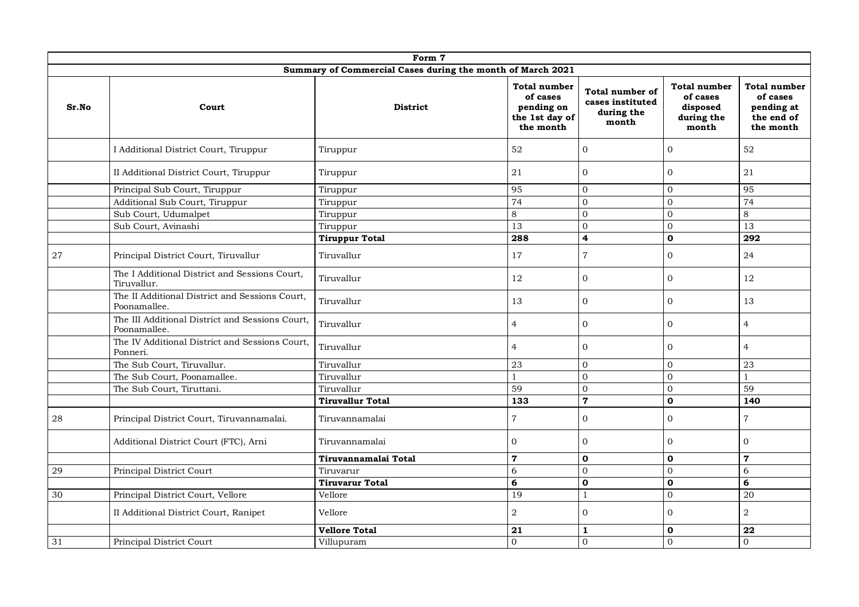|                                                            | Form 7                                                          |                         |                                                                              |                                                            |                                                                    |                                                                          |  |  |
|------------------------------------------------------------|-----------------------------------------------------------------|-------------------------|------------------------------------------------------------------------------|------------------------------------------------------------|--------------------------------------------------------------------|--------------------------------------------------------------------------|--|--|
| Summary of Commercial Cases during the month of March 2021 |                                                                 |                         |                                                                              |                                                            |                                                                    |                                                                          |  |  |
| Sr.No                                                      | Court                                                           | <b>District</b>         | <b>Total number</b><br>of cases<br>pending on<br>the 1st day of<br>the month | Total number of<br>cases instituted<br>during the<br>month | <b>Total number</b><br>of cases<br>disposed<br>during the<br>month | <b>Total number</b><br>of cases<br>pending at<br>the end of<br>the month |  |  |
|                                                            | I Additional District Court, Tiruppur                           | Tiruppur                | 52                                                                           | $\mathbf{0}$                                               | $\overline{0}$                                                     | 52                                                                       |  |  |
|                                                            | II Additional District Court, Tiruppur                          | Tiruppur                | 21                                                                           | $\overline{0}$                                             | $\mathbf{0}$                                                       | 21                                                                       |  |  |
|                                                            | Principal Sub Court, Tiruppur                                   | Tiruppur                | 95                                                                           | $\Omega$                                                   | $\Omega$                                                           | 95                                                                       |  |  |
|                                                            | Additional Sub Court, Tiruppur                                  | Tiruppur                | $\overline{74}$                                                              | $\overline{0}$                                             | $\Omega$                                                           | $\overline{74}$                                                          |  |  |
|                                                            | Sub Court, Udumalpet                                            | Tiruppur                | 8                                                                            | $\mathbf{0}$                                               | $\Omega$                                                           | 8                                                                        |  |  |
|                                                            | Sub Court, Avinashi                                             | Tiruppur                | 13                                                                           | $\Omega$                                                   | $\Omega$                                                           | 13                                                                       |  |  |
|                                                            |                                                                 | <b>Tiruppur Total</b>   | 288                                                                          | $\overline{\mathbf{4}}$                                    | $\mathbf 0$                                                        | 292                                                                      |  |  |
| 27                                                         | Principal District Court, Tiruvallur                            | Tiruvallur              | 17                                                                           | $\overline{7}$                                             | $\overline{0}$                                                     | 24                                                                       |  |  |
|                                                            | The I Additional District and Sessions Court,<br>Tiruvallur.    | Tiruvallur              | 12                                                                           | $\Omega$                                                   | $\Omega$                                                           | 12                                                                       |  |  |
|                                                            | The II Additional District and Sessions Court,<br>Poonamallee.  | Tiruvallur              | 13                                                                           | $\overline{0}$                                             | $\overline{0}$                                                     | 13                                                                       |  |  |
|                                                            | The III Additional District and Sessions Court,<br>Poonamallee. | Tiruvallur              | $\overline{4}$                                                               | $\mathbf{0}$                                               | $\overline{0}$                                                     | $\overline{4}$                                                           |  |  |
|                                                            | The IV Additional District and Sessions Court,<br>Ponneri.      | Tiruvallur              | $\overline{4}$                                                               | $\mathbf{0}$                                               | $\mathbf{0}$                                                       | $\overline{4}$                                                           |  |  |
|                                                            | The Sub Court, Tiruvallur.                                      | Tiruvallur              | 23                                                                           | $\mathbf{0}$                                               | $\Omega$                                                           | 23                                                                       |  |  |
|                                                            | The Sub Court, Poonamallee.                                     | Tiruvallur              | $\mathbf{1}$                                                                 | $\Omega$                                                   | $\Omega$                                                           | $\mathbf{1}$                                                             |  |  |
|                                                            | The Sub Court, Tiruttani.                                       | Tiruvallur              | 59                                                                           | $\mathbf{0}$                                               | $\mathbf{O}$                                                       | 59                                                                       |  |  |
|                                                            |                                                                 | <b>Tiruvallur Total</b> | 133                                                                          | $\overline{7}$                                             | $\mathbf{o}$                                                       | 140                                                                      |  |  |
| 28                                                         | Principal District Court, Tiruvannamalai.                       | Tiruvannamalai          | $\overline{7}$                                                               | $\Omega$                                                   | $\Omega$                                                           | $\sqrt{ }$                                                               |  |  |
|                                                            | Additional District Court (FTC), Arni                           | Tiruvannamalai          | $\overline{0}$                                                               | $\Omega$                                                   | $\Omega$                                                           | $\overline{0}$                                                           |  |  |
|                                                            |                                                                 | Tiruvannamalai Total    | $\mathbf 7$                                                                  | $\mathbf 0$                                                | $\mathbf 0$                                                        | $\overline{7}$                                                           |  |  |
| 29                                                         | Principal District Court                                        | Tiruvarur               | 6                                                                            | $\mathbf 0$                                                | $\mathbf{O}$                                                       | $\sqrt{6}$                                                               |  |  |
|                                                            |                                                                 | <b>Tiruvarur Total</b>  | 6                                                                            | $\mathbf 0$                                                | $\mathbf{o}$                                                       | 6                                                                        |  |  |
| 30                                                         | Principal District Court, Vellore                               | Vellore                 | 19                                                                           | $\mathbf{1}$                                               | $\Omega$                                                           | $\overline{20}$                                                          |  |  |
|                                                            | II Additional District Court, Ranipet                           | Vellore                 | $\,2$                                                                        | $\Omega$                                                   | $\Omega$                                                           | $\,2$                                                                    |  |  |
|                                                            |                                                                 | <b>Vellore Total</b>    | 21                                                                           | $\mathbf{1}$                                               | $\mathbf 0$                                                        | 22                                                                       |  |  |
| 31                                                         | Principal District Court                                        | Villupuram              | $\mathbf 0$                                                                  | $\mathbf{0}$                                               | $\Omega$                                                           | $\overline{0}$                                                           |  |  |